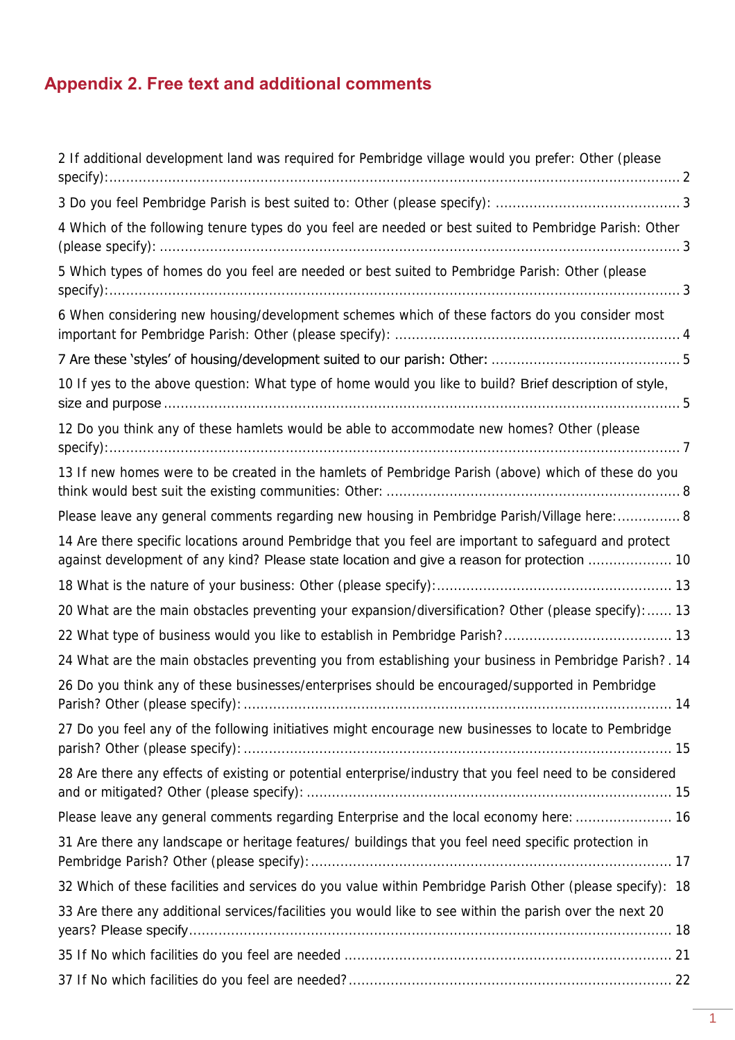# **Appendix 2. Free text and additional comments**

| 2 If additional development land was required for Pembridge village would you prefer: Other (please                                                                                                  |  |
|------------------------------------------------------------------------------------------------------------------------------------------------------------------------------------------------------|--|
| $specify)$ :                                                                                                                                                                                         |  |
|                                                                                                                                                                                                      |  |
| 4 Which of the following tenure types do you feel are needed or best suited to Pembridge Parish: Other                                                                                               |  |
| 5 Which types of homes do you feel are needed or best suited to Pembridge Parish: Other (please<br>$specify):$ $3$                                                                                   |  |
| 6 When considering new housing/development schemes which of these factors do you consider most                                                                                                       |  |
|                                                                                                                                                                                                      |  |
| 10 If yes to the above question: What type of home would you like to build? Brief description of style,                                                                                              |  |
|                                                                                                                                                                                                      |  |
| 12 Do you think any of these hamlets would be able to accommodate new homes? Other (please<br>$specify)$ :                                                                                           |  |
| 13 If new homes were to be created in the hamlets of Pembridge Parish (above) which of these do you                                                                                                  |  |
| Please leave any general comments regarding new housing in Pembridge Parish/Village here:  8                                                                                                         |  |
| 14 Are there specific locations around Pembridge that you feel are important to safeguard and protect<br>against development of any kind? Please state location and give a reason for protection  10 |  |
|                                                                                                                                                                                                      |  |
| 20 What are the main obstacles preventing your expansion/diversification? Other (please specify):  13                                                                                                |  |
|                                                                                                                                                                                                      |  |
| 24 What are the main obstacles preventing you from establishing your business in Pembridge Parish?. 14                                                                                               |  |
| 26 Do you think any of these businesses/enterprises should be encouraged/supported in Pembridge                                                                                                      |  |
| 27 Do you feel any of the following initiatives might encourage new businesses to locate to Pembridge                                                                                                |  |
| 28 Are there any effects of existing or potential enterprise/industry that you feel need to be considered                                                                                            |  |
| Please leave any general comments regarding Enterprise and the local economy here:  16                                                                                                               |  |
| 31 Are there any landscape or heritage features/ buildings that you feel need specific protection in                                                                                                 |  |
| 32 Which of these facilities and services do you value within Pembridge Parish Other (please specify): 18                                                                                            |  |
| 33 Are there any additional services/facilities you would like to see within the parish over the next 20                                                                                             |  |
|                                                                                                                                                                                                      |  |
|                                                                                                                                                                                                      |  |
|                                                                                                                                                                                                      |  |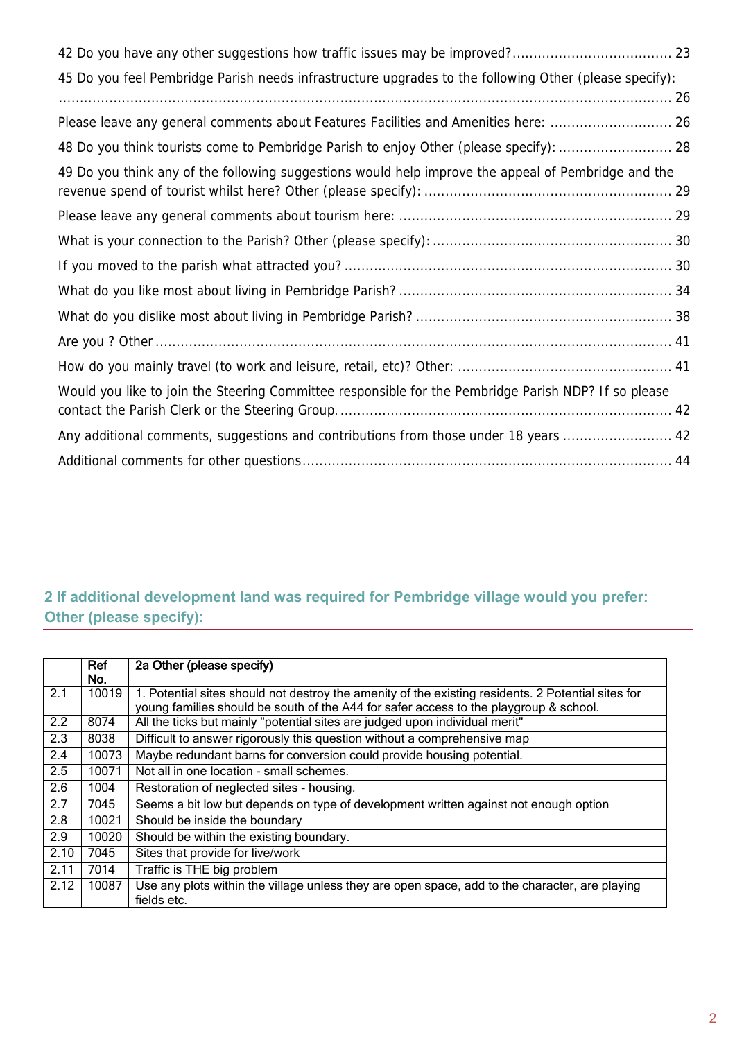| 45 Do you feel Pembridge Parish needs infrastructure upgrades to the following Other (please specify): |
|--------------------------------------------------------------------------------------------------------|
|                                                                                                        |
| Please leave any general comments about Features Facilities and Amenities here:  26                    |
| 48 Do you think tourists come to Pembridge Parish to enjoy Other (please specify):  28                 |
| 49 Do you think any of the following suggestions would help improve the appeal of Pembridge and the    |
|                                                                                                        |
|                                                                                                        |
|                                                                                                        |
|                                                                                                        |
|                                                                                                        |
|                                                                                                        |
|                                                                                                        |
| Would you like to join the Steering Committee responsible for the Pembridge Parish NDP? If so please   |
| Any additional comments, suggestions and contributions from those under 18 years  42                   |
|                                                                                                        |

## <span id="page-1-0"></span>**2 If additional development land was required for Pembridge village would you prefer: Other (please specify):**

|                  | Ref<br>No. | 2a Other (please specify)                                                                                                                                                                   |
|------------------|------------|---------------------------------------------------------------------------------------------------------------------------------------------------------------------------------------------|
| 2.1              | 10019      | 1. Potential sites should not destroy the amenity of the existing residents. 2 Potential sites for<br>young families should be south of the A44 for safer access to the playgroup & school. |
| 2.2              | 8074       | All the ticks but mainly "potential sites are judged upon individual merit"                                                                                                                 |
| 2.3              | 8038       | Difficult to answer rigorously this question without a comprehensive map                                                                                                                    |
| 2.4              | 10073      | Maybe redundant barns for conversion could provide housing potential.                                                                                                                       |
| 2.5              | 10071      | Not all in one location - small schemes.                                                                                                                                                    |
| $\overline{2.6}$ | 1004       | Restoration of neglected sites - housing.                                                                                                                                                   |
| 2.7              | 7045       | Seems a bit low but depends on type of development written against not enough option                                                                                                        |
| 2.8              | 10021      | Should be inside the boundary                                                                                                                                                               |
| 2.9              | 10020      | Should be within the existing boundary.                                                                                                                                                     |
| 2.10             | 7045       | Sites that provide for live/work                                                                                                                                                            |
| 2.11             | 7014       | Traffic is THE big problem                                                                                                                                                                  |
| 2.12             | 10087      | Use any plots within the village unless they are open space, add to the character, are playing<br>fields etc.                                                                               |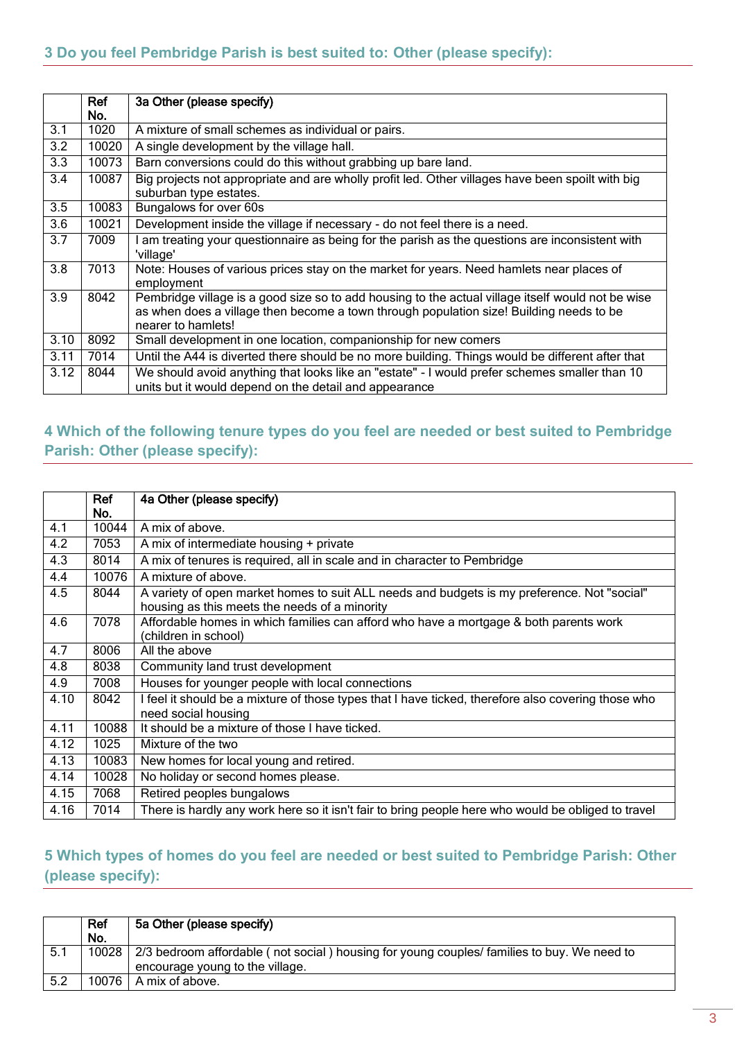<span id="page-2-0"></span>

|      | Ref<br>No. | 3a Other (please specify)                                                                                                                                                                                          |
|------|------------|--------------------------------------------------------------------------------------------------------------------------------------------------------------------------------------------------------------------|
| 3.1  | 1020       | A mixture of small schemes as individual or pairs.                                                                                                                                                                 |
| 3.2  | 10020      | A single development by the village hall.                                                                                                                                                                          |
| 3.3  | 10073      | Barn conversions could do this without grabbing up bare land.                                                                                                                                                      |
| 3.4  | 10087      | Big projects not appropriate and are wholly profit led. Other villages have been spoilt with big<br>suburban type estates.                                                                                         |
| 3.5  | 10083      | Bungalows for over 60s                                                                                                                                                                                             |
| 3.6  | 10021      | Development inside the village if necessary - do not feel there is a need.                                                                                                                                         |
| 3.7  | 7009       | I am treating your questionnaire as being for the parish as the questions are inconsistent with<br>'village'                                                                                                       |
| 3.8  | 7013       | Note: Houses of various prices stay on the market for years. Need hamlets near places of<br>employment                                                                                                             |
| 3.9  | 8042       | Pembridge village is a good size so to add housing to the actual village itself would not be wise<br>as when does a village then become a town through population size! Building needs to be<br>nearer to hamlets! |
| 3.10 | 8092       | Small development in one location, companionship for new comers                                                                                                                                                    |
| 3.11 | 7014       | Until the A44 is diverted there should be no more building. Things would be different after that                                                                                                                   |
| 3.12 | 8044       | We should avoid anything that looks like an "estate" - I would prefer schemes smaller than 10<br>units but it would depend on the detail and appearance                                                            |

### <span id="page-2-1"></span>**4 Which of the following tenure types do you feel are needed or best suited to Pembridge Parish: Other (please specify):**

|      | Ref   | 4a Other (please specify)                                                                                                                    |
|------|-------|----------------------------------------------------------------------------------------------------------------------------------------------|
|      | No.   |                                                                                                                                              |
| 4.1  | 10044 | A mix of above.                                                                                                                              |
| 4.2  | 7053  | A mix of intermediate housing + private                                                                                                      |
| 4.3  | 8014  | A mix of tenures is required, all in scale and in character to Pembridge                                                                     |
| 4.4  | 10076 | A mixture of above.                                                                                                                          |
| 4.5  | 8044  | A variety of open market homes to suit ALL needs and budgets is my preference. Not "social"<br>housing as this meets the needs of a minority |
| 4.6  | 7078  | Affordable homes in which families can afford who have a mortgage & both parents work<br>(children in school)                                |
| 4.7  | 8006  | All the above                                                                                                                                |
| 4.8  | 8038  | Community land trust development                                                                                                             |
| 4.9  | 7008  | Houses for younger people with local connections                                                                                             |
| 4.10 | 8042  | I feel it should be a mixture of those types that I have ticked, therefore also covering those who<br>need social housing                    |
| 4.11 | 10088 | It should be a mixture of those I have ticked.                                                                                               |
| 4.12 | 1025  | Mixture of the two                                                                                                                           |
| 4.13 | 10083 | New homes for local young and retired.                                                                                                       |
| 4.14 | 10028 | No holiday or second homes please.                                                                                                           |
| 4.15 | 7068  | Retired peoples bungalows                                                                                                                    |
| 4.16 | 7014  | There is hardly any work here so it isn't fair to bring people here who would be obliged to travel                                           |

#### <span id="page-2-2"></span>**5 Which types of homes do you feel are needed or best suited to Pembridge Parish: Other (please specify):**

|     | Ref   | 5a Other (please specify)                                                                  |
|-----|-------|--------------------------------------------------------------------------------------------|
|     | No.   |                                                                                            |
| 5.1 | 10028 | 2/3 bedroom affordable (not social) housing for young couples/ families to buy. We need to |
|     |       | encourage young to the village.                                                            |
| 5.2 |       | $10076$   A mix of above.                                                                  |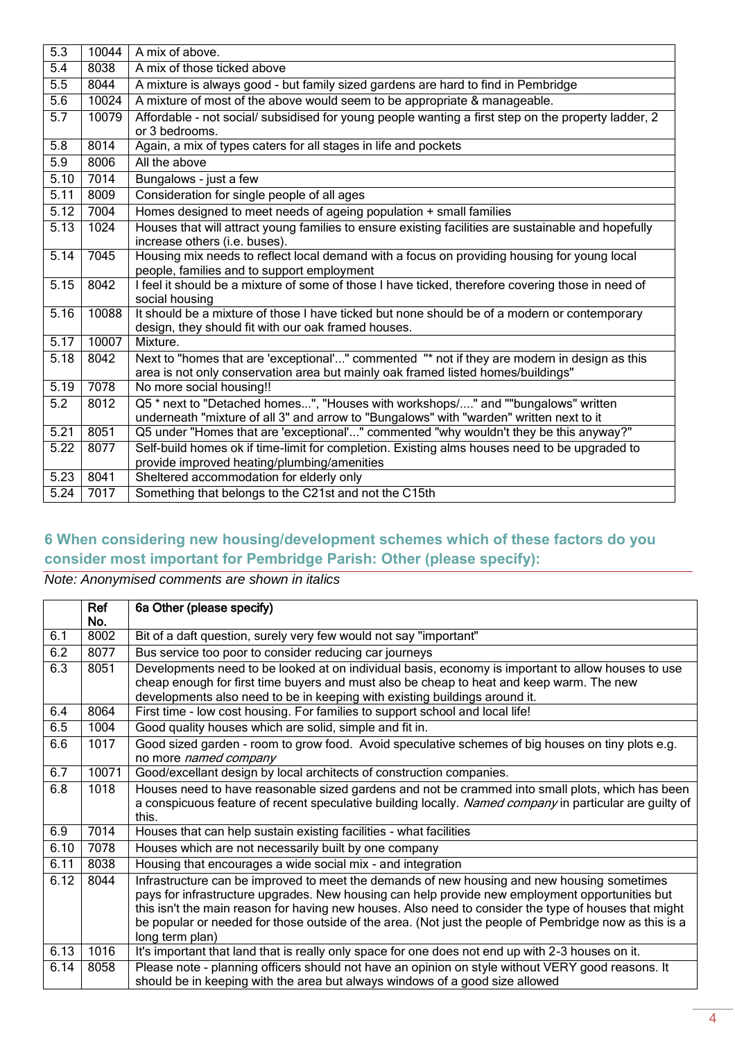| $\overline{5.3}$ | 10044 | A mix of above.                                                                                                                                                                  |
|------------------|-------|----------------------------------------------------------------------------------------------------------------------------------------------------------------------------------|
| 5.4              | 8038  | A mix of those ticked above                                                                                                                                                      |
| 5.5              | 8044  | A mixture is always good - but family sized gardens are hard to find in Pembridge                                                                                                |
| 5.6              | 10024 | A mixture of most of the above would seem to be appropriate & manageable.                                                                                                        |
| 5.7              | 10079 | Affordable - not social/ subsidised for young people wanting a first step on the property ladder, 2<br>or 3 bedrooms.                                                            |
| 5.8              | 8014  | Again, a mix of types caters for all stages in life and pockets                                                                                                                  |
| 5.9              | 8006  | All the above                                                                                                                                                                    |
| 5.10             | 7014  | Bungalows - just a few                                                                                                                                                           |
| 5.11             | 8009  | Consideration for single people of all ages                                                                                                                                      |
| 5.12             | 7004  | Homes designed to meet needs of ageing population + small families                                                                                                               |
| 5.13             | 1024  | Houses that will attract young families to ensure existing facilities are sustainable and hopefully<br>increase others (i.e. buses).                                             |
| 5.14             | 7045  | Housing mix needs to reflect local demand with a focus on providing housing for young local<br>people, families and to support employment                                        |
| 5.15             | 8042  | I feel it should be a mixture of some of those I have ticked, therefore covering those in need of<br>social housing                                                              |
| 5.16             | 10088 | It should be a mixture of those I have ticked but none should be of a modern or contemporary<br>design, they should fit with our oak framed houses.                              |
| 5.17             | 10007 | Mixture.                                                                                                                                                                         |
| 5.18             | 8042  | Next to "homes that are 'exceptional'" commented "* not if they are modern in design as this<br>area is not only conservation area but mainly oak framed listed homes/buildings" |
| 5.19             | 7078  | No more social housing!!                                                                                                                                                         |
| 5.2              | 8012  | Q5 * next to "Detached homes", "Houses with workshops/" and ""bungalows" written<br>underneath "mixture of all 3" and arrow to "Bungalows" with "warden" written next to it      |
| 5.21             | 8051  | Q5 under "Homes that are 'exceptional'" commented "why wouldn't they be this anyway?"                                                                                            |
| 5.22             | 8077  | Self-build homes ok if time-limit for completion. Existing alms houses need to be upgraded to<br>provide improved heating/plumbing/amenities                                     |
| 5.23             | 8041  | Sheltered accommodation for elderly only                                                                                                                                         |
| 5.24             | 7017  | Something that belongs to the C21st and not the C15th                                                                                                                            |

## <span id="page-3-0"></span>**6 When considering new housing/development schemes which of these factors do you consider most important for Pembridge Parish: Other (please specify):**

|      | Ref   | 6a Other (please specify)                                                                                                                                                                                                                                                                                                                                                                                                            |
|------|-------|--------------------------------------------------------------------------------------------------------------------------------------------------------------------------------------------------------------------------------------------------------------------------------------------------------------------------------------------------------------------------------------------------------------------------------------|
|      | No.   |                                                                                                                                                                                                                                                                                                                                                                                                                                      |
| 6.1  | 8002  | Bit of a daft question, surely very few would not say "important"                                                                                                                                                                                                                                                                                                                                                                    |
| 6.2  | 8077  | Bus service too poor to consider reducing car journeys                                                                                                                                                                                                                                                                                                                                                                               |
| 6.3  | 8051  | Developments need to be looked at on individual basis, economy is important to allow houses to use<br>cheap enough for first time buyers and must also be cheap to heat and keep warm. The new<br>developments also need to be in keeping with existing buildings around it.                                                                                                                                                         |
| 6.4  | 8064  | First time - low cost housing. For families to support school and local life!                                                                                                                                                                                                                                                                                                                                                        |
| 6.5  | 1004  | Good quality houses which are solid, simple and fit in.                                                                                                                                                                                                                                                                                                                                                                              |
| 6.6  | 1017  | Good sized garden - room to grow food. Avoid speculative schemes of big houses on tiny plots e.g.<br>no more named company                                                                                                                                                                                                                                                                                                           |
| 6.7  | 10071 | Good/excellant design by local architects of construction companies.                                                                                                                                                                                                                                                                                                                                                                 |
| 6.8  | 1018  | Houses need to have reasonable sized gardens and not be crammed into small plots, which has been<br>a conspicuous feature of recent speculative building locally. Named company in particular are guilty of<br>this.                                                                                                                                                                                                                 |
| 6.9  | 7014  | Houses that can help sustain existing facilities - what facilities                                                                                                                                                                                                                                                                                                                                                                   |
| 6.10 | 7078  | Houses which are not necessarily built by one company                                                                                                                                                                                                                                                                                                                                                                                |
| 6.11 | 8038  | Housing that encourages a wide social mix - and integration                                                                                                                                                                                                                                                                                                                                                                          |
| 6.12 | 8044  | Infrastructure can be improved to meet the demands of new housing and new housing sometimes<br>pays for infrastructure upgrades. New housing can help provide new employment opportunities but<br>this isn't the main reason for having new houses. Also need to consider the type of houses that might<br>be popular or needed for those outside of the area. (Not just the people of Pembridge now as this is a<br>long term plan) |
| 6.13 | 1016  | It's important that land that is really only space for one does not end up with 2-3 houses on it.                                                                                                                                                                                                                                                                                                                                    |
| 6.14 | 8058  | Please note - planning officers should not have an opinion on style without VERY good reasons. It<br>should be in keeping with the area but always windows of a good size allowed                                                                                                                                                                                                                                                    |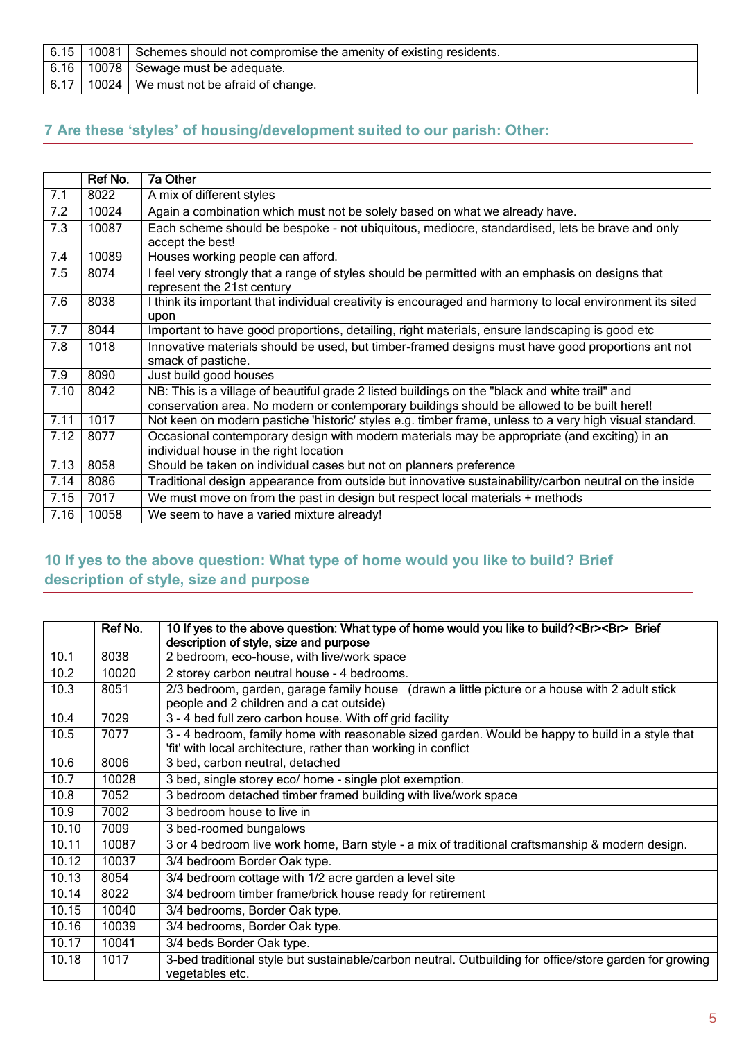|  | 6.15   10081   Schemes should not compromise the amenity of existing residents. |
|--|---------------------------------------------------------------------------------|
|  | 6.16   10078   Sewage must be adequate.                                         |
|  | 6.17   10024   We must not be afraid of change.                                 |

#### <span id="page-4-0"></span>**7 Are these 'styles' of housing/development suited to our parish: Other:**

|      | Ref No. | 7a Other                                                                                                                                                                                      |
|------|---------|-----------------------------------------------------------------------------------------------------------------------------------------------------------------------------------------------|
| 7.1  | 8022    | A mix of different styles                                                                                                                                                                     |
| 7.2  | 10024   | Again a combination which must not be solely based on what we already have.                                                                                                                   |
| 7.3  | 10087   | Each scheme should be bespoke - not ubiquitous, mediocre, standardised, lets be brave and only<br>accept the best!                                                                            |
| 7.4  | 10089   | Houses working people can afford.                                                                                                                                                             |
| 7.5  | 8074    | I feel very strongly that a range of styles should be permitted with an emphasis on designs that<br>represent the 21st century                                                                |
| 7.6  | 8038    | I think its important that individual creativity is encouraged and harmony to local environment its sited<br>upon                                                                             |
| 7.7  | 8044    | Important to have good proportions, detailing, right materials, ensure landscaping is good etc                                                                                                |
| 7.8  | 1018    | Innovative materials should be used, but timber-framed designs must have good proportions ant not<br>smack of pastiche.                                                                       |
| 7.9  | 8090    | Just build good houses                                                                                                                                                                        |
| 7.10 | 8042    | NB: This is a village of beautiful grade 2 listed buildings on the "black and white trail" and<br>conservation area. No modern or contemporary buildings should be allowed to be built here!! |
| 7.11 | 1017    | Not keen on modern pastiche 'historic' styles e.g. timber frame, unless to a very high visual standard.                                                                                       |
| 7.12 | 8077    | Occasional contemporary design with modern materials may be appropriate (and exciting) in an<br>individual house in the right location                                                        |
| 7.13 | 8058    | Should be taken on individual cases but not on planners preference                                                                                                                            |
| 7.14 | 8086    | Traditional design appearance from outside but innovative sustainability/carbon neutral on the inside                                                                                         |
| 7.15 | 7017    | We must move on from the past in design but respect local materials + methods                                                                                                                 |
| 7.16 | 10058   | We seem to have a varied mixture already!                                                                                                                                                     |

## <span id="page-4-1"></span>**10 If yes to the above question: What type of home would you like to build? Brief description of style, size and purpose**

|       | Ref No. | 10 If yes to the above question: What type of home would you like to build?<br><br>Brief<br>description of style, size and purpose                                 |
|-------|---------|--------------------------------------------------------------------------------------------------------------------------------------------------------------------|
| 10.1  | 8038    | 2 bedroom, eco-house, with live/work space                                                                                                                         |
| 10.2  | 10020   | 2 storey carbon neutral house - 4 bedrooms.                                                                                                                        |
| 10.3  | 8051    | 2/3 bedroom, garden, garage family house (drawn a little picture or a house with 2 adult stick<br>people and 2 children and a cat outside)                         |
| 10.4  | 7029    | 3 - 4 bed full zero carbon house. With off grid facility                                                                                                           |
| 10.5  | 7077    | 3 - 4 bedroom, family home with reasonable sized garden. Would be happy to build in a style that<br>'fit' with local architecture, rather than working in conflict |
| 10.6  | 8006    | 3 bed, carbon neutral, detached                                                                                                                                    |
| 10.7  | 10028   | 3 bed, single storey eco/ home - single plot exemption.                                                                                                            |
| 10.8  | 7052    | 3 bedroom detached timber framed building with live/work space                                                                                                     |
| 10.9  | 7002    | 3 bedroom house to live in                                                                                                                                         |
| 10.10 | 7009    | 3 bed-roomed bungalows                                                                                                                                             |
| 10.11 | 10087   | 3 or 4 bedroom live work home, Barn style - a mix of traditional craftsmanship & modern design.                                                                    |
| 10.12 | 10037   | 3/4 bedroom Border Oak type.                                                                                                                                       |
| 10.13 | 8054    | 3/4 bedroom cottage with 1/2 acre garden a level site                                                                                                              |
| 10.14 | 8022    | 3/4 bedroom timber frame/brick house ready for retirement                                                                                                          |
| 10.15 | 10040   | 3/4 bedrooms, Border Oak type.                                                                                                                                     |
| 10.16 | 10039   | 3/4 bedrooms, Border Oak type.                                                                                                                                     |
| 10.17 | 10041   | 3/4 beds Border Oak type.                                                                                                                                          |
| 10.18 | 1017    | 3-bed traditional style but sustainable/carbon neutral. Outbuilding for office/store garden for growing<br>vegetables etc.                                         |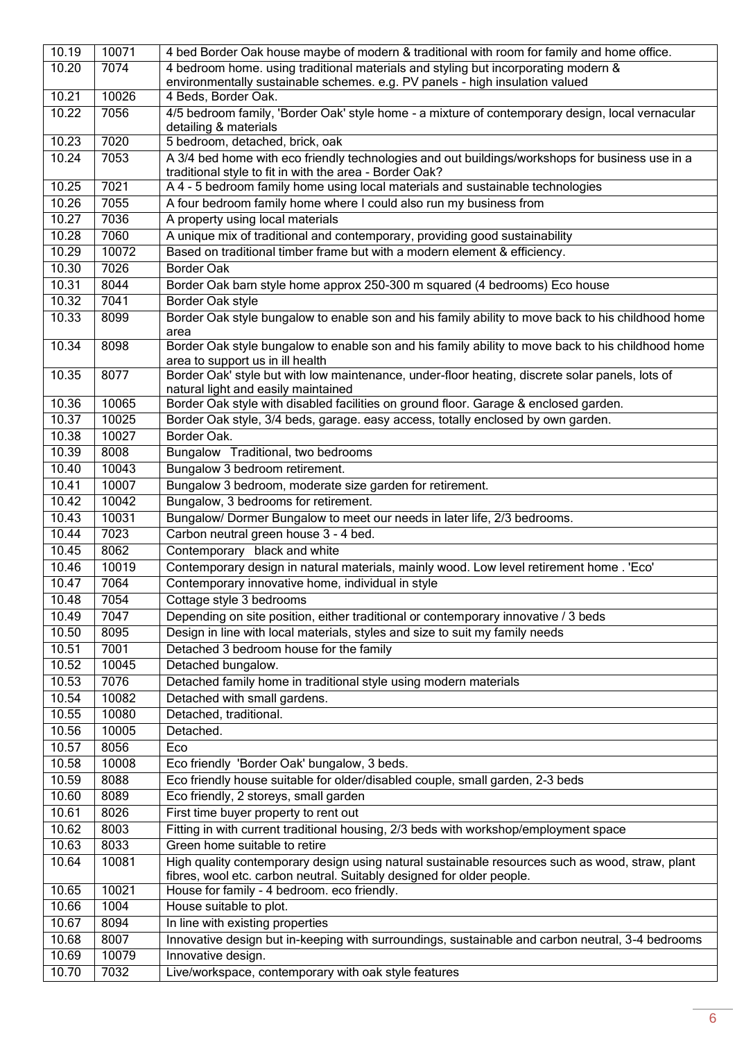| 10.19 | 10071 | 4 bed Border Oak house maybe of modern & traditional with room for family and home office.                                            |
|-------|-------|---------------------------------------------------------------------------------------------------------------------------------------|
| 10.20 | 7074  | 4 bedroom home. using traditional materials and styling but incorporating modern &                                                    |
|       |       | environmentally sustainable schemes. e.g. PV panels - high insulation valued                                                          |
| 10.21 | 10026 | 4 Beds, Border Oak.                                                                                                                   |
| 10.22 | 7056  | 4/5 bedroom family, 'Border Oak' style home - a mixture of contemporary design, local vernacular                                      |
|       |       | detailing & materials                                                                                                                 |
| 10.23 | 7020  | 5 bedroom, detached, brick, oak                                                                                                       |
| 10.24 | 7053  | A 3/4 bed home with eco friendly technologies and out buildings/workshops for business use in a                                       |
|       |       | traditional style to fit in with the area - Border Oak?                                                                               |
| 10.25 | 7021  | A 4 - 5 bedroom family home using local materials and sustainable technologies                                                        |
| 10.26 | 7055  | A four bedroom family home where I could also run my business from                                                                    |
| 10.27 | 7036  | A property using local materials                                                                                                      |
| 10.28 | 7060  | A unique mix of traditional and contemporary, providing good sustainability                                                           |
| 10.29 | 10072 | Based on traditional timber frame but with a modern element & efficiency.                                                             |
| 10.30 | 7026  | <b>Border Oak</b>                                                                                                                     |
| 10.31 | 8044  | Border Oak barn style home approx 250-300 m squared (4 bedrooms) Eco house                                                            |
| 10.32 | 7041  | Border Oak style                                                                                                                      |
| 10.33 | 8099  | Border Oak style bungalow to enable son and his family ability to move back to his childhood home<br>area                             |
| 10.34 | 8098  | Border Oak style bungalow to enable son and his family ability to move back to his childhood home<br>area to support us in ill health |
| 10.35 | 8077  | Border Oak' style but with low maintenance, under-floor heating, discrete solar panels, lots of                                       |
|       |       | natural light and easily maintained                                                                                                   |
| 10.36 | 10065 | Border Oak style with disabled facilities on ground floor. Garage & enclosed garden.                                                  |
| 10.37 | 10025 | Border Oak style, 3/4 beds, garage. easy access, totally enclosed by own garden.                                                      |
| 10.38 | 10027 | Border Oak.                                                                                                                           |
| 10.39 | 8008  | Bungalow Traditional, two bedrooms                                                                                                    |
| 10.40 | 10043 | Bungalow 3 bedroom retirement.                                                                                                        |
| 10.41 | 10007 | Bungalow 3 bedroom, moderate size garden for retirement.                                                                              |
| 10.42 | 10042 | Bungalow, 3 bedrooms for retirement.                                                                                                  |
| 10.43 | 10031 | Bungalow/ Dormer Bungalow to meet our needs in later life, 2/3 bedrooms.                                                              |
| 10.44 | 7023  | Carbon neutral green house 3 - 4 bed.                                                                                                 |
| 10.45 | 8062  | Contemporary black and white                                                                                                          |
| 10.46 | 10019 | Contemporary design in natural materials, mainly wood. Low level retirement home . 'Eco'                                              |
| 10.47 | 7064  | Contemporary innovative home, individual in style                                                                                     |
| 10.48 | 7054  | Cottage style 3 bedrooms                                                                                                              |
| 10.49 | 7047  | Depending on site position, either traditional or contemporary innovative / 3 beds                                                    |
| 10.50 | 8095  | Design in line with local materials, styles and size to suit my family needs                                                          |
| 10.51 | 7001  | Detached 3 bedroom house for the family                                                                                               |
| 10.52 | 10045 | Detached bungalow.                                                                                                                    |
| 10.53 | 7076  | Detached family home in traditional style using modern materials                                                                      |
|       |       | Detached with small gardens.                                                                                                          |
| 10.54 | 10082 |                                                                                                                                       |
| 10.55 | 10080 | Detached, traditional.                                                                                                                |
| 10.56 | 10005 | Detached.                                                                                                                             |
| 10.57 | 8056  | Eco                                                                                                                                   |
| 10.58 | 10008 | Eco friendly 'Border Oak' bungalow, 3 beds.                                                                                           |
| 10.59 | 8088  | Eco friendly house suitable for older/disabled couple, small garden, 2-3 beds                                                         |
| 10.60 | 8089  | Eco friendly, 2 storeys, small garden                                                                                                 |
| 10.61 | 8026  | First time buyer property to rent out                                                                                                 |
| 10.62 | 8003  | Fitting in with current traditional housing, 2/3 beds with workshop/employment space                                                  |
| 10.63 | 8033  | Green home suitable to retire                                                                                                         |
| 10.64 | 10081 | High quality contemporary design using natural sustainable resources such as wood, straw, plant                                       |
|       |       | fibres, wool etc. carbon neutral. Suitably designed for older people.                                                                 |
| 10.65 | 10021 | House for family - 4 bedroom. eco friendly.                                                                                           |
| 10.66 | 1004  | House suitable to plot.                                                                                                               |
| 10.67 | 8094  | In line with existing properties                                                                                                      |
| 10.68 | 8007  | Innovative design but in-keeping with surroundings, sustainable and carbon neutral, 3-4 bedrooms                                      |
| 10.69 | 10079 | Innovative design.                                                                                                                    |
| 10.70 | 7032  | Live/workspace, contemporary with oak style features                                                                                  |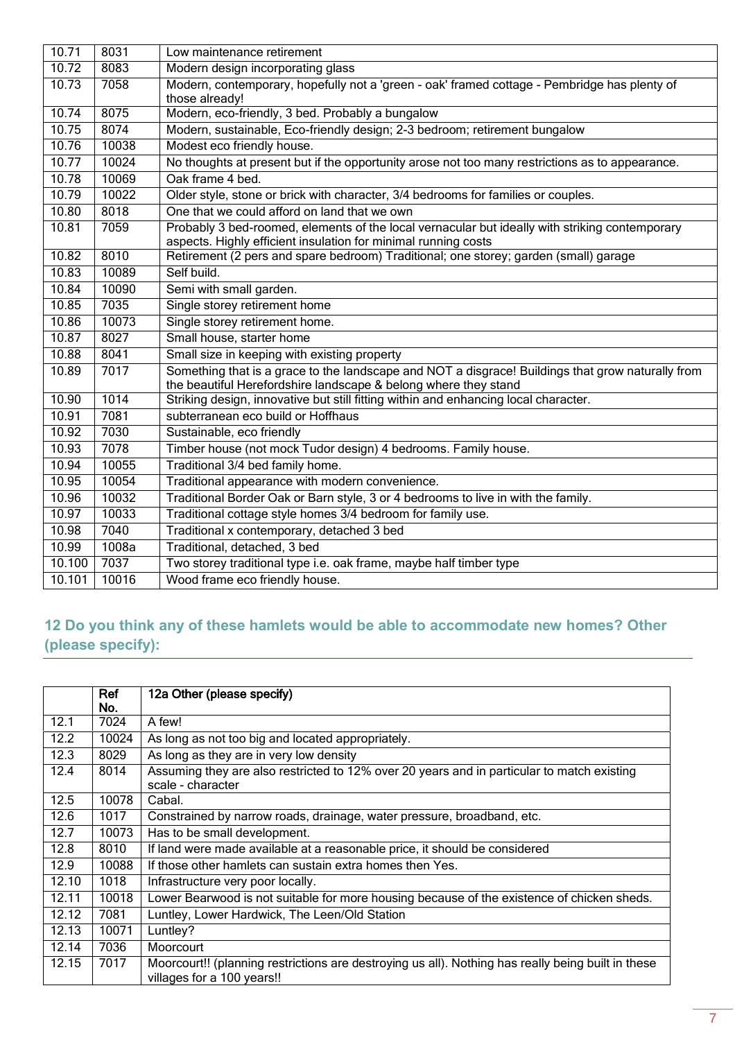| 10.71  | 8031  | Low maintenance retirement                                                                                                                                           |  |  |  |
|--------|-------|----------------------------------------------------------------------------------------------------------------------------------------------------------------------|--|--|--|
| 10.72  | 8083  | Modern design incorporating glass                                                                                                                                    |  |  |  |
| 10.73  | 7058  | Modern, contemporary, hopefully not a 'green - oak' framed cottage - Pembridge has plenty of                                                                         |  |  |  |
|        |       | those already!                                                                                                                                                       |  |  |  |
| 10.74  | 8075  | Modern, eco-friendly, 3 bed. Probably a bungalow                                                                                                                     |  |  |  |
| 10.75  | 8074  | Modern, sustainable, Eco-friendly design; 2-3 bedroom; retirement bungalow                                                                                           |  |  |  |
| 10.76  | 10038 | Modest eco friendly house.                                                                                                                                           |  |  |  |
| 10.77  | 10024 | No thoughts at present but if the opportunity arose not too many restrictions as to appearance.                                                                      |  |  |  |
| 10.78  | 10069 | Oak frame 4 bed.                                                                                                                                                     |  |  |  |
| 10.79  | 10022 | Older style, stone or brick with character, 3/4 bedrooms for families or couples.                                                                                    |  |  |  |
| 10.80  | 8018  | One that we could afford on land that we own                                                                                                                         |  |  |  |
| 10.81  | 7059  | Probably 3 bed-roomed, elements of the local vernacular but ideally with striking contemporary<br>aspects. Highly efficient insulation for minimal running costs     |  |  |  |
| 10.82  | 8010  | Retirement (2 pers and spare bedroom) Traditional; one storey; garden (small) garage                                                                                 |  |  |  |
| 10.83  | 10089 | Self build.                                                                                                                                                          |  |  |  |
| 10.84  | 10090 | Semi with small garden.                                                                                                                                              |  |  |  |
| 10.85  | 7035  | Single storey retirement home                                                                                                                                        |  |  |  |
| 10.86  | 10073 | Single storey retirement home.                                                                                                                                       |  |  |  |
| 10.87  | 8027  | Small house, starter home                                                                                                                                            |  |  |  |
| 10.88  | 8041  | Small size in keeping with existing property                                                                                                                         |  |  |  |
| 10.89  | 7017  | Something that is a grace to the landscape and NOT a disgrace! Buildings that grow naturally from<br>the beautiful Herefordshire landscape & belong where they stand |  |  |  |
| 10.90  | 1014  | Striking design, innovative but still fitting within and enhancing local character.                                                                                  |  |  |  |
| 10.91  | 7081  | subterranean eco build or Hoffhaus                                                                                                                                   |  |  |  |
| 10.92  | 7030  | Sustainable, eco friendly                                                                                                                                            |  |  |  |
| 10.93  | 7078  | Timber house (not mock Tudor design) 4 bedrooms. Family house.                                                                                                       |  |  |  |
| 10.94  | 10055 | Traditional 3/4 bed family home.                                                                                                                                     |  |  |  |
| 10.95  | 10054 | Traditional appearance with modern convenience.                                                                                                                      |  |  |  |
| 10.96  | 10032 | Traditional Border Oak or Barn style, 3 or 4 bedrooms to live in with the family.                                                                                    |  |  |  |
| 10.97  | 10033 | Traditional cottage style homes 3/4 bedroom for family use.                                                                                                          |  |  |  |
| 10.98  | 7040  | Traditional x contemporary, detached 3 bed                                                                                                                           |  |  |  |
| 10.99  | 1008a | Traditional, detached, 3 bed                                                                                                                                         |  |  |  |
| 10.100 | 7037  | Two storey traditional type i.e. oak frame, maybe half timber type                                                                                                   |  |  |  |
| 10.101 | 10016 | Wood frame eco friendly house.                                                                                                                                       |  |  |  |

## <span id="page-6-0"></span>**12 Do you think any of these hamlets would be able to accommodate new homes? Other (please specify):**

|       | Ref<br>No. | 12a Other (please specify)                                                                                                       |  |  |
|-------|------------|----------------------------------------------------------------------------------------------------------------------------------|--|--|
| 12.1  | 7024       | A few!                                                                                                                           |  |  |
| 12.2  | 10024      | As long as not too big and located appropriately.                                                                                |  |  |
| 12.3  | 8029       | As long as they are in very low density                                                                                          |  |  |
| 12.4  | 8014       | Assuming they are also restricted to 12% over 20 years and in particular to match existing<br>scale - character                  |  |  |
| 12.5  | 10078      | Cabal.                                                                                                                           |  |  |
| 12.6  | 1017       | Constrained by narrow roads, drainage, water pressure, broadband, etc.                                                           |  |  |
| 12.7  | 10073      | Has to be small development.                                                                                                     |  |  |
| 12.8  | 8010       | If land were made available at a reasonable price, it should be considered                                                       |  |  |
| 12.9  | 10088      | If those other hamlets can sustain extra homes then Yes.                                                                         |  |  |
| 12.10 | 1018       | Infrastructure very poor locally.                                                                                                |  |  |
| 12.11 | 10018      | Lower Bearwood is not suitable for more housing because of the existence of chicken sheds.                                       |  |  |
| 12.12 | 7081       | Luntley, Lower Hardwick, The Leen/Old Station                                                                                    |  |  |
| 12.13 | 10071      | Luntley?                                                                                                                         |  |  |
| 12.14 | 7036       | Moorcourt                                                                                                                        |  |  |
| 12.15 | 7017       | Moorcourt!! (planning restrictions are destroying us all). Nothing has really being built in these<br>villages for a 100 years!! |  |  |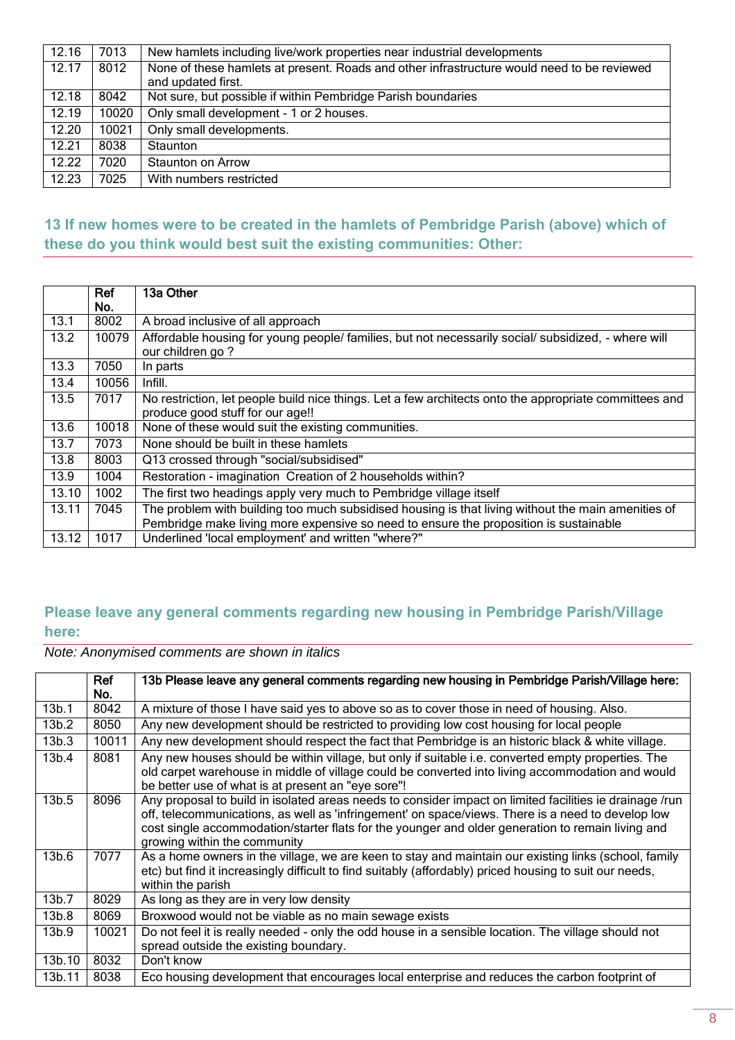| 12.16              | 7013  | New hamlets including live/work properties near industrial developments                                          |  |
|--------------------|-------|------------------------------------------------------------------------------------------------------------------|--|
| 12.17              | 8012  | None of these hamlets at present. Roads and other infrastructure would need to be reviewed<br>and updated first. |  |
| 12.18              | 8042  | Not sure, but possible if within Pembridge Parish boundaries                                                     |  |
| 12.19              | 10020 | Only small development - 1 or 2 houses.                                                                          |  |
| 12.20              | 10021 | Only small developments.                                                                                         |  |
| 12.21              | 8038  | <b>Staunton</b>                                                                                                  |  |
| $\overline{12.22}$ | 7020  | Staunton on Arrow                                                                                                |  |
| 12.23              | 7025  | With numbers restricted                                                                                          |  |

#### <span id="page-7-0"></span>**13 If new homes were to be created in the hamlets of Pembridge Parish (above) which of these do you think would best suit the existing communities: Other:**

|       | Ref   | 13a Other                                                                                              |  |
|-------|-------|--------------------------------------------------------------------------------------------------------|--|
|       | No.   |                                                                                                        |  |
| 13.1  | 8002  | A broad inclusive of all approach                                                                      |  |
| 13.2  | 10079 | Affordable housing for young people/ families, but not necessarily social/ subsidized, - where will    |  |
|       |       | our children go?                                                                                       |  |
| 13.3  | 7050  | In parts                                                                                               |  |
| 13.4  | 10056 | Infill.                                                                                                |  |
| 13.5  | 7017  | No restriction, let people build nice things. Let a few architects onto the appropriate committees and |  |
|       |       | produce good stuff for our age!!                                                                       |  |
| 13.6  | 10018 | None of these would suit the existing communities.                                                     |  |
| 13.7  | 7073  | None should be built in these hamlets                                                                  |  |
| 13.8  | 8003  | Q13 crossed through "social/subsidised"                                                                |  |
| 13.9  | 1004  | Restoration - imagination Creation of 2 households within?                                             |  |
| 13.10 | 1002  | The first two headings apply very much to Pembridge village itself                                     |  |
| 13.11 | 7045  | The problem with building too much subsidised housing is that living without the main amenities of     |  |
|       |       | Pembridge make living more expensive so need to ensure the proposition is sustainable                  |  |
| 13.12 | 1017  | Underlined 'local employment' and written "where?"                                                     |  |

#### <span id="page-7-1"></span>**Please leave any general comments regarding new housing in Pembridge Parish/Village here:**

|                   | Ref<br>No. | 13b Please leave any general comments regarding new housing in Pembridge Parish/Village here:                                                                                                                                                                                                                                                     |  |
|-------------------|------------|---------------------------------------------------------------------------------------------------------------------------------------------------------------------------------------------------------------------------------------------------------------------------------------------------------------------------------------------------|--|
| 13 <sub>b.1</sub> | 8042       | A mixture of those I have said yes to above so as to cover those in need of housing. Also.                                                                                                                                                                                                                                                        |  |
| 13 <sub>b.2</sub> | 8050       | Any new development should be restricted to providing low cost housing for local people                                                                                                                                                                                                                                                           |  |
| 13b.3             | 10011      | Any new development should respect the fact that Pembridge is an historic black & white village.                                                                                                                                                                                                                                                  |  |
| 13b.4             | 8081       | Any new houses should be within village, but only if suitable i.e. converted empty properties. The<br>old carpet warehouse in middle of village could be converted into living accommodation and would<br>be better use of what is at present an "eye sore"!                                                                                      |  |
| 13 <sub>b.5</sub> | 8096       | Any proposal to build in isolated areas needs to consider impact on limited facilities ie drainage /run<br>off, telecommunications, as well as 'infringement' on space/views. There is a need to develop low<br>cost single accommodation/starter flats for the younger and older generation to remain living and<br>growing within the community |  |
| 13b.6             | 7077       | As a home owners in the village, we are keen to stay and maintain our existing links (school, family<br>etc) but find it increasingly difficult to find suitably (affordably) priced housing to suit our needs,<br>within the parish                                                                                                              |  |
| 13 <sub>b.7</sub> | 8029       | As long as they are in very low density                                                                                                                                                                                                                                                                                                           |  |
| 13 <sub>b.8</sub> | 8069       | Broxwood would not be viable as no main sewage exists                                                                                                                                                                                                                                                                                             |  |
| 13b.9             | 10021      | Do not feel it is really needed - only the odd house in a sensible location. The village should not<br>spread outside the existing boundary.                                                                                                                                                                                                      |  |
| 13b.10            | 8032       | Don't know                                                                                                                                                                                                                                                                                                                                        |  |
| 13b.11            | 8038       | Eco housing development that encourages local enterprise and reduces the carbon footprint of                                                                                                                                                                                                                                                      |  |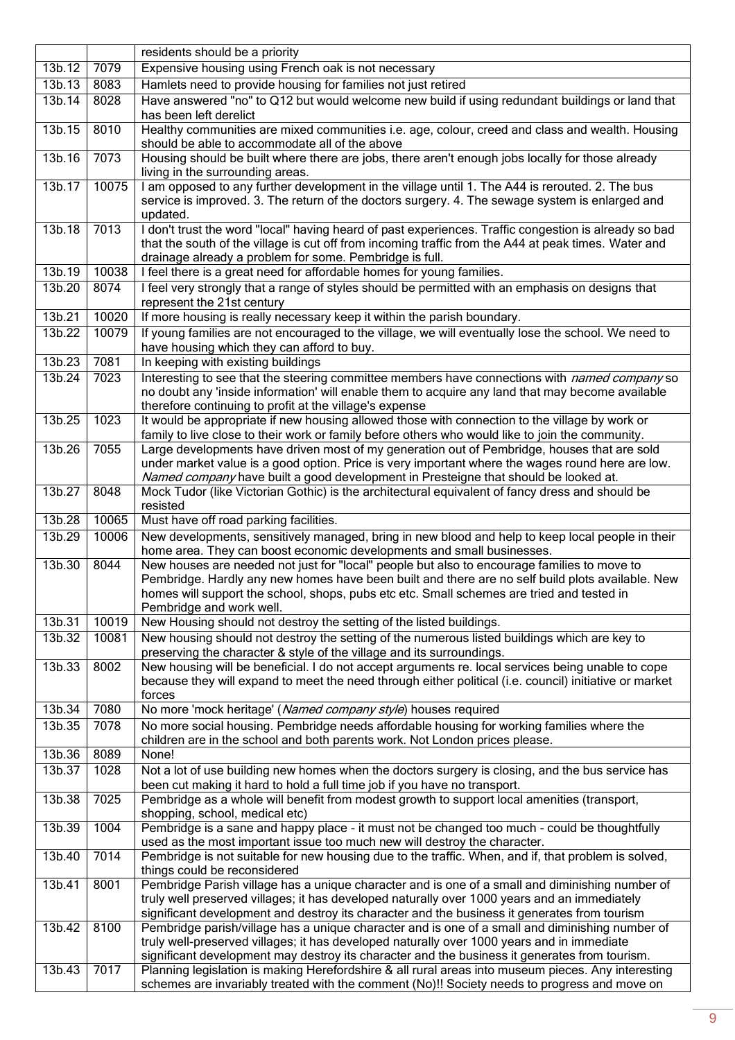|        |       | residents should be a priority                                                                                                                                                                                                                                                                                           |  |  |
|--------|-------|--------------------------------------------------------------------------------------------------------------------------------------------------------------------------------------------------------------------------------------------------------------------------------------------------------------------------|--|--|
| 13b.12 | 7079  | Expensive housing using French oak is not necessary                                                                                                                                                                                                                                                                      |  |  |
| 13b.13 | 8083  | Hamlets need to provide housing for families not just retired                                                                                                                                                                                                                                                            |  |  |
| 13b.14 | 8028  | Have answered "no" to Q12 but would welcome new build if using redundant buildings or land that<br>has been left derelict                                                                                                                                                                                                |  |  |
| 13b.15 | 8010  | Healthy communities are mixed communities i.e. age, colour, creed and class and wealth. Housing<br>should be able to accommodate all of the above                                                                                                                                                                        |  |  |
| 13b.16 | 7073  | Housing should be built where there are jobs, there aren't enough jobs locally for those already<br>living in the surrounding areas.                                                                                                                                                                                     |  |  |
| 13b.17 | 10075 | I am opposed to any further development in the village until 1. The A44 is rerouted. 2. The bus<br>service is improved. 3. The return of the doctors surgery. 4. The sewage system is enlarged and<br>updated.                                                                                                           |  |  |
| 13b.18 | 7013  | I don't trust the word "local" having heard of past experiences. Traffic congestion is already so bad<br>that the south of the village is cut off from incoming traffic from the A44 at peak times. Water and<br>drainage already a problem for some. Pembridge is full.                                                 |  |  |
| 13b.19 | 10038 | I feel there is a great need for affordable homes for young families.                                                                                                                                                                                                                                                    |  |  |
| 13b.20 | 8074  | I feel very strongly that a range of styles should be permitted with an emphasis on designs that<br>represent the 21st century                                                                                                                                                                                           |  |  |
| 13b.21 | 10020 | If more housing is really necessary keep it within the parish boundary.                                                                                                                                                                                                                                                  |  |  |
| 13b.22 | 10079 | If young families are not encouraged to the village, we will eventually lose the school. We need to<br>have housing which they can afford to buy.                                                                                                                                                                        |  |  |
| 13b.23 | 7081  | In keeping with existing buildings                                                                                                                                                                                                                                                                                       |  |  |
| 13b.24 | 7023  | Interesting to see that the steering committee members have connections with named company so<br>no doubt any 'inside information' will enable them to acquire any land that may become available<br>therefore continuing to profit at the village's expense                                                             |  |  |
| 13b.25 | 1023  | It would be appropriate if new housing allowed those with connection to the village by work or<br>family to live close to their work or family before others who would like to join the community.                                                                                                                       |  |  |
| 13b.26 | 7055  | Large developments have driven most of my generation out of Pembridge, houses that are sold<br>under market value is a good option. Price is very important where the wages round here are low.<br>Named company have built a good development in Presteigne that should be looked at.                                   |  |  |
| 13b.27 | 8048  | Mock Tudor (like Victorian Gothic) is the architectural equivalent of fancy dress and should be<br>resisted                                                                                                                                                                                                              |  |  |
| 13b.28 | 10065 | Must have off road parking facilities.                                                                                                                                                                                                                                                                                   |  |  |
| 13b.29 | 10006 | New developments, sensitively managed, bring in new blood and help to keep local people in their<br>home area. They can boost economic developments and small businesses.                                                                                                                                                |  |  |
| 13b.30 | 8044  | New houses are needed not just for "local" people but also to encourage families to move to<br>Pembridge. Hardly any new homes have been built and there are no self build plots available. New<br>homes will support the school, shops, pubs etc etc. Small schemes are tried and tested in<br>Pembridge and work well. |  |  |
| 13b.31 | 10019 | New Housing should not destroy the setting of the listed buildings.                                                                                                                                                                                                                                                      |  |  |
| 13b.32 | 10081 | New housing should not destroy the setting of the numerous listed buildings which are key to<br>preserving the character & style of the village and its surroundings.                                                                                                                                                    |  |  |
| 13b.33 | 8002  | New housing will be beneficial. I do not accept arguments re. local services being unable to cope<br>because they will expand to meet the need through either political (i.e. council) initiative or market<br>forces                                                                                                    |  |  |
| 13b.34 | 7080  | No more 'mock heritage' (Named company style) houses required                                                                                                                                                                                                                                                            |  |  |
| 13b.35 | 7078  | No more social housing. Pembridge needs affordable housing for working families where the<br>children are in the school and both parents work. Not London prices please.                                                                                                                                                 |  |  |
| 13b.36 | 8089  | None!                                                                                                                                                                                                                                                                                                                    |  |  |
| 13b.37 | 1028  | Not a lot of use building new homes when the doctors surgery is closing, and the bus service has<br>been cut making it hard to hold a full time job if you have no transport.                                                                                                                                            |  |  |
| 13b.38 | 7025  | Pembridge as a whole will benefit from modest growth to support local amenities (transport,<br>shopping, school, medical etc)                                                                                                                                                                                            |  |  |
| 13b.39 | 1004  | Pembridge is a sane and happy place - it must not be changed too much - could be thoughtfully<br>used as the most important issue too much new will destroy the character.                                                                                                                                               |  |  |
| 13b.40 | 7014  | Pembridge is not suitable for new housing due to the traffic. When, and if, that problem is solved,<br>things could be reconsidered                                                                                                                                                                                      |  |  |
| 13b.41 | 8001  | Pembridge Parish village has a unique character and is one of a small and diminishing number of<br>truly well preserved villages; it has developed naturally over 1000 years and an immediately<br>significant development and destroy its character and the business it generates from tourism                          |  |  |
| 13b.42 | 8100  | Pembridge parish/village has a unique character and is one of a small and diminishing number of<br>truly well-preserved villages; it has developed naturally over 1000 years and in immediate<br>significant development may destroy its character and the business it generates from tourism.                           |  |  |
| 13b.43 | 7017  | Planning legislation is making Herefordshire & all rural areas into museum pieces. Any interesting<br>schemes are invariably treated with the comment (No)!! Society needs to progress and move on                                                                                                                       |  |  |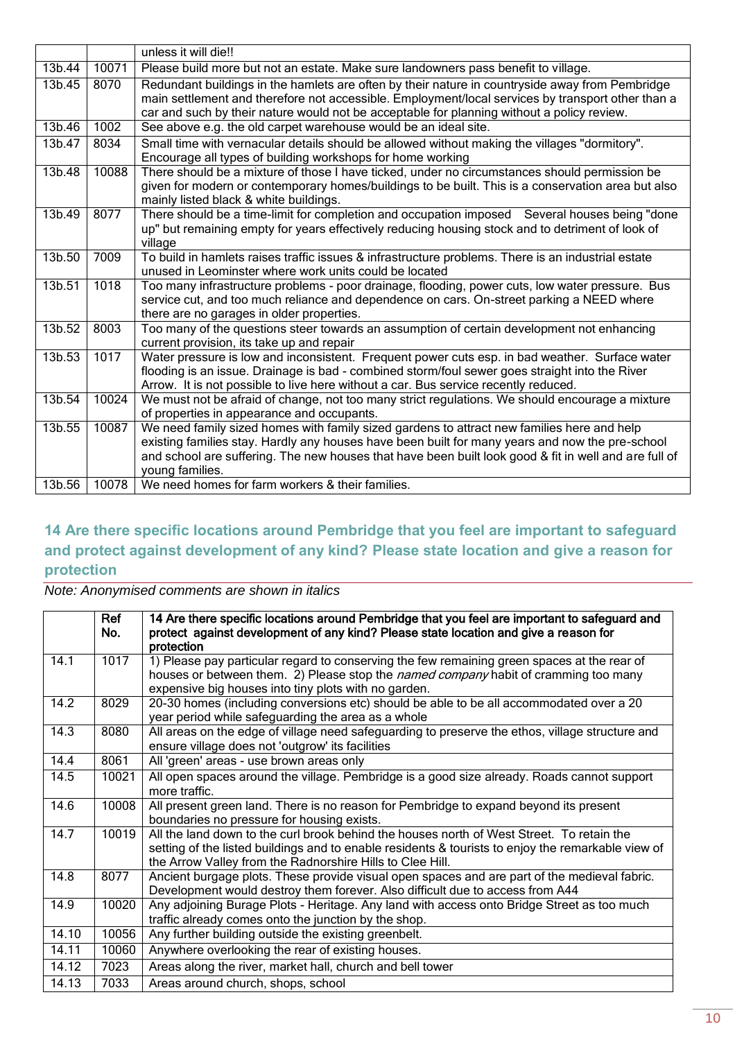|        |       | unless it will die!!                                                                                  |  |  |  |
|--------|-------|-------------------------------------------------------------------------------------------------------|--|--|--|
| 13b.44 | 10071 | Please build more but not an estate. Make sure landowners pass benefit to village.                    |  |  |  |
| 13b.45 | 8070  | Redundant buildings in the hamlets are often by their nature in countryside away from Pembridge       |  |  |  |
|        |       | main settlement and therefore not accessible. Employment/local services by transport other than a     |  |  |  |
|        |       | car and such by their nature would not be acceptable for planning without a policy review.            |  |  |  |
| 13b.46 | 1002  | See above e.g. the old carpet warehouse would be an ideal site.                                       |  |  |  |
| 13b.47 | 8034  | Small time with vernacular details should be allowed without making the villages "dormitory".         |  |  |  |
|        |       | Encourage all types of building workshops for home working                                            |  |  |  |
| 13b.48 | 10088 | There should be a mixture of those I have ticked, under no circumstances should permission be         |  |  |  |
|        |       | given for modern or contemporary homes/buildings to be built. This is a conservation area but also    |  |  |  |
|        |       | mainly listed black & white buildings.                                                                |  |  |  |
| 13b.49 | 8077  | There should be a time-limit for completion and occupation imposed Several houses being "done         |  |  |  |
|        |       | up" but remaining empty for years effectively reducing housing stock and to detriment of look of      |  |  |  |
|        |       | village                                                                                               |  |  |  |
| 13b.50 | 7009  | To build in hamlets raises traffic issues & infrastructure problems. There is an industrial estate    |  |  |  |
|        |       | unused in Leominster where work units could be located                                                |  |  |  |
| 13b.51 | 1018  | Too many infrastructure problems - poor drainage, flooding, power cuts, low water pressure. Bus       |  |  |  |
|        |       | service cut, and too much reliance and dependence on cars. On-street parking a NEED where             |  |  |  |
|        |       | there are no garages in older properties.                                                             |  |  |  |
| 13b.52 | 8003  | Too many of the questions steer towards an assumption of certain development not enhancing            |  |  |  |
|        |       | current provision, its take up and repair                                                             |  |  |  |
| 13b.53 | 1017  | Water pressure is low and inconsistent. Frequent power cuts esp. in bad weather. Surface water        |  |  |  |
|        |       | flooding is an issue. Drainage is bad - combined storm/foul sewer goes straight into the River        |  |  |  |
|        |       | Arrow. It is not possible to live here without a car. Bus service recently reduced.                   |  |  |  |
| 13b.54 | 10024 | We must not be afraid of change, not too many strict regulations. We should encourage a mixture       |  |  |  |
|        |       | of properties in appearance and occupants.                                                            |  |  |  |
| 13b.55 | 10087 | We need family sized homes with family sized gardens to attract new families here and help            |  |  |  |
|        |       | existing families stay. Hardly any houses have been built for many years and now the pre-school       |  |  |  |
|        |       | and school are suffering. The new houses that have been built look good & fit in well and are full of |  |  |  |
| 13b.56 | 10078 | young families.<br>We need homes for farm workers & their families.                                   |  |  |  |
|        |       |                                                                                                       |  |  |  |

### <span id="page-9-0"></span>**14 Are there specific locations around Pembridge that you feel are important to safeguard and protect against development of any kind? Please state location and give a reason for protection**

|       | Ref<br>No. | 14 Are there specific locations around Pembridge that you feel are important to safeguard and<br>protect against development of any kind? Please state location and give a reason for<br>protection                                                          |  |  |  |
|-------|------------|--------------------------------------------------------------------------------------------------------------------------------------------------------------------------------------------------------------------------------------------------------------|--|--|--|
| 14.1  | 1017       | 1) Please pay particular regard to conserving the few remaining green spaces at the rear of<br>houses or between them. 2) Please stop the named company habit of cramming too many<br>expensive big houses into tiny plots with no garden.                   |  |  |  |
| 14.2  | 8029       | 20-30 homes (including conversions etc) should be able to be all accommodated over a 20<br>year period while safeguarding the area as a whole                                                                                                                |  |  |  |
| 14.3  | 8080       | All areas on the edge of village need safeguarding to preserve the ethos, village structure and<br>ensure village does not 'outgrow' its facilities                                                                                                          |  |  |  |
| 14.4  | 8061       | All 'green' areas - use brown areas only                                                                                                                                                                                                                     |  |  |  |
| 14.5  | 10021      | All open spaces around the village. Pembridge is a good size already. Roads cannot support<br>more traffic.                                                                                                                                                  |  |  |  |
| 14.6  | 10008      | All present green land. There is no reason for Pembridge to expand beyond its present<br>boundaries no pressure for housing exists.                                                                                                                          |  |  |  |
| 14.7  | 10019      | All the land down to the curl brook behind the houses north of West Street. To retain the<br>setting of the listed buildings and to enable residents & tourists to enjoy the remarkable view of<br>the Arrow Valley from the Radnorshire Hills to Clee Hill. |  |  |  |
| 14.8  | 8077       | Ancient burgage plots. These provide visual open spaces and are part of the medieval fabric.<br>Development would destroy them forever. Also difficult due to access from A44                                                                                |  |  |  |
| 14.9  | 10020      | Any adjoining Burage Plots - Heritage. Any land with access onto Bridge Street as too much<br>traffic already comes onto the junction by the shop.                                                                                                           |  |  |  |
| 14.10 | 10056      | Any further building outside the existing greenbelt.                                                                                                                                                                                                         |  |  |  |
| 14.11 | 10060      | Anywhere overlooking the rear of existing houses.                                                                                                                                                                                                            |  |  |  |
| 14.12 | 7023       | Areas along the river, market hall, church and bell tower                                                                                                                                                                                                    |  |  |  |
| 14.13 | 7033       | Areas around church, shops, school                                                                                                                                                                                                                           |  |  |  |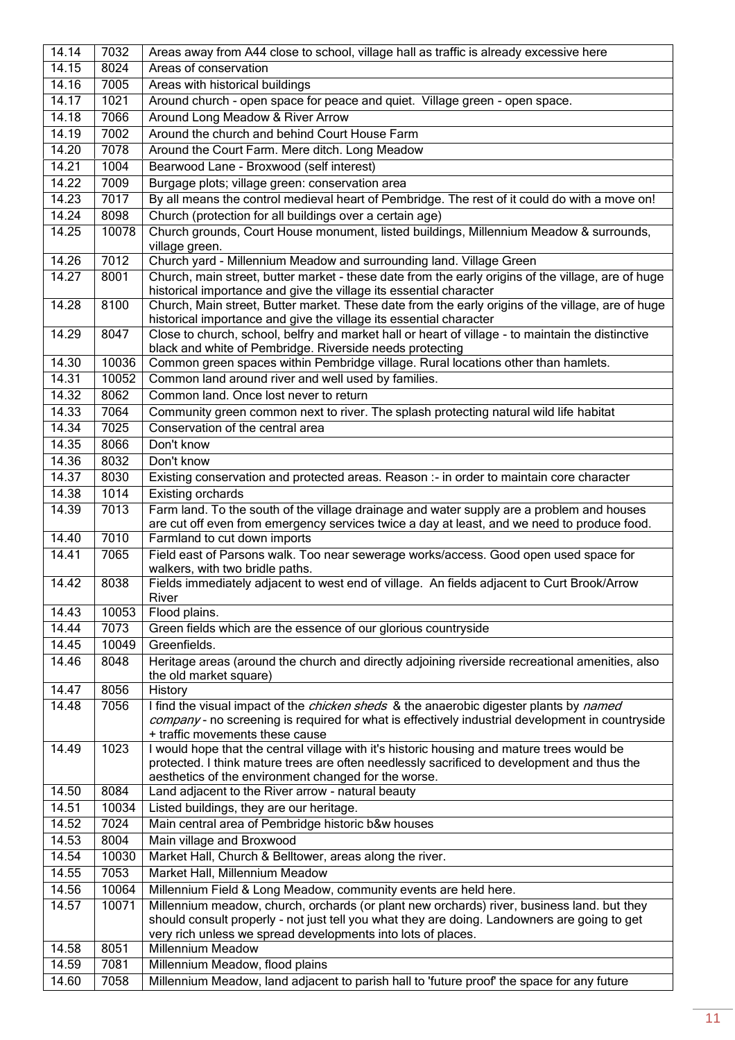| 14.14 | 7032  | Areas away from A44 close to school, village hall as traffic is already excessive here                                                                                                                                                            |  |  |  |
|-------|-------|---------------------------------------------------------------------------------------------------------------------------------------------------------------------------------------------------------------------------------------------------|--|--|--|
| 14.15 | 8024  | Areas of conservation                                                                                                                                                                                                                             |  |  |  |
| 14.16 | 7005  | Areas with historical buildings                                                                                                                                                                                                                   |  |  |  |
| 14.17 | 1021  | Around church - open space for peace and quiet. Village green - open space.                                                                                                                                                                       |  |  |  |
| 14.18 | 7066  | Around Long Meadow & River Arrow                                                                                                                                                                                                                  |  |  |  |
| 14.19 | 7002  | Around the church and behind Court House Farm                                                                                                                                                                                                     |  |  |  |
| 14.20 | 7078  | Around the Court Farm. Mere ditch. Long Meadow                                                                                                                                                                                                    |  |  |  |
| 14.21 | 1004  | Bearwood Lane - Broxwood (self interest)                                                                                                                                                                                                          |  |  |  |
| 14.22 | 7009  | Burgage plots; village green: conservation area                                                                                                                                                                                                   |  |  |  |
| 14.23 | 7017  | By all means the control medieval heart of Pembridge. The rest of it could do with a move on!                                                                                                                                                     |  |  |  |
| 14.24 | 8098  | Church (protection for all buildings over a certain age)                                                                                                                                                                                          |  |  |  |
| 14.25 | 10078 | Church grounds, Court House monument, listed buildings, Millennium Meadow & surrounds,                                                                                                                                                            |  |  |  |
|       |       | village green.                                                                                                                                                                                                                                    |  |  |  |
| 14.26 | 7012  | Church yard - Millennium Meadow and surrounding land. Village Green                                                                                                                                                                               |  |  |  |
| 14.27 | 8001  | Church, main street, butter market - these date from the early origins of the village, are of huge                                                                                                                                                |  |  |  |
|       |       | historical importance and give the village its essential character                                                                                                                                                                                |  |  |  |
| 14.28 | 8100  | Church, Main street, Butter market. These date from the early origins of the village, are of huge<br>historical importance and give the village its essential character                                                                           |  |  |  |
| 14.29 | 8047  | Close to church, school, belfry and market hall or heart of village - to maintain the distinctive<br>black and white of Pembridge. Riverside needs protecting                                                                                     |  |  |  |
| 14.30 | 10036 | Common green spaces within Pembridge village. Rural locations other than hamlets.                                                                                                                                                                 |  |  |  |
| 14.31 | 10052 | Common land around river and well used by families.                                                                                                                                                                                               |  |  |  |
| 14.32 | 8062  | Common land. Once lost never to return                                                                                                                                                                                                            |  |  |  |
| 14.33 | 7064  | Community green common next to river. The splash protecting natural wild life habitat                                                                                                                                                             |  |  |  |
| 14.34 | 7025  | Conservation of the central area                                                                                                                                                                                                                  |  |  |  |
| 14.35 | 8066  | Don't know                                                                                                                                                                                                                                        |  |  |  |
| 14.36 | 8032  | Don't know                                                                                                                                                                                                                                        |  |  |  |
| 14.37 | 8030  | Existing conservation and protected areas. Reason :- in order to maintain core character                                                                                                                                                          |  |  |  |
| 14.38 | 1014  | <b>Existing orchards</b>                                                                                                                                                                                                                          |  |  |  |
| 14.39 | 7013  | Farm land. To the south of the village drainage and water supply are a problem and houses                                                                                                                                                         |  |  |  |
|       |       | are cut off even from emergency services twice a day at least, and we need to produce food.                                                                                                                                                       |  |  |  |
| 14.40 | 7010  | Farmland to cut down imports                                                                                                                                                                                                                      |  |  |  |
| 14.41 | 7065  | Field east of Parsons walk. Too near sewerage works/access. Good open used space for<br>walkers, with two bridle paths.                                                                                                                           |  |  |  |
| 14.42 | 8038  | Fields immediately adjacent to west end of village. An fields adjacent to Curt Brook/Arrow<br>River                                                                                                                                               |  |  |  |
| 14.43 | 10053 | Flood plains.                                                                                                                                                                                                                                     |  |  |  |
| 14.44 | 7073  | Green fields which are the essence of our glorious countryside                                                                                                                                                                                    |  |  |  |
| 14.45 | 10049 | Greenfields.                                                                                                                                                                                                                                      |  |  |  |
| 14.46 | 8048  | Heritage areas (around the church and directly adjoining riverside recreational amenities, also<br>the old market square)                                                                                                                         |  |  |  |
| 14.47 | 8056  | History                                                                                                                                                                                                                                           |  |  |  |
| 14.48 | 7056  | I find the visual impact of the <i>chicken sheds</i> & the anaerobic digester plants by named<br>company - no screening is required for what is effectively industrial development in countryside<br>+ traffic movements these cause              |  |  |  |
| 14.49 | 1023  | I would hope that the central village with it's historic housing and mature trees would be<br>protected. I think mature trees are often needlessly sacrificed to development and thus the<br>aesthetics of the environment changed for the worse. |  |  |  |
| 14.50 | 8084  | Land adjacent to the River arrow - natural beauty                                                                                                                                                                                                 |  |  |  |
| 14.51 | 10034 | Listed buildings, they are our heritage.                                                                                                                                                                                                          |  |  |  |
| 14.52 | 7024  | Main central area of Pembridge historic b&w houses                                                                                                                                                                                                |  |  |  |
| 14.53 | 8004  | Main village and Broxwood                                                                                                                                                                                                                         |  |  |  |
| 14.54 | 10030 | Market Hall, Church & Belltower, areas along the river.                                                                                                                                                                                           |  |  |  |
| 14.55 | 7053  | Market Hall, Millennium Meadow                                                                                                                                                                                                                    |  |  |  |
| 14.56 | 10064 | Millennium Field & Long Meadow, community events are held here.                                                                                                                                                                                   |  |  |  |
| 14.57 | 10071 | Millennium meadow, church, orchards (or plant new orchards) river, business land. but they                                                                                                                                                        |  |  |  |
|       |       | should consult properly - not just tell you what they are doing. Landowners are going to get                                                                                                                                                      |  |  |  |
|       |       | very rich unless we spread developments into lots of places.                                                                                                                                                                                      |  |  |  |
| 14.58 | 8051  | <b>Millennium Meadow</b>                                                                                                                                                                                                                          |  |  |  |
| 14.59 | 7081  | Millennium Meadow, flood plains                                                                                                                                                                                                                   |  |  |  |
| 14.60 | 7058  | Millennium Meadow, land adjacent to parish hall to 'future proof' the space for any future                                                                                                                                                        |  |  |  |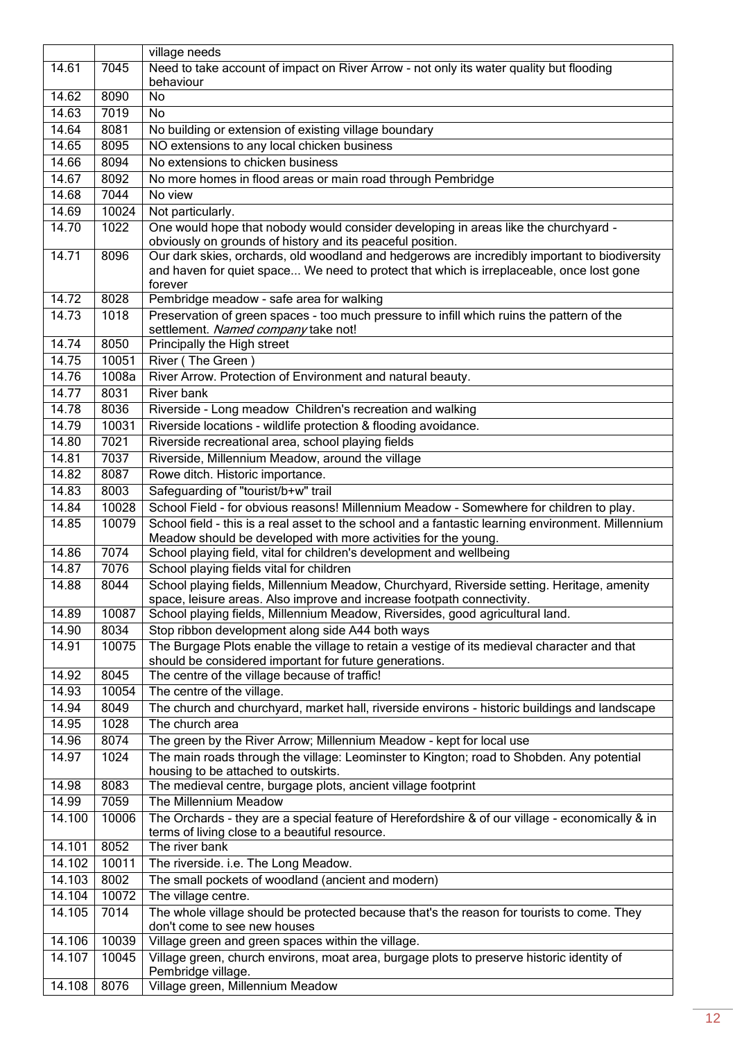|        |       | village needs                                                                                                                                                                                        |  |  |  |
|--------|-------|------------------------------------------------------------------------------------------------------------------------------------------------------------------------------------------------------|--|--|--|
| 14.61  | 7045  | Need to take account of impact on River Arrow - not only its water quality but flooding                                                                                                              |  |  |  |
|        |       | behaviour                                                                                                                                                                                            |  |  |  |
| 14.62  | 8090  | No                                                                                                                                                                                                   |  |  |  |
| 14.63  | 7019  | No                                                                                                                                                                                                   |  |  |  |
| 14.64  | 8081  | No building or extension of existing village boundary                                                                                                                                                |  |  |  |
| 14.65  | 8095  | NO extensions to any local chicken business                                                                                                                                                          |  |  |  |
| 14.66  | 8094  | No extensions to chicken business                                                                                                                                                                    |  |  |  |
| 14.67  | 8092  | No more homes in flood areas or main road through Pembridge                                                                                                                                          |  |  |  |
| 14.68  | 7044  | No view                                                                                                                                                                                              |  |  |  |
| 14.69  | 10024 | Not particularly.                                                                                                                                                                                    |  |  |  |
| 14.70  | 1022  | One would hope that nobody would consider developing in areas like the churchyard -<br>obviously on grounds of history and its peaceful position.                                                    |  |  |  |
| 14.71  | 8096  | Our dark skies, orchards, old woodland and hedgerows are incredibly important to biodiversity<br>and haven for quiet space We need to protect that which is irreplaceable, once lost gone<br>forever |  |  |  |
| 14.72  | 8028  | Pembridge meadow - safe area for walking                                                                                                                                                             |  |  |  |
| 14.73  | 1018  | Preservation of green spaces - too much pressure to infill which ruins the pattern of the<br>settlement. Named company take not!                                                                     |  |  |  |
| 14.74  | 8050  | Principally the High street                                                                                                                                                                          |  |  |  |
| 14.75  | 10051 | River (The Green)                                                                                                                                                                                    |  |  |  |
| 14.76  | 1008a | River Arrow. Protection of Environment and natural beauty.                                                                                                                                           |  |  |  |
| 14.77  | 8031  | River bank                                                                                                                                                                                           |  |  |  |
| 14.78  | 8036  | Riverside - Long meadow Children's recreation and walking                                                                                                                                            |  |  |  |
| 14.79  | 10031 | Riverside locations - wildlife protection & flooding avoidance.                                                                                                                                      |  |  |  |
| 14.80  | 7021  | Riverside recreational area, school playing fields                                                                                                                                                   |  |  |  |
| 14.81  | 7037  | Riverside, Millennium Meadow, around the village                                                                                                                                                     |  |  |  |
| 14.82  | 8087  | Rowe ditch. Historic importance.                                                                                                                                                                     |  |  |  |
| 14.83  | 8003  | Safeguarding of "tourist/b+w" trail                                                                                                                                                                  |  |  |  |
| 14.84  | 10028 | School Field - for obvious reasons! Millennium Meadow - Somewhere for children to play.                                                                                                              |  |  |  |
| 14.85  | 10079 | School field - this is a real asset to the school and a fantastic learning environment. Millennium<br>Meadow should be developed with more activities for the young.                                 |  |  |  |
| 14.86  | 7074  | School playing field, vital for children's development and wellbeing                                                                                                                                 |  |  |  |
| 14.87  | 7076  | School playing fields vital for children                                                                                                                                                             |  |  |  |
| 14.88  | 8044  | School playing fields, Millennium Meadow, Churchyard, Riverside setting. Heritage, amenity<br>space, leisure areas. Also improve and increase footpath connectivity.                                 |  |  |  |
| 14.89  | 10087 | School playing fields, Millennium Meadow, Riversides, good agricultural land.                                                                                                                        |  |  |  |
| 14.90  | 8034  | Stop ribbon development along side A44 both ways                                                                                                                                                     |  |  |  |
| 14.91  | 10075 | The Burgage Plots enable the village to retain a vestige of its medieval character and that<br>should be considered important for future generations.                                                |  |  |  |
| 14.92  | 8045  | The centre of the village because of traffic!                                                                                                                                                        |  |  |  |
| 14.93  | 10054 | The centre of the village.                                                                                                                                                                           |  |  |  |
| 14.94  | 8049  | The church and churchyard, market hall, riverside environs - historic buildings and landscape                                                                                                        |  |  |  |
| 14.95  | 1028  | The church area                                                                                                                                                                                      |  |  |  |
| 14.96  | 8074  | The green by the River Arrow; Millennium Meadow - kept for local use                                                                                                                                 |  |  |  |
| 14.97  | 1024  | The main roads through the village: Leominster to Kington; road to Shobden. Any potential<br>housing to be attached to outskirts.                                                                    |  |  |  |
| 14.98  | 8083  | The medieval centre, burgage plots, ancient village footprint                                                                                                                                        |  |  |  |
| 14.99  | 7059  | The Millennium Meadow                                                                                                                                                                                |  |  |  |
| 14.100 | 10006 | The Orchards - they are a special feature of Herefordshire & of our village - economically & in<br>terms of living close to a beautiful resource.                                                    |  |  |  |
| 14.101 | 8052  | The river bank                                                                                                                                                                                       |  |  |  |
| 14.102 | 10011 | The riverside. i.e. The Long Meadow.                                                                                                                                                                 |  |  |  |
| 14.103 | 8002  | The small pockets of woodland (ancient and modern)                                                                                                                                                   |  |  |  |
| 14.104 | 10072 | The village centre.                                                                                                                                                                                  |  |  |  |
| 14.105 | 7014  | The whole village should be protected because that's the reason for tourists to come. They                                                                                                           |  |  |  |
|        |       | don't come to see new houses                                                                                                                                                                         |  |  |  |
| 14.106 | 10039 | Village green and green spaces within the village.                                                                                                                                                   |  |  |  |
| 14.107 | 10045 | Village green, church environs, moat area, burgage plots to preserve historic identity of<br>Pembridge village.                                                                                      |  |  |  |
| 14.108 | 8076  | Village green, Millennium Meadow                                                                                                                                                                     |  |  |  |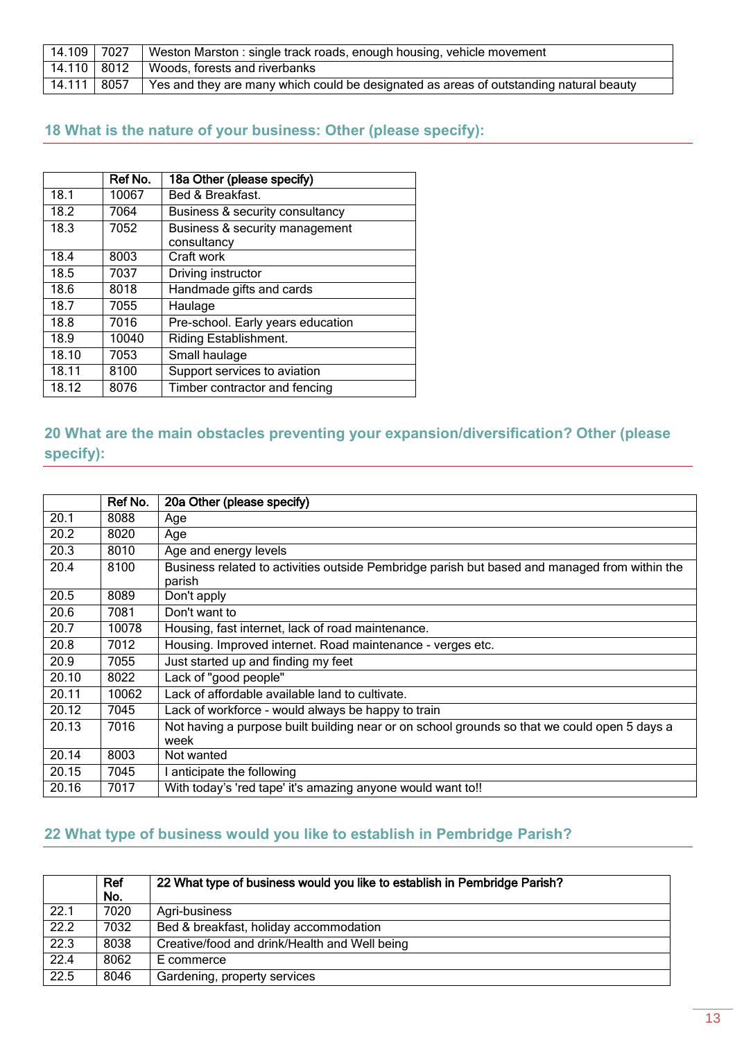| 14.109 7027 | Weston Marston: single track roads, enough housing, vehicle movement                   |  |
|-------------|----------------------------------------------------------------------------------------|--|
|             | 14.110   8012   Woods, forests and riverbanks                                          |  |
| 14.111 8057 | Yes and they are many which could be designated as areas of outstanding natural beauty |  |

#### <span id="page-12-0"></span>**18 What is the nature of your business: Other (please specify):**

|       | Ref No. | 18a Other (please specify)                    |
|-------|---------|-----------------------------------------------|
| 18.1  | 10067   | Bed & Breakfast.                              |
| 18.2  | 7064    | Business & security consultancy               |
| 18.3  | 7052    | Business & security management<br>consultancy |
| 18.4  | 8003    | Craft work                                    |
| 18.5  | 7037    | Driving instructor                            |
| 18.6  | 8018    | Handmade gifts and cards                      |
| 18.7  | 7055    | Haulage                                       |
| 18.8  | 7016    | Pre-school. Early years education             |
| 18.9  | 10040   | Riding Establishment.                         |
| 18.10 | 7053    | Small haulage                                 |
| 18.11 | 8100    | Support services to aviation                  |
| 18.12 | 8076    | Timber contractor and fencing                 |

### <span id="page-12-1"></span>**20 What are the main obstacles preventing your expansion/diversification? Other (please specify):**

|       | Ref No. | 20a Other (please specify)                                                                    |
|-------|---------|-----------------------------------------------------------------------------------------------|
| 20.1  | 8088    | Age                                                                                           |
| 20.2  | 8020    | Age                                                                                           |
| 20.3  | 8010    | Age and energy levels                                                                         |
| 20.4  | 8100    | Business related to activities outside Pembridge parish but based and managed from within the |
|       |         | parish                                                                                        |
| 20.5  | 8089    | Don't apply                                                                                   |
| 20.6  | 7081    | Don't want to                                                                                 |
| 20.7  | 10078   | Housing, fast internet, lack of road maintenance.                                             |
| 20.8  | 7012    | Housing. Improved internet. Road maintenance - verges etc.                                    |
| 20.9  | 7055    | Just started up and finding my feet                                                           |
| 20.10 | 8022    | Lack of "good people"                                                                         |
| 20.11 | 10062   | Lack of affordable available land to cultivate.                                               |
| 20.12 | 7045    | Lack of workforce - would always be happy to train                                            |
| 20.13 | 7016    | Not having a purpose built building near or on school grounds so that we could open 5 days a  |
|       |         | week                                                                                          |
| 20.14 | 8003    | Not wanted                                                                                    |
| 20.15 | 7045    | anticipate the following                                                                      |
| 20.16 | 7017    | With today's 'red tape' it's amazing anyone would want to!!                                   |

### <span id="page-12-2"></span>**22 What type of business would you like to establish in Pembridge Parish?**

|      | Ref<br>No. | 22 What type of business would you like to establish in Pembridge Parish? |
|------|------------|---------------------------------------------------------------------------|
| 22.1 | 7020       | Agri-business                                                             |
| 22.2 | 7032       | Bed & breakfast, holiday accommodation                                    |
| 22.3 | 8038       | Creative/food and drink/Health and Well being                             |
| 22.4 | 8062       | E commerce                                                                |
| 22.5 | 8046       | Gardening, property services                                              |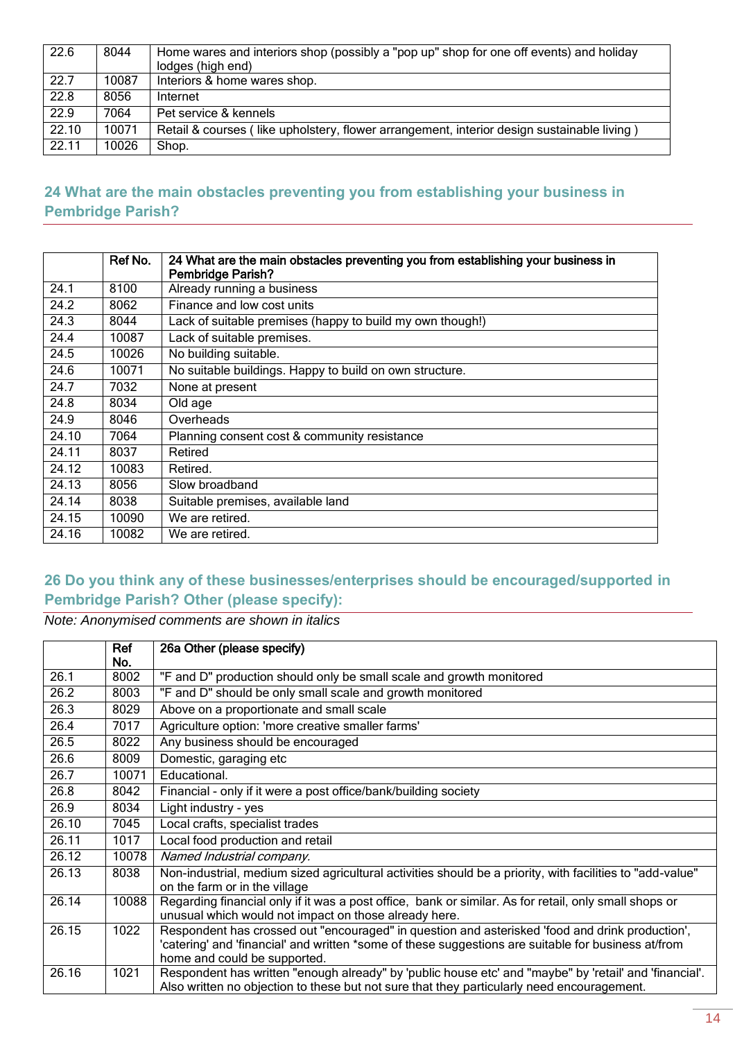| 22.6  | 8044  | Home wares and interiors shop (possibly a "pop up" shop for one off events) and holiday<br>lodges (high end) |
|-------|-------|--------------------------------------------------------------------------------------------------------------|
| 22.7  | 10087 | Interiors & home wares shop.                                                                                 |
| 22.8  | 8056  | Internet                                                                                                     |
| 22.9  | 7064  | Pet service & kennels                                                                                        |
| 22.10 | 10071 | Retail & courses (like upholstery, flower arrangement, interior design sustainable living)                   |
| 22.11 | 10026 | Shop.                                                                                                        |

#### <span id="page-13-0"></span>**24 What are the main obstacles preventing you from establishing your business in Pembridge Parish?**

|       | Ref No. | 24 What are the main obstacles preventing you from establishing your business in<br><b>Pembridge Parish?</b> |
|-------|---------|--------------------------------------------------------------------------------------------------------------|
| 24.1  | 8100    | Already running a business                                                                                   |
| 24.2  | 8062    | Finance and low cost units                                                                                   |
| 24.3  | 8044    | Lack of suitable premises (happy to build my own though!)                                                    |
| 24.4  | 10087   | Lack of suitable premises.                                                                                   |
| 24.5  | 10026   | No building suitable.                                                                                        |
| 24.6  | 10071   | No suitable buildings. Happy to build on own structure.                                                      |
| 24.7  | 7032    | None at present                                                                                              |
| 24.8  | 8034    | Old age                                                                                                      |
| 24.9  | 8046    | Overheads                                                                                                    |
| 24.10 | 7064    | Planning consent cost & community resistance                                                                 |
| 24.11 | 8037    | Retired                                                                                                      |
| 24.12 | 10083   | Retired.                                                                                                     |
| 24.13 | 8056    | Slow broadband                                                                                               |
| 24.14 | 8038    | Suitable premises, available land                                                                            |
| 24.15 | 10090   | We are retired.                                                                                              |
| 24.16 | 10082   | We are retired.                                                                                              |

#### <span id="page-13-1"></span>**26 Do you think any of these businesses/enterprises should be encouraged/supported in Pembridge Parish? Other (please specify):**

|       | Ref   | 26a Other (please specify)                                                                                |
|-------|-------|-----------------------------------------------------------------------------------------------------------|
|       | No.   |                                                                                                           |
| 26.1  | 8002  | "F and D" production should only be small scale and growth monitored                                      |
| 26.2  | 8003  | "F and D" should be only small scale and growth monitored                                                 |
| 26.3  | 8029  | Above on a proportionate and small scale                                                                  |
| 26.4  | 7017  | Agriculture option: 'more creative smaller farms'                                                         |
| 26.5  | 8022  | Any business should be encouraged                                                                         |
| 26.6  | 8009  | Domestic, garaging etc                                                                                    |
| 26.7  | 10071 | Educational.                                                                                              |
| 26.8  | 8042  | Financial - only if it were a post office/bank/building society                                           |
| 26.9  | 8034  | Light industry - yes                                                                                      |
| 26.10 | 7045  | Local crafts, specialist trades                                                                           |
| 26.11 | 1017  | Local food production and retail                                                                          |
| 26.12 | 10078 | Named Industrial company.                                                                                 |
| 26.13 | 8038  | Non-industrial, medium sized agricultural activities should be a priority, with facilities to "add-value" |
|       |       | on the farm or in the village                                                                             |
| 26.14 | 10088 | Regarding financial only if it was a post office, bank or similar. As for retail, only small shops or     |
|       |       | unusual which would not impact on those already here.                                                     |
| 26.15 | 1022  | Respondent has crossed out "encouraged" in question and asterisked 'food and drink production',           |
|       |       | 'catering' and 'financial' and written *some of these suggestions are suitable for business at/from       |
|       |       | home and could be supported.                                                                              |
| 26.16 | 1021  | Respondent has written "enough already" by 'public house etc' and "maybe" by 'retail' and 'financial'.    |
|       |       | Also written no objection to these but not sure that they particularly need encouragement.                |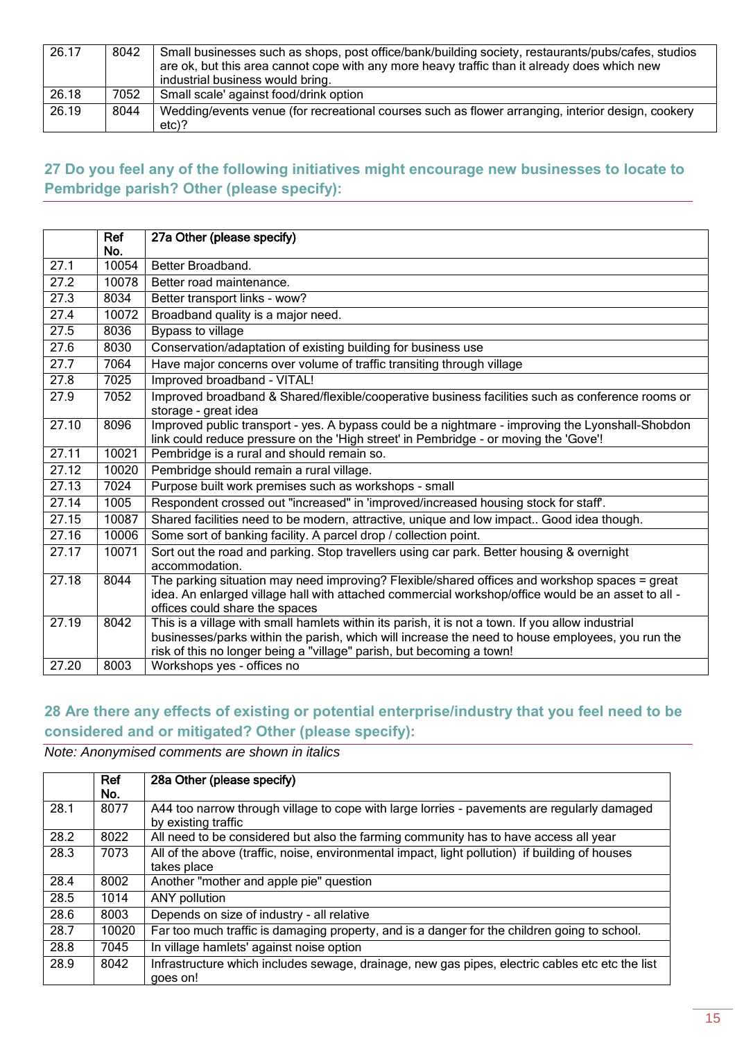| 26.17 | 8042 | Small businesses such as shops, post office/bank/building society, restaurants/pubs/cafes, studios<br>are ok, but this area cannot cope with any more heavy traffic than it already does which new<br>industrial business would bring. |
|-------|------|----------------------------------------------------------------------------------------------------------------------------------------------------------------------------------------------------------------------------------------|
| 26.18 | 7052 | Small scale' against food/drink option                                                                                                                                                                                                 |
| 26.19 | 8044 | Wedding/events venue (for recreational courses such as flower arranging, interior design, cookery<br>$etc$ )?                                                                                                                          |

### <span id="page-14-0"></span>**27 Do you feel any of the following initiatives might encourage new businesses to locate to Pembridge parish? Other (please specify):**

|                   | Ref   | 27a Other (please specify)                                                                                                                                                                                                                                                     |
|-------------------|-------|--------------------------------------------------------------------------------------------------------------------------------------------------------------------------------------------------------------------------------------------------------------------------------|
|                   | No.   |                                                                                                                                                                                                                                                                                |
| 27.1              | 10054 | Better Broadband.                                                                                                                                                                                                                                                              |
| 27.2              | 10078 | Better road maintenance.                                                                                                                                                                                                                                                       |
| $\overline{27.3}$ | 8034  | Better transport links - wow?                                                                                                                                                                                                                                                  |
| 27.4              | 10072 | Broadband quality is a major need.                                                                                                                                                                                                                                             |
| 27.5              | 8036  | Bypass to village                                                                                                                                                                                                                                                              |
| 27.6              | 8030  | Conservation/adaptation of existing building for business use                                                                                                                                                                                                                  |
| 27.7              | 7064  | Have major concerns over volume of traffic transiting through village                                                                                                                                                                                                          |
| 27.8              | 7025  | Improved broadband - VITAL!                                                                                                                                                                                                                                                    |
| 27.9              | 7052  | Improved broadband & Shared/flexible/cooperative business facilities such as conference rooms or<br>storage - great idea                                                                                                                                                       |
| 27.10             | 8096  | Improved public transport - yes. A bypass could be a nightmare - improving the Lyonshall-Shobdon<br>link could reduce pressure on the 'High street' in Pembridge - or moving the 'Gove'!                                                                                       |
| 27.11             | 10021 | Pembridge is a rural and should remain so.                                                                                                                                                                                                                                     |
| 27.12             | 10020 | Pembridge should remain a rural village.                                                                                                                                                                                                                                       |
| 27.13             | 7024  | Purpose built work premises such as workshops - small                                                                                                                                                                                                                          |
| 27.14             | 1005  | Respondent crossed out "increased" in 'improved/increased housing stock for staff.                                                                                                                                                                                             |
| 27.15             | 10087 | Shared facilities need to be modern, attractive, unique and low impact Good idea though.                                                                                                                                                                                       |
| 27.16             | 10006 | Some sort of banking facility. A parcel drop / collection point.                                                                                                                                                                                                               |
| 27.17             | 10071 | Sort out the road and parking. Stop travellers using car park. Better housing & overnight<br>accommodation.                                                                                                                                                                    |
| 27.18             | 8044  | The parking situation may need improving? Flexible/shared offices and workshop spaces = great<br>idea. An enlarged village hall with attached commercial workshop/office would be an asset to all -<br>offices could share the spaces                                          |
| 27.19             | 8042  | This is a village with small hamlets within its parish, it is not a town. If you allow industrial<br>businesses/parks within the parish, which will increase the need to house employees, you run the<br>risk of this no longer being a "village" parish, but becoming a town! |
| 27.20             | 8003  | Workshops yes - offices no                                                                                                                                                                                                                                                     |

### <span id="page-14-1"></span>**28 Are there any effects of existing or potential enterprise/industry that you feel need to be considered and or mitigated? Other (please specify):**

|      | Ref<br>No. | 28a Other (please specify)                                                                                         |
|------|------------|--------------------------------------------------------------------------------------------------------------------|
| 28.1 | 8077       | A44 too narrow through village to cope with large lorries - pavements are regularly damaged<br>by existing traffic |
| 28.2 | 8022       | All need to be considered but also the farming community has to have access all year                               |
| 28.3 | 7073       | All of the above (traffic, noise, environmental impact, light pollution) if building of houses<br>takes place      |
| 28.4 | 8002       | Another "mother and apple pie" question                                                                            |
| 28.5 | 1014       | ANY pollution                                                                                                      |
| 28.6 | 8003       | Depends on size of industry - all relative                                                                         |
| 28.7 | 10020      | Far too much traffic is damaging property, and is a danger for the children going to school.                       |
| 28.8 | 7045       | In village hamlets' against noise option                                                                           |
| 28.9 | 8042       | Infrastructure which includes sewage, drainage, new gas pipes, electric cables etc etc the list<br>goes on!        |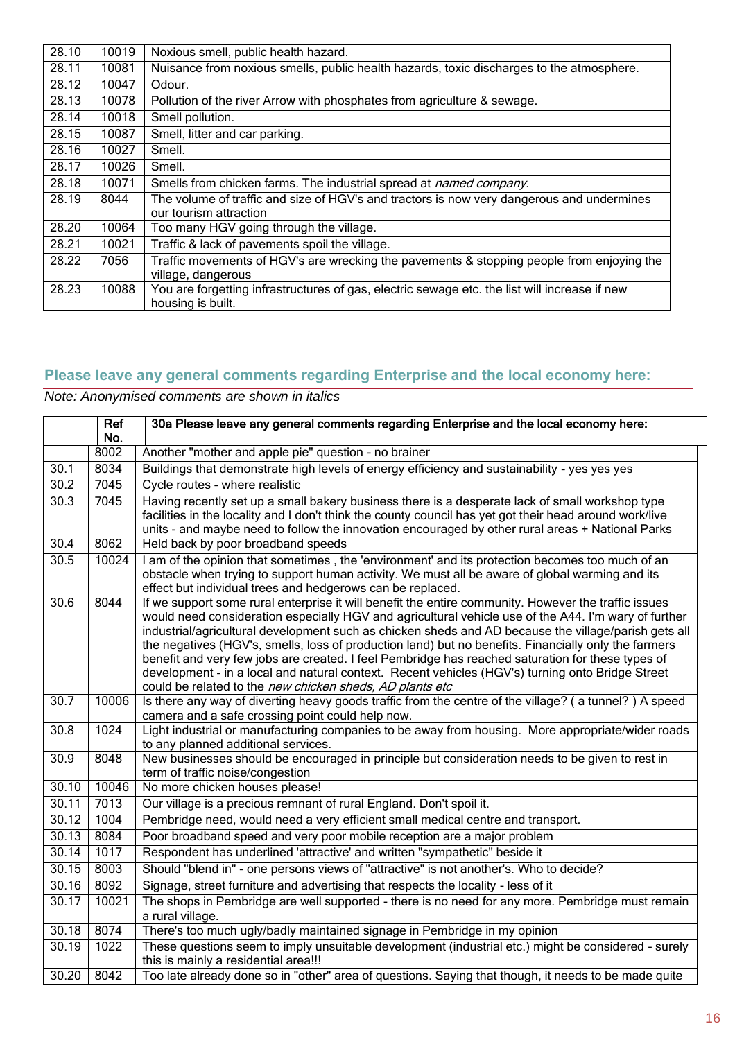| 28.10 | 10019 | Noxious smell, public health hazard.                                                          |
|-------|-------|-----------------------------------------------------------------------------------------------|
| 28.11 | 10081 | Nuisance from noxious smells, public health hazards, toxic discharges to the atmosphere.      |
| 28.12 | 10047 | Odour.                                                                                        |
| 28.13 | 10078 | Pollution of the river Arrow with phosphates from agriculture & sewage.                       |
| 28.14 | 10018 | Smell pollution.                                                                              |
| 28.15 | 10087 | Smell, litter and car parking.                                                                |
| 28.16 | 10027 | Smell.                                                                                        |
| 28.17 | 10026 | Smell.                                                                                        |
| 28.18 | 10071 | Smells from chicken farms. The industrial spread at <i>named company</i> .                    |
| 28.19 | 8044  | The volume of traffic and size of HGV's and tractors is now very dangerous and undermines     |
|       |       | our tourism attraction                                                                        |
| 28.20 | 10064 | Too many HGV going through the village.                                                       |
| 28.21 | 10021 | Traffic & lack of pavements spoil the village.                                                |
| 28.22 | 7056  | Traffic movements of HGV's are wrecking the pavements & stopping people from enjoying the     |
|       |       | village, dangerous                                                                            |
| 28.23 | 10088 | You are forgetting infrastructures of gas, electric sewage etc. the list will increase if new |
|       |       | housing is built.                                                                             |

## <span id="page-15-0"></span>**Please leave any general comments regarding Enterprise and the local economy here:**

|                   | Ref         | 30a Please leave any general comments regarding Enterprise and the local economy here:                                                                       |
|-------------------|-------------|--------------------------------------------------------------------------------------------------------------------------------------------------------------|
|                   | No.<br>8002 | Another "mother and apple pie" question - no brainer                                                                                                         |
| 30.1              | 8034        | Buildings that demonstrate high levels of energy efficiency and sustainability - yes yes yes                                                                 |
|                   |             |                                                                                                                                                              |
| 30.2              | 7045        | Cycle routes - where realistic                                                                                                                               |
| 30.3              | 7045        | Having recently set up a small bakery business there is a desperate lack of small workshop type                                                              |
|                   |             | facilities in the locality and I don't think the county council has yet got their head around work/live                                                      |
| 30.4              | 8062        | units - and maybe need to follow the innovation encouraged by other rural areas + National Parks<br>Held back by poor broadband speeds                       |
|                   |             |                                                                                                                                                              |
| 30.5              | 10024       | I am of the opinion that sometimes, the 'environment' and its protection becomes too much of an                                                              |
|                   |             | obstacle when trying to support human activity. We must all be aware of global warming and its<br>effect but individual trees and hedgerows can be replaced. |
| 30.6              | 8044        | If we support some rural enterprise it will benefit the entire community. However the traffic issues                                                         |
|                   |             | would need consideration especially HGV and agricultural vehicle use of the A44. I'm wary of further                                                         |
|                   |             | industrial/agricultural development such as chicken sheds and AD because the village/parish gets all                                                         |
|                   |             | the negatives (HGV's, smells, loss of production land) but no benefits. Financially only the farmers                                                         |
|                   |             | benefit and very few jobs are created. I feel Pembridge has reached saturation for these types of                                                            |
|                   |             | development - in a local and natural context. Recent vehicles (HGV's) turning onto Bridge Street                                                             |
|                   |             | could be related to the new chicken sheds, AD plants etc                                                                                                     |
| $\overline{30.7}$ | 10006       | Is there any way of diverting heavy goods traffic from the centre of the village? (a tunnel?) A speed                                                        |
|                   |             | camera and a safe crossing point could help now.                                                                                                             |
| 30.8              | 1024        | Light industrial or manufacturing companies to be away from housing. More appropriate/wider roads                                                            |
|                   |             | to any planned additional services.                                                                                                                          |
| 30.9              | 8048        | New businesses should be encouraged in principle but consideration needs to be given to rest in                                                              |
| 30.10             | 10046       | term of traffic noise/congestion<br>No more chicken houses please!                                                                                           |
| 30.11             | 7013        | Our village is a precious remnant of rural England. Don't spoil it.                                                                                          |
| 30.12             | 1004        | Pembridge need, would need a very efficient small medical centre and transport.                                                                              |
| 30.13             | 8084        | Poor broadband speed and very poor mobile reception are a major problem                                                                                      |
|                   |             |                                                                                                                                                              |
| 30.14             | 1017        | Respondent has underlined 'attractive' and written "sympathetic" beside it                                                                                   |
| 30.15             | 8003        | Should "blend in" - one persons views of "attractive" is not another's. Who to decide?                                                                       |
| 30.16             | 8092        | Signage, street furniture and advertising that respects the locality - less of it                                                                            |
| 30.17             | 10021       | The shops in Pembridge are well supported - there is no need for any more. Pembridge must remain                                                             |
|                   |             | a rural village.                                                                                                                                             |
| 30.18             | 8074        | There's too much ugly/badly maintained signage in Pembridge in my opinion                                                                                    |
| 30.19             | 1022        | These questions seem to imply unsuitable development (industrial etc.) might be considered - surely                                                          |
|                   |             | this is mainly a residential area!!!                                                                                                                         |
| 30.20             | 8042        | Too late already done so in "other" area of questions. Saying that though, it needs to be made quite                                                         |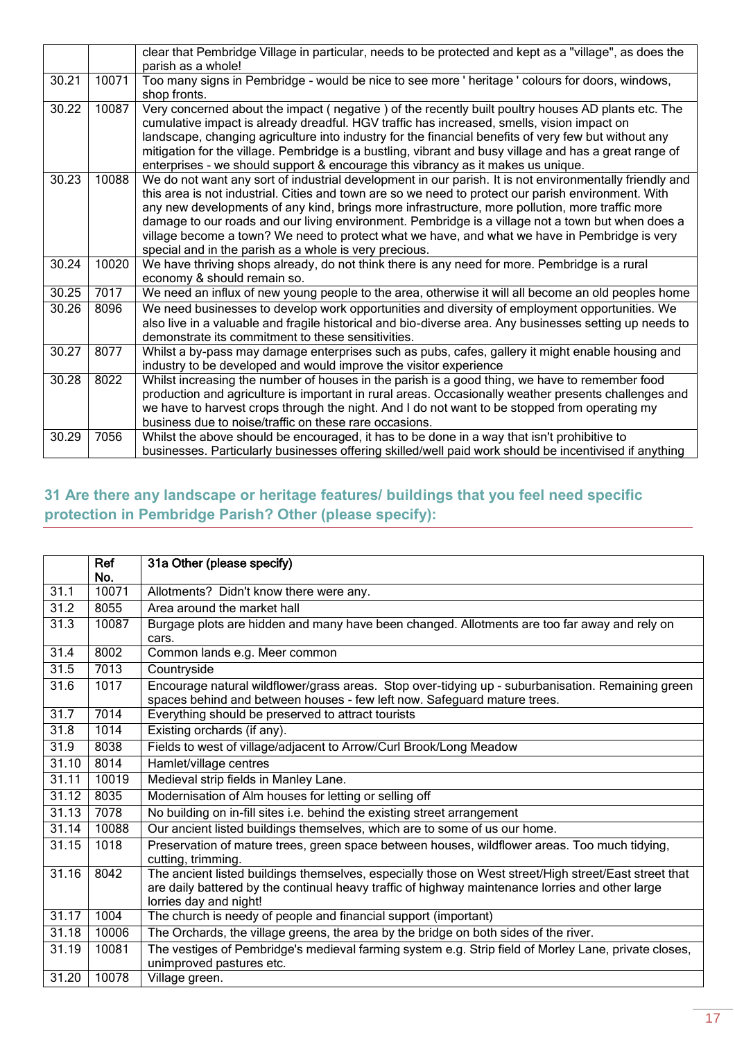|       |       | clear that Pembridge Village in particular, needs to be protected and kept as a "village", as does the<br>parish as a whole!                                                                                                                                                                                                                                                                                                                                                                                                                                                      |
|-------|-------|-----------------------------------------------------------------------------------------------------------------------------------------------------------------------------------------------------------------------------------------------------------------------------------------------------------------------------------------------------------------------------------------------------------------------------------------------------------------------------------------------------------------------------------------------------------------------------------|
| 30.21 | 10071 | Too many signs in Pembridge - would be nice to see more ' heritage ' colours for doors, windows,<br>shop fronts.                                                                                                                                                                                                                                                                                                                                                                                                                                                                  |
| 30.22 | 10087 | Very concerned about the impact (negative) of the recently built poultry houses AD plants etc. The<br>cumulative impact is already dreadful. HGV traffic has increased, smells, vision impact on<br>landscape, changing agriculture into industry for the financial benefits of very few but without any<br>mitigation for the village. Pembridge is a bustling, vibrant and busy village and has a great range of<br>enterprises - we should support & encourage this vibrancy as it makes us unique.                                                                            |
| 30.23 | 10088 | We do not want any sort of industrial development in our parish. It is not environmentally friendly and<br>this area is not industrial. Cities and town are so we need to protect our parish environment. With<br>any new developments of any kind, brings more infrastructure, more pollution, more traffic more<br>damage to our roads and our living environment. Pembridge is a village not a town but when does a<br>village become a town? We need to protect what we have, and what we have in Pembridge is very<br>special and in the parish as a whole is very precious. |
| 30.24 | 10020 | We have thriving shops already, do not think there is any need for more. Pembridge is a rural<br>economy & should remain so.                                                                                                                                                                                                                                                                                                                                                                                                                                                      |
| 30.25 | 7017  | We need an influx of new young people to the area, otherwise it will all become an old peoples home                                                                                                                                                                                                                                                                                                                                                                                                                                                                               |
| 30.26 | 8096  | We need businesses to develop work opportunities and diversity of employment opportunities. We<br>also live in a valuable and fragile historical and bio-diverse area. Any businesses setting up needs to<br>demonstrate its commitment to these sensitivities.                                                                                                                                                                                                                                                                                                                   |
| 30.27 | 8077  | Whilst a by-pass may damage enterprises such as pubs, cafes, gallery it might enable housing and<br>industry to be developed and would improve the visitor experience                                                                                                                                                                                                                                                                                                                                                                                                             |
| 30.28 | 8022  | Whilst increasing the number of houses in the parish is a good thing, we have to remember food<br>production and agriculture is important in rural areas. Occasionally weather presents challenges and<br>we have to harvest crops through the night. And I do not want to be stopped from operating my<br>business due to noise/traffic on these rare occasions.                                                                                                                                                                                                                 |
| 30.29 | 7056  | Whilst the above should be encouraged, it has to be done in a way that isn't prohibitive to<br>businesses. Particularly businesses offering skilled/well paid work should be incentivised if anything                                                                                                                                                                                                                                                                                                                                                                             |

## <span id="page-16-0"></span>**31 Are there any landscape or heritage features/ buildings that you feel need specific protection in Pembridge Parish? Other (please specify):**

|       | Ref          | 31a Other (please specify)                                                                                                                                                                                                          |
|-------|--------------|-------------------------------------------------------------------------------------------------------------------------------------------------------------------------------------------------------------------------------------|
|       | No.<br>10071 |                                                                                                                                                                                                                                     |
| 31.1  |              | Allotments? Didn't know there were any.                                                                                                                                                                                             |
| 31.2  | 8055         | Area around the market hall                                                                                                                                                                                                         |
| 31.3  | 10087        | Burgage plots are hidden and many have been changed. Allotments are too far away and rely on<br>cars.                                                                                                                               |
| 31.4  | 8002         | Common lands e.g. Meer common                                                                                                                                                                                                       |
| 31.5  | 7013         | Countryside                                                                                                                                                                                                                         |
| 31.6  | 1017         | Encourage natural wildflower/grass areas. Stop over-tidying up - suburbanisation. Remaining green<br>spaces behind and between houses - few left now. Safeguard mature trees.                                                       |
| 31.7  | 7014         | Everything should be preserved to attract tourists                                                                                                                                                                                  |
| 31.8  | 1014         | Existing orchards (if any).                                                                                                                                                                                                         |
| 31.9  | 8038         | Fields to west of village/adjacent to Arrow/Curl Brook/Long Meadow                                                                                                                                                                  |
| 31.10 | 8014         | Hamlet/village centres                                                                                                                                                                                                              |
| 31.11 | 10019        | Medieval strip fields in Manley Lane.                                                                                                                                                                                               |
| 31.12 | 8035         | Modernisation of Alm houses for letting or selling off                                                                                                                                                                              |
| 31.13 | 7078         | No building on in-fill sites i.e. behind the existing street arrangement                                                                                                                                                            |
| 31.14 | 10088        | Our ancient listed buildings themselves, which are to some of us our home.                                                                                                                                                          |
| 31.15 | 1018         | Preservation of mature trees, green space between houses, wildflower areas. Too much tidying,<br>cutting, trimming.                                                                                                                 |
| 31.16 | 8042         | The ancient listed buildings themselves, especially those on West street/High street/East street that<br>are daily battered by the continual heavy traffic of highway maintenance lorries and other large<br>lorries day and night! |
| 31.17 | 1004         | The church is needy of people and financial support (important)                                                                                                                                                                     |
| 31.18 | 10006        | The Orchards, the village greens, the area by the bridge on both sides of the river.                                                                                                                                                |
| 31.19 | 10081        | The vestiges of Pembridge's medieval farming system e.g. Strip field of Morley Lane, private closes,<br>unimproved pastures etc.                                                                                                    |
| 31.20 | 10078        | Village green.                                                                                                                                                                                                                      |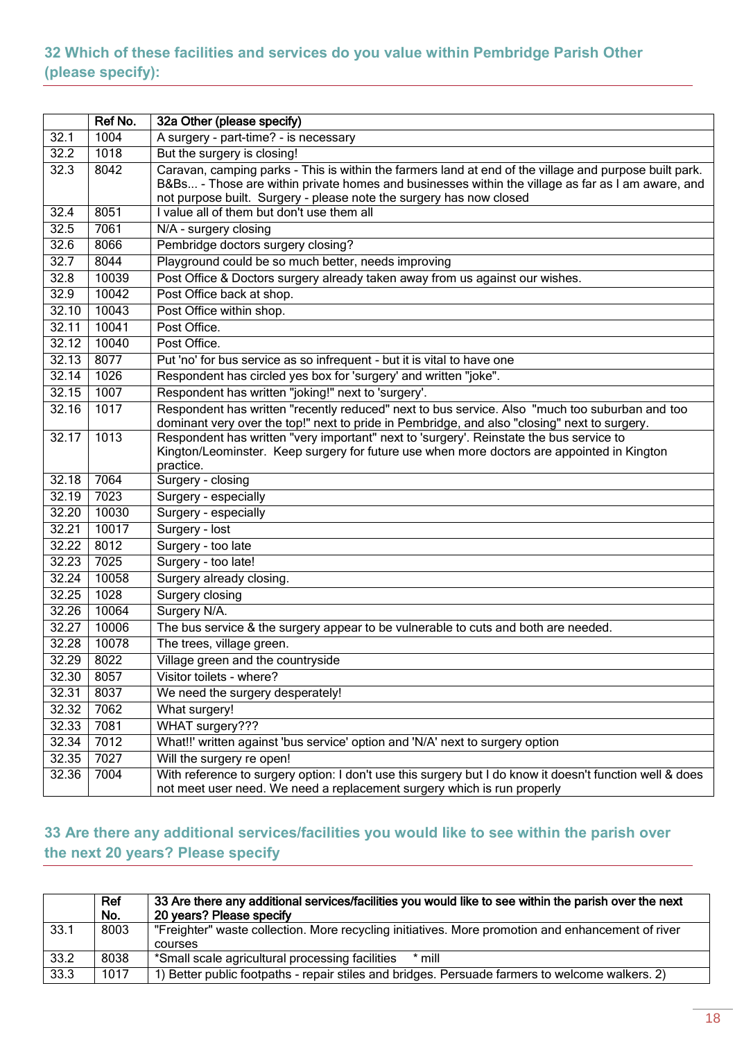#### <span id="page-17-0"></span>**32 Which of these facilities and services do you value within Pembridge Parish Other (please specify):**

|                   | Ref No. | 32a Other (please specify)                                                                                                                                                                                                                                                         |
|-------------------|---------|------------------------------------------------------------------------------------------------------------------------------------------------------------------------------------------------------------------------------------------------------------------------------------|
| 32.1              | 1004    | A surgery - part-time? - is necessary                                                                                                                                                                                                                                              |
| $\overline{32.2}$ | 1018    | But the surgery is closing!                                                                                                                                                                                                                                                        |
| 32.3              | 8042    | Caravan, camping parks - This is within the farmers land at end of the village and purpose built park.<br>B&Bs - Those are within private homes and businesses within the village as far as I am aware, and<br>not purpose built. Surgery - please note the surgery has now closed |
| 32.4              | 8051    | I value all of them but don't use them all                                                                                                                                                                                                                                         |
| 32.5              | 7061    | N/A - surgery closing                                                                                                                                                                                                                                                              |
| 32.6              | 8066    | Pembridge doctors surgery closing?                                                                                                                                                                                                                                                 |
| 32.7              | 8044    | Playground could be so much better, needs improving                                                                                                                                                                                                                                |
| 32.8              | 10039   | Post Office & Doctors surgery already taken away from us against our wishes.                                                                                                                                                                                                       |
| 32.9              | 10042   | Post Office back at shop.                                                                                                                                                                                                                                                          |
| 32.10             | 10043   | Post Office within shop.                                                                                                                                                                                                                                                           |
| 32.11             | 10041   | Post Office.                                                                                                                                                                                                                                                                       |
| 32.12             | 10040   | Post Office.                                                                                                                                                                                                                                                                       |
| 32.13             | 8077    | Put 'no' for bus service as so infrequent - but it is vital to have one                                                                                                                                                                                                            |
| 32.14             | 1026    | Respondent has circled yes box for 'surgery' and written "joke".                                                                                                                                                                                                                   |
| 32.15             | 1007    | Respondent has written "joking!" next to 'surgery'.                                                                                                                                                                                                                                |
| 32.16             | 1017    | Respondent has written "recently reduced" next to bus service. Also "much too suburban and too<br>dominant very over the top!" next to pride in Pembridge, and also "closing" next to surgery.                                                                                     |
| 32.17             | 1013    | Respondent has written "very important" next to 'surgery'. Reinstate the bus service to<br>Kington/Leominster. Keep surgery for future use when more doctors are appointed in Kington<br>practice.                                                                                 |
| 32.18             | 7064    | Surgery - closing                                                                                                                                                                                                                                                                  |
| 32.19             | 7023    | Surgery - especially                                                                                                                                                                                                                                                               |
| 32.20             | 10030   | Surgery - especially                                                                                                                                                                                                                                                               |
| 32.21             | 10017   | Surgery - lost                                                                                                                                                                                                                                                                     |
| 32.22             | 8012    | Surgery - too late                                                                                                                                                                                                                                                                 |
| 32.23             | 7025    | Surgery - too late!                                                                                                                                                                                                                                                                |
| 32.24             | 10058   | Surgery already closing.                                                                                                                                                                                                                                                           |
| 32.25             | 1028    | Surgery closing                                                                                                                                                                                                                                                                    |
| 32.26             | 10064   | Surgery N/A.                                                                                                                                                                                                                                                                       |
| 32.27             | 10006   | The bus service & the surgery appear to be vulnerable to cuts and both are needed.                                                                                                                                                                                                 |
| 32.28             | 10078   | The trees, village green.                                                                                                                                                                                                                                                          |
| 32.29             | 8022    | Village green and the countryside                                                                                                                                                                                                                                                  |
| 32.30             | 8057    | Visitor toilets - where?                                                                                                                                                                                                                                                           |
| 32.31             | 8037    | We need the surgery desperately!                                                                                                                                                                                                                                                   |
| 32.32             | 7062    | What surgery!                                                                                                                                                                                                                                                                      |
| 32.33             | 7081    | WHAT surgery???                                                                                                                                                                                                                                                                    |
| 32.34             | 7012    | What!!' written against 'bus service' option and 'N/A' next to surgery option                                                                                                                                                                                                      |
| 32.35             | 7027    | Will the surgery re open!                                                                                                                                                                                                                                                          |
| 32.36             | 7004    | With reference to surgery option: I don't use this surgery but I do know it doesn't function well & does<br>not meet user need. We need a replacement surgery which is run properly                                                                                                |

### <span id="page-17-1"></span>**33 Are there any additional services/facilities you would like to see within the parish over the next 20 years? Please specify**

|      | Ref<br>No. | 33 Are there any additional services/facilities you would like to see within the parish over the next<br>20 years? Please specify |
|------|------------|-----------------------------------------------------------------------------------------------------------------------------------|
| 33.1 | 8003       | "Freighter" waste collection. More recycling initiatives. More promotion and enhancement of river<br>courses                      |
| 33.2 | 8038       | *Small scale agricultural processing facilities<br>$*$ mill                                                                       |
| 33.3 | 1017       | ) Better public footpaths - repair stiles and bridges. Persuade farmers to welcome walkers. 2)                                    |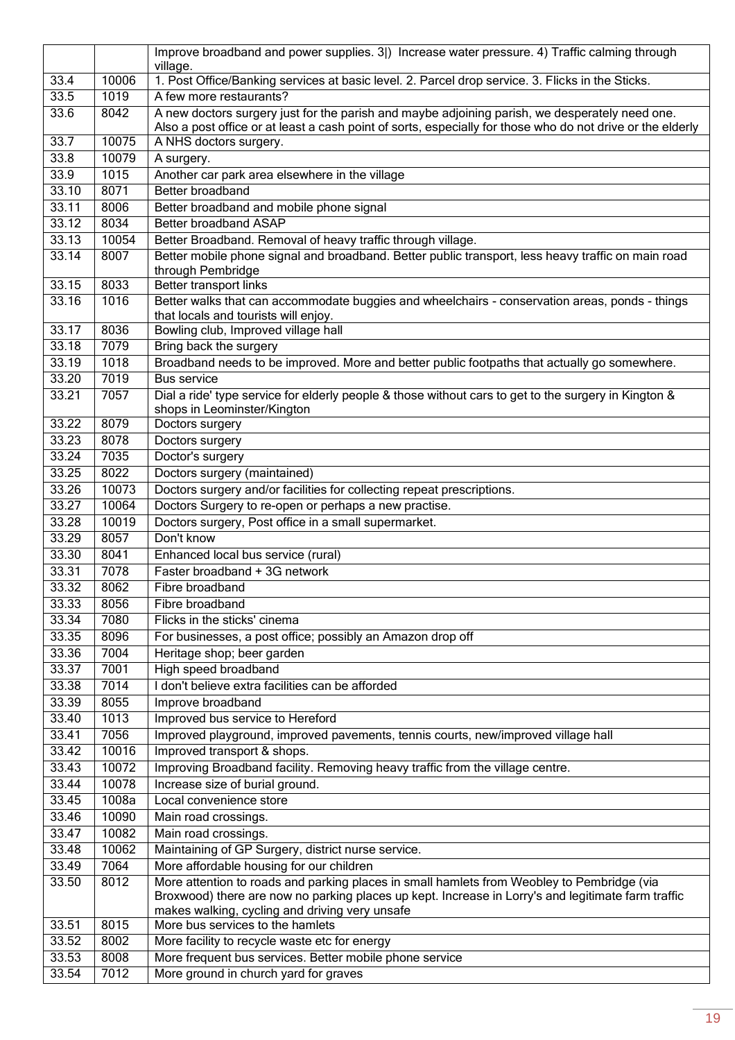|       |       | Improve broadband and power supplies. 3)) Increase water pressure. 4) Traffic calming through                                                                                                                |
|-------|-------|--------------------------------------------------------------------------------------------------------------------------------------------------------------------------------------------------------------|
|       |       | village.                                                                                                                                                                                                     |
| 33.4  | 10006 | 1. Post Office/Banking services at basic level. 2. Parcel drop service. 3. Flicks in the Sticks.                                                                                                             |
| 33.5  | 1019  | A few more restaurants?                                                                                                                                                                                      |
| 33.6  | 8042  | A new doctors surgery just for the parish and maybe adjoining parish, we desperately need one.<br>Also a post office or at least a cash point of sorts, especially for those who do not drive or the elderly |
| 33.7  | 10075 | A NHS doctors surgery.                                                                                                                                                                                       |
| 33.8  | 10079 | A surgery.                                                                                                                                                                                                   |
| 33.9  | 1015  | Another car park area elsewhere in the village                                                                                                                                                               |
| 33.10 | 8071  | Better broadband                                                                                                                                                                                             |
| 33.11 | 8006  | Better broadband and mobile phone signal                                                                                                                                                                     |
| 33.12 | 8034  | Better broadband ASAP                                                                                                                                                                                        |
| 33.13 | 10054 | Better Broadband. Removal of heavy traffic through village.                                                                                                                                                  |
| 33.14 | 8007  | Better mobile phone signal and broadband. Better public transport, less heavy traffic on main road                                                                                                           |
|       |       | through Pembridge                                                                                                                                                                                            |
| 33.15 | 8033  | Better transport links                                                                                                                                                                                       |
| 33.16 | 1016  | Better walks that can accommodate buggies and wheelchairs - conservation areas, ponds - things<br>that locals and tourists will enjoy.                                                                       |
| 33.17 | 8036  | Bowling club, Improved village hall                                                                                                                                                                          |
| 33.18 | 7079  | Bring back the surgery                                                                                                                                                                                       |
| 33.19 | 1018  | Broadband needs to be improved. More and better public footpaths that actually go somewhere.                                                                                                                 |
| 33.20 | 7019  | <b>Bus service</b>                                                                                                                                                                                           |
| 33.21 | 7057  | Dial a ride' type service for elderly people & those without cars to get to the surgery in Kington &<br>shops in Leominster/Kington                                                                          |
| 33.22 | 8079  | Doctors surgery                                                                                                                                                                                              |
| 33.23 | 8078  | Doctors surgery                                                                                                                                                                                              |
| 33.24 | 7035  | Doctor's surgery                                                                                                                                                                                             |
| 33.25 | 8022  | Doctors surgery (maintained)                                                                                                                                                                                 |
| 33.26 | 10073 | Doctors surgery and/or facilities for collecting repeat prescriptions.                                                                                                                                       |
| 33.27 | 10064 | Doctors Surgery to re-open or perhaps a new practise.                                                                                                                                                        |
| 33.28 | 10019 | Doctors surgery, Post office in a small supermarket.                                                                                                                                                         |
| 33.29 | 8057  | Don't know                                                                                                                                                                                                   |
| 33.30 | 8041  | Enhanced local bus service (rural)                                                                                                                                                                           |
| 33.31 | 7078  | Faster broadband + 3G network                                                                                                                                                                                |
| 33.32 | 8062  | Fibre broadband                                                                                                                                                                                              |
| 33.33 | 8056  | Fibre broadband                                                                                                                                                                                              |
| 33.34 | 7080  | Flicks in the sticks' cinema                                                                                                                                                                                 |
| 33.35 | 8096  | For businesses, a post office; possibly an Amazon drop off                                                                                                                                                   |
| 33.36 | 7004  | Heritage shop; beer garden                                                                                                                                                                                   |
| 33.37 | 7001  | High speed broadband                                                                                                                                                                                         |
| 33.38 | 7014  | I don't believe extra facilities can be afforded                                                                                                                                                             |
| 33.39 | 8055  | Improve broadband                                                                                                                                                                                            |
| 33.40 | 1013  | Improved bus service to Hereford                                                                                                                                                                             |
| 33.41 | 7056  | Improved playground, improved pavements, tennis courts, new/improved village hall                                                                                                                            |
| 33.42 | 10016 | Improved transport & shops.                                                                                                                                                                                  |
| 33.43 | 10072 | Improving Broadband facility. Removing heavy traffic from the village centre.                                                                                                                                |
| 33.44 | 10078 | Increase size of burial ground.                                                                                                                                                                              |
| 33.45 | 1008a | Local convenience store                                                                                                                                                                                      |
| 33.46 | 10090 | Main road crossings.                                                                                                                                                                                         |
| 33.47 | 10082 | Main road crossings.                                                                                                                                                                                         |
| 33.48 | 10062 | Maintaining of GP Surgery, district nurse service.                                                                                                                                                           |
| 33.49 | 7064  | More affordable housing for our children                                                                                                                                                                     |
| 33.50 | 8012  | More attention to roads and parking places in small hamlets from Weobley to Pembridge (via                                                                                                                   |
|       |       | Broxwood) there are now no parking places up kept. Increase in Lorry's and legitimate farm traffic<br>makes walking, cycling and driving very unsafe                                                         |
| 33.51 | 8015  | More bus services to the hamlets                                                                                                                                                                             |
| 33.52 | 8002  | More facility to recycle waste etc for energy                                                                                                                                                                |
| 33.53 | 8008  | More frequent bus services. Better mobile phone service                                                                                                                                                      |
| 33.54 | 7012  | More ground in church yard for graves                                                                                                                                                                        |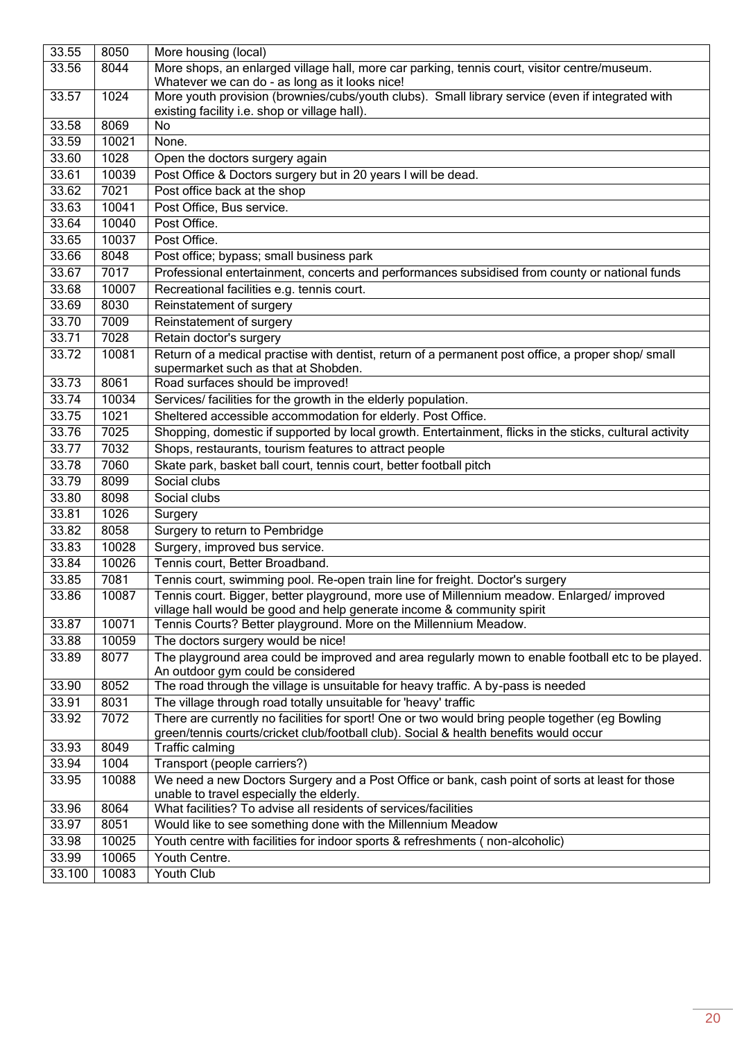| 33.55  | 8050  | More housing (local)                                                                                                                                                                     |
|--------|-------|------------------------------------------------------------------------------------------------------------------------------------------------------------------------------------------|
| 33.56  | 8044  | More shops, an enlarged village hall, more car parking, tennis court, visitor centre/museum.<br>Whatever we can do - as long as it looks nice!                                           |
| 33.57  | 1024  | More youth provision (brownies/cubs/youth clubs). Small library service (even if integrated with<br>existing facility i.e. shop or village hall).                                        |
| 33.58  | 8069  | No                                                                                                                                                                                       |
| 33.59  | 10021 | None.                                                                                                                                                                                    |
| 33.60  | 1028  | Open the doctors surgery again                                                                                                                                                           |
| 33.61  | 10039 | Post Office & Doctors surgery but in 20 years I will be dead.                                                                                                                            |
| 33.62  | 7021  | Post office back at the shop                                                                                                                                                             |
| 33.63  | 10041 | Post Office, Bus service.                                                                                                                                                                |
| 33.64  | 10040 | Post Office.                                                                                                                                                                             |
| 33.65  | 10037 | Post Office.                                                                                                                                                                             |
| 33.66  | 8048  | Post office; bypass; small business park                                                                                                                                                 |
| 33.67  | 7017  | Professional entertainment, concerts and performances subsidised from county or national funds                                                                                           |
| 33.68  | 10007 | Recreational facilities e.g. tennis court.                                                                                                                                               |
| 33.69  | 8030  | Reinstatement of surgery                                                                                                                                                                 |
| 33.70  | 7009  | Reinstatement of surgery                                                                                                                                                                 |
| 33.71  | 7028  | Retain doctor's surgery                                                                                                                                                                  |
| 33.72  | 10081 | Return of a medical practise with dentist, return of a permanent post office, a proper shop/ small                                                                                       |
| 33.73  | 8061  | supermarket such as that at Shobden.<br>Road surfaces should be improved!                                                                                                                |
| 33.74  | 10034 | Services/ facilities for the growth in the elderly population.                                                                                                                           |
| 33.75  | 1021  | Sheltered accessible accommodation for elderly. Post Office.                                                                                                                             |
| 33.76  | 7025  |                                                                                                                                                                                          |
| 33.77  | 7032  | Shopping, domestic if supported by local growth. Entertainment, flicks in the sticks, cultural activity<br>Shops, restaurants, tourism features to attract people                        |
|        |       |                                                                                                                                                                                          |
| 33.78  | 7060  | Skate park, basket ball court, tennis court, better football pitch<br>Social clubs                                                                                                       |
| 33.79  | 8099  |                                                                                                                                                                                          |
| 33.80  | 8098  | Social clubs                                                                                                                                                                             |
| 33.81  | 1026  | Surgery                                                                                                                                                                                  |
| 33.82  | 8058  | Surgery to return to Pembridge                                                                                                                                                           |
| 33.83  | 10028 | Surgery, improved bus service.                                                                                                                                                           |
| 33.84  | 10026 | Tennis court, Better Broadband.                                                                                                                                                          |
| 33.85  | 7081  | Tennis court, swimming pool. Re-open train line for freight. Doctor's surgery                                                                                                            |
| 33.86  | 10087 | Tennis court. Bigger, better playground, more use of Millennium meadow. Enlarged/improved<br>village hall would be good and help generate income & community spirit                      |
| 33.87  | 10071 | Tennis Courts? Better playground. More on the Millennium Meadow.                                                                                                                         |
| 33.88  | 10059 | The doctors surgery would be nice!                                                                                                                                                       |
| 33.89  | 8077  | The playground area could be improved and area regularly mown to enable football etc to be played.<br>An outdoor gym could be considered                                                 |
| 33.90  | 8052  | The road through the village is unsuitable for heavy traffic. A by-pass is needed                                                                                                        |
| 33.91  | 8031  | The village through road totally unsuitable for 'heavy' traffic                                                                                                                          |
| 33.92  | 7072  | There are currently no facilities for sport! One or two would bring people together (eg Bowling<br>green/tennis courts/cricket club/football club). Social & health benefits would occur |
| 33.93  | 8049  | Traffic calming                                                                                                                                                                          |
| 33.94  | 1004  | Transport (people carriers?)                                                                                                                                                             |
| 33.95  | 10088 | We need a new Doctors Surgery and a Post Office or bank, cash point of sorts at least for those<br>unable to travel especially the elderly.                                              |
| 33.96  | 8064  | What facilities? To advise all residents of services/facilities                                                                                                                          |
| 33.97  | 8051  | Would like to see something done with the Millennium Meadow                                                                                                                              |
| 33.98  | 10025 | Youth centre with facilities for indoor sports & refreshments (non-alcoholic)                                                                                                            |
| 33.99  | 10065 | Youth Centre.                                                                                                                                                                            |
| 33.100 | 10083 | Youth Club                                                                                                                                                                               |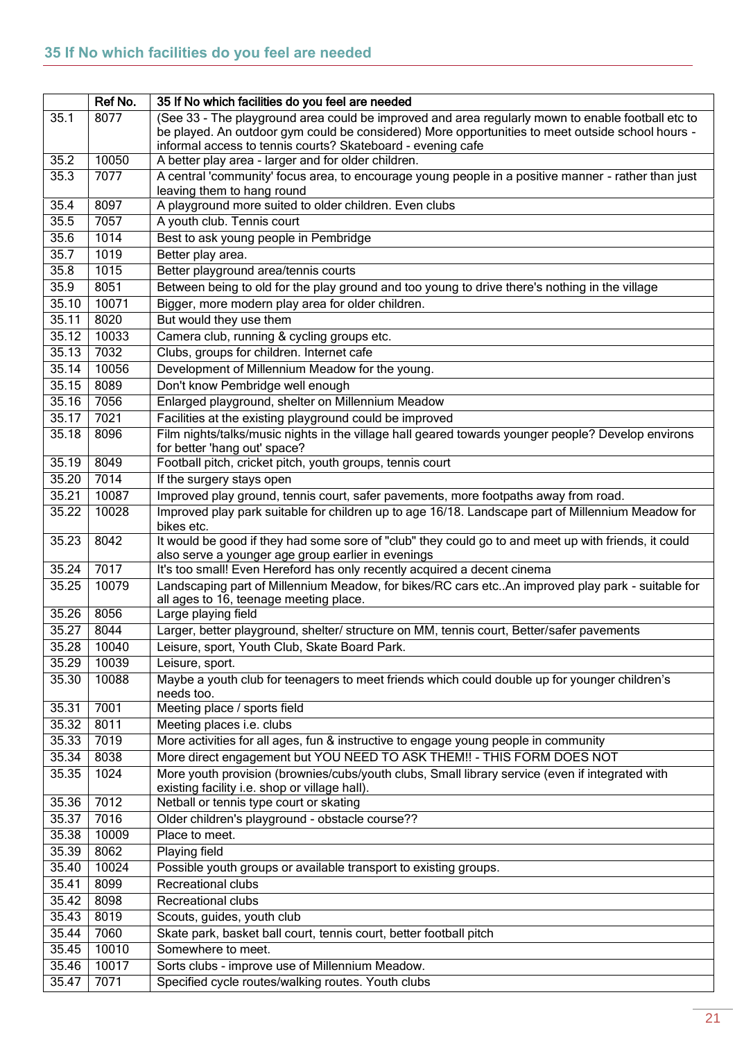<span id="page-20-0"></span>

|       | Ref No. | 35 If No which facilities do you feel are needed                                                                                                 |
|-------|---------|--------------------------------------------------------------------------------------------------------------------------------------------------|
| 35.1  | 8077    | (See 33 - The playground area could be improved and area regularly mown to enable football etc to                                                |
|       |         | be played. An outdoor gym could be considered) More opportunities to meet outside school hours -                                                 |
|       |         | informal access to tennis courts? Skateboard - evening cafe                                                                                      |
| 35.2  | 10050   | A better play area - larger and for older children.                                                                                              |
| 35.3  | 7077    | A central 'community' focus area, to encourage young people in a positive manner - rather than just<br>leaving them to hang round                |
| 35.4  | 8097    | A playground more suited to older children. Even clubs                                                                                           |
| 35.5  | 7057    | A youth club. Tennis court                                                                                                                       |
| 35.6  | 1014    | Best to ask young people in Pembridge                                                                                                            |
| 35.7  | 1019    | Better play area.                                                                                                                                |
| 35.8  | 1015    | Better playground area/tennis courts                                                                                                             |
| 35.9  | 8051    | Between being to old for the play ground and too young to drive there's nothing in the village                                                   |
| 35.10 | 10071   | Bigger, more modern play area for older children.                                                                                                |
| 35.11 | 8020    | But would they use them                                                                                                                          |
| 35.12 | 10033   | Camera club, running & cycling groups etc.                                                                                                       |
| 35.13 | 7032    | Clubs, groups for children. Internet cafe                                                                                                        |
| 35.14 | 10056   | Development of Millennium Meadow for the young.                                                                                                  |
| 35.15 | 8089    | Don't know Pembridge well enough                                                                                                                 |
| 35.16 | 7056    | Enlarged playground, shelter on Millennium Meadow                                                                                                |
| 35.17 | 7021    | Facilities at the existing playground could be improved                                                                                          |
| 35.18 | 8096    | Film nights/talks/music nights in the village hall geared towards younger people? Develop environs                                               |
|       |         | for better 'hang out' space?                                                                                                                     |
| 35.19 | 8049    | Football pitch, cricket pitch, youth groups, tennis court                                                                                        |
| 35.20 | 7014    | If the surgery stays open                                                                                                                        |
| 35.21 | 10087   | Improved play ground, tennis court, safer pavements, more footpaths away from road.                                                              |
| 35.22 | 10028   | Improved play park suitable for children up to age 16/18. Landscape part of Millennium Meadow for<br>bikes etc.                                  |
| 35.23 | 8042    | It would be good if they had some sore of "club" they could go to and meet up with friends, it could                                             |
|       |         | also serve a younger age group earlier in evenings                                                                                               |
| 35.24 | 7017    | It's too small! Even Hereford has only recently acquired a decent cinema                                                                         |
| 35.25 | 10079   | Landscaping part of Millennium Meadow, for bikes/RC cars etc. An improved play park - suitable for<br>all ages to 16, teenage meeting place.     |
| 35.26 | 8056    | Large playing field                                                                                                                              |
| 35.27 | 8044    | Larger, better playground, shelter/ structure on MM, tennis court, Better/safer pavements                                                        |
| 35.28 | 10040   | Leisure, sport, Youth Club, Skate Board Park.                                                                                                    |
| 35.29 | 10039   | Leisure, sport.                                                                                                                                  |
| 35.30 | 10088   | Maybe a youth club for teenagers to meet friends which could double up for younger children's<br>needs too.                                      |
| 35.31 | 7001    | Meeting place / sports field                                                                                                                     |
| 35.32 | 8011    | Meeting places i.e. clubs                                                                                                                        |
| 35.33 | 7019    | More activities for all ages, fun & instructive to engage young people in community                                                              |
| 35.34 | 8038    | More direct engagement but YOU NEED TO ASK THEM !! - THIS FORM DOES NOT                                                                          |
| 35.35 | 1024    | More youth provision (brownies/cubs/youth clubs, Small library service (even if integrated with<br>existing facility i.e. shop or village hall). |
| 35.36 | 7012    | Netball or tennis type court or skating                                                                                                          |
| 35.37 | 7016    | Older children's playground - obstacle course??                                                                                                  |
| 35.38 | 10009   | Place to meet.                                                                                                                                   |
| 35.39 | 8062    | Playing field                                                                                                                                    |
| 35.40 | 10024   | Possible youth groups or available transport to existing groups.                                                                                 |
| 35.41 | 8099    | <b>Recreational clubs</b>                                                                                                                        |
| 35.42 | 8098    | <b>Recreational clubs</b>                                                                                                                        |
| 35.43 | 8019    | Scouts, guides, youth club                                                                                                                       |
| 35.44 | 7060    | Skate park, basket ball court, tennis court, better football pitch                                                                               |
| 35.45 | 10010   | Somewhere to meet.                                                                                                                               |
| 35.46 | 10017   | Sorts clubs - improve use of Millennium Meadow.                                                                                                  |
| 35.47 | 7071    | Specified cycle routes/walking routes. Youth clubs                                                                                               |
|       |         |                                                                                                                                                  |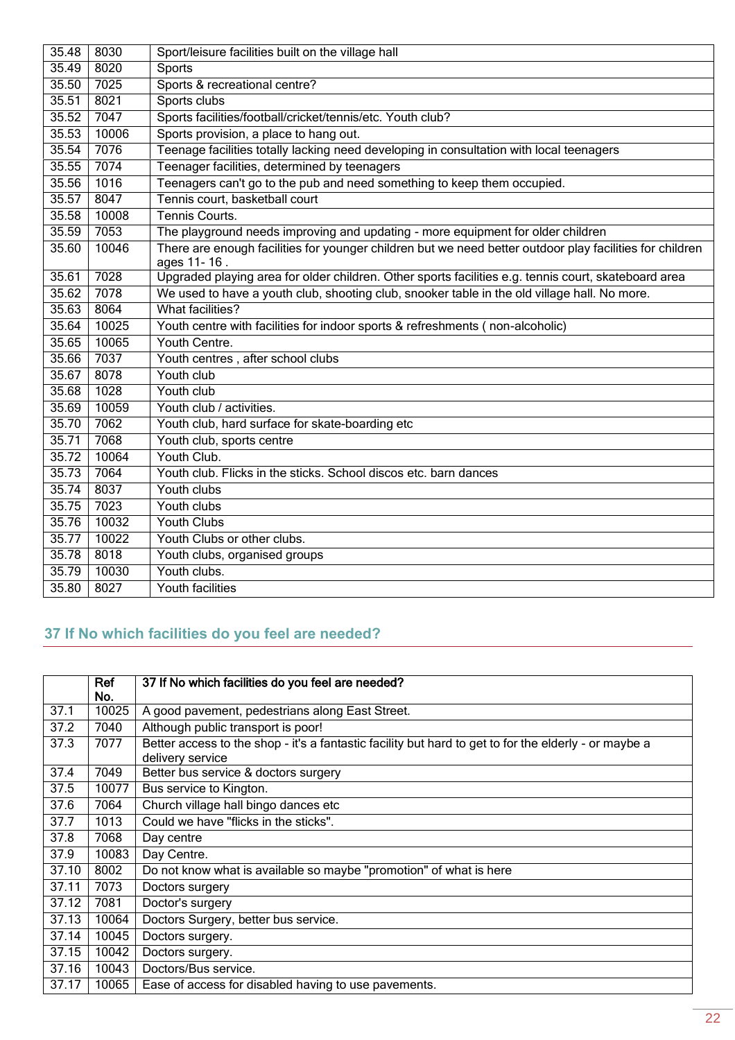| 35.48 | 8030  | Sport/leisure facilities built on the village hall                                                       |
|-------|-------|----------------------------------------------------------------------------------------------------------|
| 35.49 | 8020  | <b>Sports</b>                                                                                            |
| 35.50 | 7025  | Sports & recreational centre?                                                                            |
| 35.51 | 8021  | Sports clubs                                                                                             |
| 35.52 | 7047  | Sports facilities/football/cricket/tennis/etc. Youth club?                                               |
| 35.53 | 10006 | Sports provision, a place to hang out.                                                                   |
| 35.54 | 7076  | Teenage facilities totally lacking need developing in consultation with local teenagers                  |
| 35.55 | 7074  | Teenager facilities, determined by teenagers                                                             |
| 35.56 | 1016  | Teenagers can't go to the pub and need something to keep them occupied.                                  |
| 35.57 | 8047  | Tennis court, basketball court                                                                           |
| 35.58 | 10008 | Tennis Courts.                                                                                           |
| 35.59 | 7053  | The playground needs improving and updating - more equipment for older children                          |
| 35.60 | 10046 | There are enough facilities for younger children but we need better outdoor play facilities for children |
|       |       | ages 11-16.                                                                                              |
| 35.61 | 7028  | Upgraded playing area for older children. Other sports facilities e.g. tennis court, skateboard area     |
| 35.62 | 7078  | We used to have a youth club, shooting club, snooker table in the old village hall. No more.             |
| 35.63 | 8064  | What facilities?                                                                                         |
| 35.64 | 10025 | Youth centre with facilities for indoor sports & refreshments (non-alcoholic)                            |
| 35.65 | 10065 | Youth Centre.                                                                                            |
| 35.66 | 7037  | Youth centres, after school clubs                                                                        |
| 35.67 | 8078  | Youth club                                                                                               |
| 35.68 | 1028  | Youth club                                                                                               |
| 35.69 | 10059 | Youth club / activities.                                                                                 |
| 35.70 | 7062  | Youth club, hard surface for skate-boarding etc                                                          |
| 35.71 | 7068  | Youth club, sports centre                                                                                |
| 35.72 | 10064 | Youth Club.                                                                                              |
| 35.73 | 7064  | Youth club. Flicks in the sticks. School discos etc. barn dances                                         |
| 35.74 | 8037  | Youth clubs                                                                                              |
| 35.75 | 7023  | Youth clubs                                                                                              |
| 35.76 | 10032 | <b>Youth Clubs</b>                                                                                       |
| 35.77 | 10022 | Youth Clubs or other clubs.                                                                              |
| 35.78 | 8018  | Youth clubs, organised groups                                                                            |
| 35.79 | 10030 | Youth clubs.                                                                                             |
| 35.80 | 8027  | <b>Youth facilities</b>                                                                                  |

## <span id="page-21-0"></span>**37 If No which facilities do you feel are needed?**

|       | Ref<br>No. | 37 If No which facilities do you feel are needed?                                                     |
|-------|------------|-------------------------------------------------------------------------------------------------------|
| 37.1  | 10025      | A good pavement, pedestrians along East Street.                                                       |
| 37.2  | 7040       | Although public transport is poor!                                                                    |
| 37.3  | 7077       | Better access to the shop - it's a fantastic facility but hard to get to for the elderly - or maybe a |
|       |            | delivery service                                                                                      |
| 37.4  | 7049       | Better bus service & doctors surgery                                                                  |
| 37.5  | 10077      | Bus service to Kington.                                                                               |
| 37.6  | 7064       | Church village hall bingo dances etc                                                                  |
| 37.7  | 1013       | Could we have "flicks in the sticks".                                                                 |
| 37.8  | 7068       | Day centre                                                                                            |
| 37.9  | 10083      | Day Centre.                                                                                           |
| 37.10 | 8002       | Do not know what is available so maybe "promotion" of what is here                                    |
| 37.11 | 7073       | Doctors surgery                                                                                       |
| 37.12 | 7081       | Doctor's surgery                                                                                      |
| 37.13 | 10064      | Doctors Surgery, better bus service.                                                                  |
| 37.14 | 10045      | Doctors surgery.                                                                                      |
| 37.15 | 10042      | Doctors surgery.                                                                                      |
| 37.16 | 10043      | Doctors/Bus service.                                                                                  |
| 37.17 | 10065      | Ease of access for disabled having to use pavements.                                                  |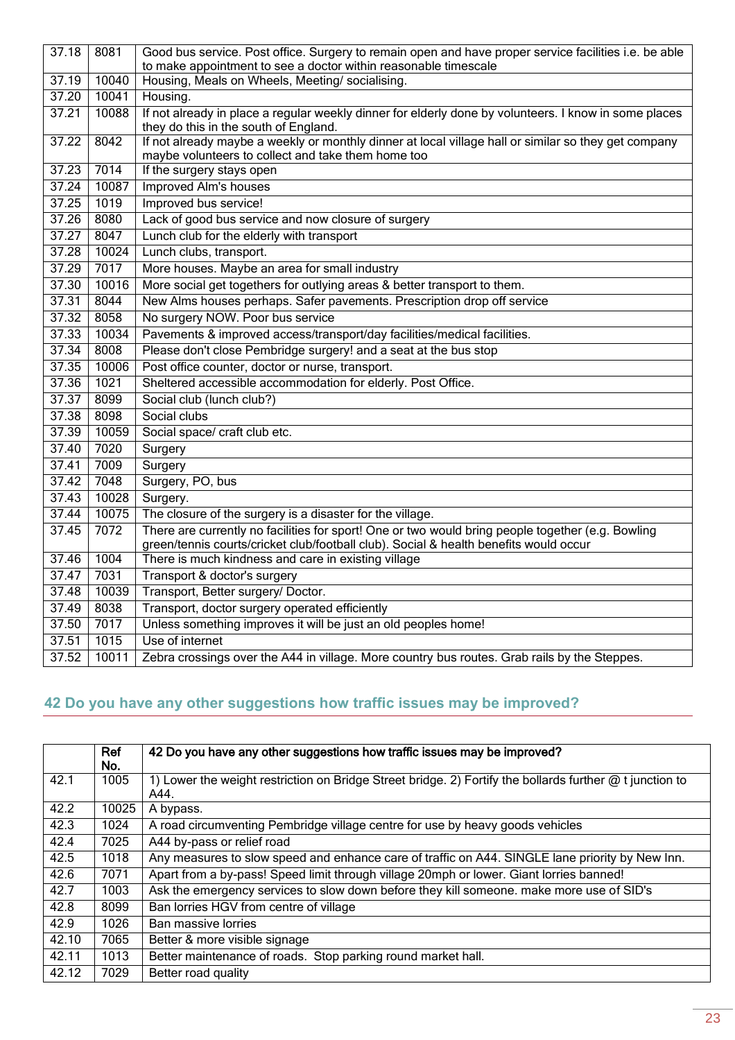| 37.18 | 8081  | Good bus service. Post office. Surgery to remain open and have proper service facilities i.e. be able                                          |
|-------|-------|------------------------------------------------------------------------------------------------------------------------------------------------|
|       |       | to make appointment to see a doctor within reasonable timescale                                                                                |
| 37.19 | 10040 | Housing, Meals on Wheels, Meeting/ socialising.                                                                                                |
| 37.20 | 10041 | Housing.                                                                                                                                       |
| 37.21 | 10088 | If not already in place a regular weekly dinner for elderly done by volunteers. I know in some places<br>they do this in the south of England. |
| 37.22 | 8042  | If not already maybe a weekly or monthly dinner at local village hall or similar so they get company                                           |
|       |       | maybe volunteers to collect and take them home too                                                                                             |
| 37.23 | 7014  | If the surgery stays open                                                                                                                      |
| 37.24 | 10087 | <b>Improved Alm's houses</b>                                                                                                                   |
| 37.25 | 1019  | Improved bus service!                                                                                                                          |
| 37.26 | 8080  | Lack of good bus service and now closure of surgery                                                                                            |
| 37.27 | 8047  | Lunch club for the elderly with transport                                                                                                      |
| 37.28 | 10024 | Lunch clubs, transport.                                                                                                                        |
| 37.29 | 7017  | More houses. Maybe an area for small industry                                                                                                  |
| 37.30 | 10016 | More social get togethers for outlying areas & better transport to them.                                                                       |
| 37.31 | 8044  | New Alms houses perhaps. Safer pavements. Prescription drop off service                                                                        |
| 37.32 | 8058  | No surgery NOW. Poor bus service                                                                                                               |
| 37.33 | 10034 | Pavements & improved access/transport/day facilities/medical facilities.                                                                       |
| 37.34 | 8008  | Please don't close Pembridge surgery! and a seat at the bus stop                                                                               |
| 37.35 | 10006 | Post office counter, doctor or nurse, transport.                                                                                               |
| 37.36 | 1021  | Sheltered accessible accommodation for elderly. Post Office.                                                                                   |
| 37.37 | 8099  | Social club (lunch club?)                                                                                                                      |
| 37.38 | 8098  | Social clubs                                                                                                                                   |
| 37.39 | 10059 | Social space/ craft club etc.                                                                                                                  |
| 37.40 | 7020  | Surgery                                                                                                                                        |
| 37.41 | 7009  | Surgery                                                                                                                                        |
| 37.42 | 7048  | Surgery, PO, bus                                                                                                                               |
| 37.43 | 10028 | Surgery.                                                                                                                                       |
| 37.44 | 10075 | The closure of the surgery is a disaster for the village.                                                                                      |
| 37.45 | 7072  | There are currently no facilities for sport! One or two would bring people together (e.g. Bowling                                              |
|       |       | green/tennis courts/cricket club/football club). Social & health benefits would occur                                                          |
| 37.46 | 1004  | There is much kindness and care in existing village                                                                                            |
| 37.47 | 7031  | Transport & doctor's surgery                                                                                                                   |
| 37.48 | 10039 | Transport, Better surgery/ Doctor.                                                                                                             |
| 37.49 | 8038  | Transport, doctor surgery operated efficiently                                                                                                 |
| 37.50 | 7017  | Unless something improves it will be just an old peoples home!                                                                                 |
| 37.51 | 1015  | Use of internet                                                                                                                                |
| 37.52 | 10011 | Zebra crossings over the A44 in village. More country bus routes. Grab rails by the Steppes.                                                   |

## <span id="page-22-0"></span>**42 Do you have any other suggestions how traffic issues may be improved?**

|       | Ref<br>No. | 42 Do you have any other suggestions how traffic issues may be improved?                                                |
|-------|------------|-------------------------------------------------------------------------------------------------------------------------|
| 42.1  | 1005       | 1) Lower the weight restriction on Bridge Street bridge. 2) Fortify the bollards further $\omega$ t junction to<br>A44. |
| 42.2  | 10025      | A bypass.                                                                                                               |
| 42.3  | 1024       | A road circumventing Pembridge village centre for use by heavy goods vehicles                                           |
| 42.4  | 7025       | A44 by-pass or relief road                                                                                              |
| 42.5  | 1018       | Any measures to slow speed and enhance care of traffic on A44. SINGLE lane priority by New Inn.                         |
| 42.6  | 7071       | Apart from a by-pass! Speed limit through village 20mph or lower. Giant lorries banned!                                 |
| 42.7  | 1003       | Ask the emergency services to slow down before they kill someone. make more use of SID's                                |
| 42.8  | 8099       | Ban lorries HGV from centre of village                                                                                  |
| 42.9  | 1026       | Ban massive lorries                                                                                                     |
| 42.10 | 7065       | Better & more visible signage                                                                                           |
| 42.11 | 1013       | Better maintenance of roads. Stop parking round market hall.                                                            |
| 42.12 | 7029       | Better road quality                                                                                                     |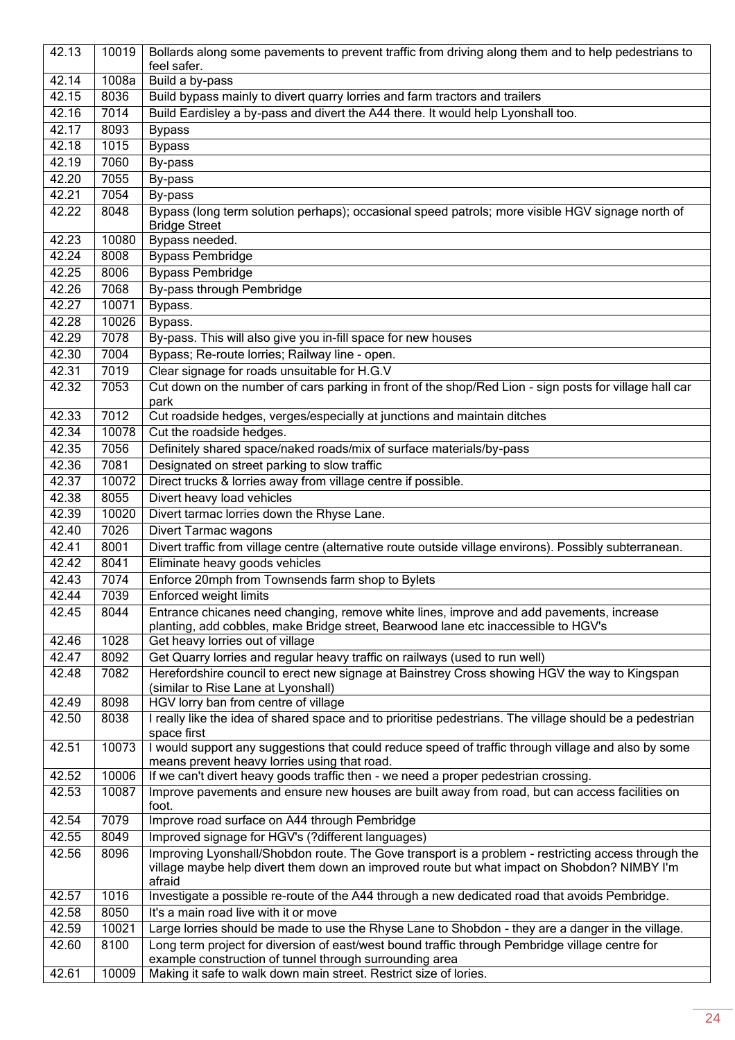| 42.13 | 10019 | Bollards along some pavements to prevent traffic from driving along them and to help pedestrians to                                                                                                          |
|-------|-------|--------------------------------------------------------------------------------------------------------------------------------------------------------------------------------------------------------------|
|       |       | feel safer.                                                                                                                                                                                                  |
| 42.14 | 1008a | Build a by-pass                                                                                                                                                                                              |
| 42.15 | 8036  | Build bypass mainly to divert quarry lorries and farm tractors and trailers                                                                                                                                  |
| 42.16 | 7014  | Build Eardisley a by-pass and divert the A44 there. It would help Lyonshall too.                                                                                                                             |
| 42.17 | 8093  | <b>Bypass</b>                                                                                                                                                                                                |
| 42.18 | 1015  | <b>Bypass</b>                                                                                                                                                                                                |
| 42.19 | 7060  | By-pass                                                                                                                                                                                                      |
| 42.20 | 7055  | By-pass                                                                                                                                                                                                      |
| 42.21 | 7054  | By-pass                                                                                                                                                                                                      |
| 42.22 | 8048  | Bypass (long term solution perhaps); occasional speed patrols; more visible HGV signage north of<br><b>Bridge Street</b>                                                                                     |
| 42.23 | 10080 | Bypass needed.                                                                                                                                                                                               |
| 42.24 | 8008  | <b>Bypass Pembridge</b>                                                                                                                                                                                      |
| 42.25 | 8006  | <b>Bypass Pembridge</b>                                                                                                                                                                                      |
| 42.26 | 7068  | By-pass through Pembridge                                                                                                                                                                                    |
| 42.27 | 10071 | Bypass.                                                                                                                                                                                                      |
| 42.28 | 10026 | Bypass.                                                                                                                                                                                                      |
| 42.29 | 7078  | By-pass. This will also give you in-fill space for new houses                                                                                                                                                |
| 42.30 | 7004  | Bypass; Re-route lorries; Railway line - open.                                                                                                                                                               |
| 42.31 | 7019  | Clear signage for roads unsuitable for H.G.V                                                                                                                                                                 |
| 42.32 | 7053  | Cut down on the number of cars parking in front of the shop/Red Lion - sign posts for village hall car<br>park                                                                                               |
| 42.33 | 7012  | Cut roadside hedges, verges/especially at junctions and maintain ditches                                                                                                                                     |
| 42.34 | 10078 | Cut the roadside hedges.                                                                                                                                                                                     |
| 42.35 | 7056  | Definitely shared space/naked roads/mix of surface materials/by-pass                                                                                                                                         |
| 42.36 | 7081  | Designated on street parking to slow traffic                                                                                                                                                                 |
| 42.37 | 10072 | Direct trucks & lorries away from village centre if possible.                                                                                                                                                |
| 42.38 | 8055  | Divert heavy load vehicles                                                                                                                                                                                   |
| 42.39 | 10020 | Divert tarmac lorries down the Rhyse Lane.                                                                                                                                                                   |
| 42.40 | 7026  | <b>Divert Tarmac wagons</b>                                                                                                                                                                                  |
| 42.41 | 8001  | Divert traffic from village centre (alternative route outside village environs). Possibly subterranean.                                                                                                      |
| 42.42 | 8041  | Eliminate heavy goods vehicles                                                                                                                                                                               |
| 42.43 | 7074  | Enforce 20mph from Townsends farm shop to Bylets                                                                                                                                                             |
| 42.44 | 7039  | Enforced weight limits                                                                                                                                                                                       |
| 42.45 | 8044  | Entrance chicanes need changing, remove white lines, improve and add pavements, increase                                                                                                                     |
| 42.46 | 1028  | planting, add cobbles, make Bridge street, Bearwood lane etc inaccessible to HGV's                                                                                                                           |
|       |       | Get heavy lorries out of village                                                                                                                                                                             |
| 42.47 | 8092  | Get Quarry lorries and regular heavy traffic on railways (used to run well)                                                                                                                                  |
| 42.48 | 7082  | Herefordshire council to erect new signage at Bainstrey Cross showing HGV the way to Kingspan                                                                                                                |
| 42.49 | 8098  | (similar to Rise Lane at Lyonshall)<br>HGV lorry ban from centre of village                                                                                                                                  |
| 42.50 | 8038  | I really like the idea of shared space and to prioritise pedestrians. The village should be a pedestrian                                                                                                     |
| 42.51 | 10073 | space first<br>I would support any suggestions that could reduce speed of traffic through village and also by some                                                                                           |
|       |       | means prevent heavy lorries using that road.                                                                                                                                                                 |
| 42.52 | 10006 | If we can't divert heavy goods traffic then - we need a proper pedestrian crossing.                                                                                                                          |
| 42.53 | 10087 | Improve pavements and ensure new houses are built away from road, but can access facilities on                                                                                                               |
|       |       | foot.                                                                                                                                                                                                        |
| 42.54 | 7079  | Improve road surface on A44 through Pembridge                                                                                                                                                                |
| 42.55 | 8049  | Improved signage for HGV's (?different languages)                                                                                                                                                            |
| 42.56 | 8096  | Improving Lyonshall/Shobdon route. The Gove transport is a problem - restricting access through the<br>village maybe help divert them down an improved route but what impact on Shobdon? NIMBY I'm<br>afraid |
| 42.57 | 1016  | Investigate a possible re-route of the A44 through a new dedicated road that avoids Pembridge.                                                                                                               |
| 42.58 | 8050  | It's a main road live with it or move                                                                                                                                                                        |
| 42.59 | 10021 | Large lorries should be made to use the Rhyse Lane to Shobdon - they are a danger in the village.                                                                                                            |
| 42.60 | 8100  | Long term project for diversion of east/west bound traffic through Pembridge village centre for<br>example construction of tunnel through surrounding area                                                   |
| 42.61 | 10009 | Making it safe to walk down main street. Restrict size of lories.                                                                                                                                            |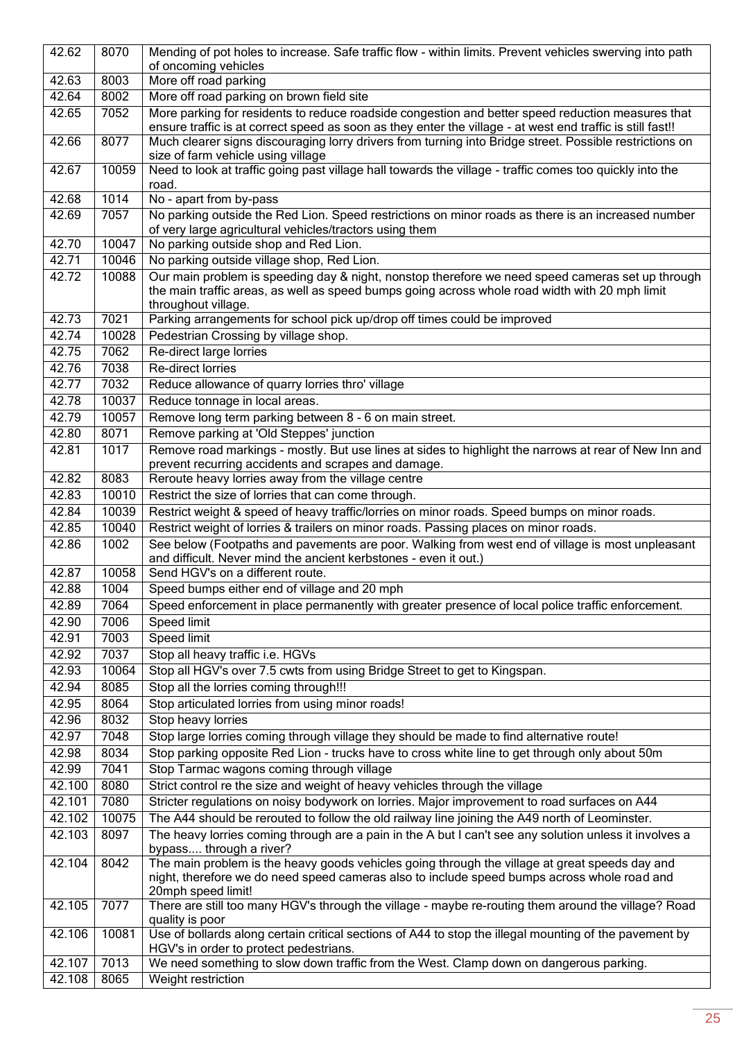| 42.62  | 8070  | Mending of pot holes to increase. Safe traffic flow - within limits. Prevent vehicles swerving into path                                                                                                                  |
|--------|-------|---------------------------------------------------------------------------------------------------------------------------------------------------------------------------------------------------------------------------|
|        |       | of oncoming vehicles                                                                                                                                                                                                      |
| 42.63  | 8003  | More off road parking                                                                                                                                                                                                     |
| 42.64  | 8002  | More off road parking on brown field site                                                                                                                                                                                 |
| 42.65  | 7052  | More parking for residents to reduce roadside congestion and better speed reduction measures that<br>ensure traffic is at correct speed as soon as they enter the village - at west end traffic is still fast!!           |
| 42.66  | 8077  | Much clearer signs discouraging lorry drivers from turning into Bridge street. Possible restrictions on<br>size of farm vehicle using village                                                                             |
| 42.67  | 10059 | Need to look at traffic going past village hall towards the village - traffic comes too quickly into the<br>road.                                                                                                         |
| 42.68  | 1014  | No - apart from by-pass                                                                                                                                                                                                   |
| 42.69  | 7057  | No parking outside the Red Lion. Speed restrictions on minor roads as there is an increased number<br>of very large agricultural vehicles/tractors using them                                                             |
| 42.70  | 10047 | No parking outside shop and Red Lion.                                                                                                                                                                                     |
| 42.71  | 10046 | No parking outside village shop, Red Lion.                                                                                                                                                                                |
| 42.72  | 10088 | Our main problem is speeding day & night, nonstop therefore we need speed cameras set up through<br>the main traffic areas, as well as speed bumps going across whole road width with 20 mph limit<br>throughout village. |
| 42.73  | 7021  | Parking arrangements for school pick up/drop off times could be improved                                                                                                                                                  |
| 42.74  | 10028 | Pedestrian Crossing by village shop.                                                                                                                                                                                      |
| 42.75  | 7062  | Re-direct large lorries                                                                                                                                                                                                   |
| 42.76  | 7038  | Re-direct lorries                                                                                                                                                                                                         |
| 42.77  | 7032  | Reduce allowance of quarry lorries thro' village                                                                                                                                                                          |
| 42.78  | 10037 | Reduce tonnage in local areas.                                                                                                                                                                                            |
| 42.79  | 10057 | Remove long term parking between 8 - 6 on main street.                                                                                                                                                                    |
| 42.80  | 8071  | Remove parking at 'Old Steppes' junction                                                                                                                                                                                  |
| 42.81  | 1017  | Remove road markings - mostly. But use lines at sides to highlight the narrows at rear of New Inn and<br>prevent recurring accidents and scrapes and damage.                                                              |
| 42.82  | 8083  | Reroute heavy lorries away from the village centre                                                                                                                                                                        |
| 42.83  | 10010 | Restrict the size of lorries that can come through.                                                                                                                                                                       |
| 42.84  | 10039 | Restrict weight & speed of heavy traffic/lorries on minor roads. Speed bumps on minor roads.                                                                                                                              |
| 42.85  | 10040 | Restrict weight of lorries & trailers on minor roads. Passing places on minor roads.                                                                                                                                      |
| 42.86  | 1002  | See below (Footpaths and pavements are poor. Walking from west end of village is most unpleasant                                                                                                                          |
|        |       | and difficult. Never mind the ancient kerbstones - even it out.)                                                                                                                                                          |
| 42.87  | 10058 | Send HGV's on a different route.                                                                                                                                                                                          |
| 42.88  | 1004  | Speed bumps either end of village and 20 mph                                                                                                                                                                              |
| 42.89  | 7064  | Speed enforcement in place permanently with greater presence of local police traffic enforcement.                                                                                                                         |
| 42.90  | 7006  | Speed limit                                                                                                                                                                                                               |
| 42.91  | 7003  | Speed limit                                                                                                                                                                                                               |
| 42.92  | 7037  | Stop all heavy traffic i.e. HGVs                                                                                                                                                                                          |
| 42.93  | 10064 | Stop all HGV's over 7.5 cwts from using Bridge Street to get to Kingspan.                                                                                                                                                 |
| 42.94  | 8085  | Stop all the lorries coming through!!!                                                                                                                                                                                    |
| 42.95  | 8064  | Stop articulated lorries from using minor roads!                                                                                                                                                                          |
| 42.96  | 8032  | Stop heavy lorries                                                                                                                                                                                                        |
| 42.97  | 7048  | Stop large lorries coming through village they should be made to find alternative route!                                                                                                                                  |
| 42.98  | 8034  | Stop parking opposite Red Lion - trucks have to cross white line to get through only about 50m                                                                                                                            |
| 42.99  | 7041  | Stop Tarmac wagons coming through village                                                                                                                                                                                 |
| 42.100 | 8080  | Strict control re the size and weight of heavy vehicles through the village                                                                                                                                               |
| 42.101 | 7080  | Stricter regulations on noisy bodywork on lorries. Major improvement to road surfaces on A44                                                                                                                              |
| 42.102 | 10075 | The A44 should be rerouted to follow the old railway line joining the A49 north of Leominster.                                                                                                                            |
| 42.103 | 8097  | The heavy lorries coming through are a pain in the A but I can't see any solution unless it involves a<br>bypass through a river?                                                                                         |
| 42.104 | 8042  | The main problem is the heavy goods vehicles going through the village at great speeds day and                                                                                                                            |
|        |       | night, therefore we do need speed cameras also to include speed bumps across whole road and                                                                                                                               |
|        |       | 20mph speed limit!                                                                                                                                                                                                        |
| 42.105 | 7077  | There are still too many HGV's through the village - maybe re-routing them around the village? Road                                                                                                                       |
|        |       | quality is poor                                                                                                                                                                                                           |
| 42.106 | 10081 | Use of bollards along certain critical sections of A44 to stop the illegal mounting of the pavement by<br>HGV's in order to protect pedestrians.                                                                          |
| 42.107 | 7013  | We need something to slow down traffic from the West. Clamp down on dangerous parking.                                                                                                                                    |
| 42.108 | 8065  | Weight restriction                                                                                                                                                                                                        |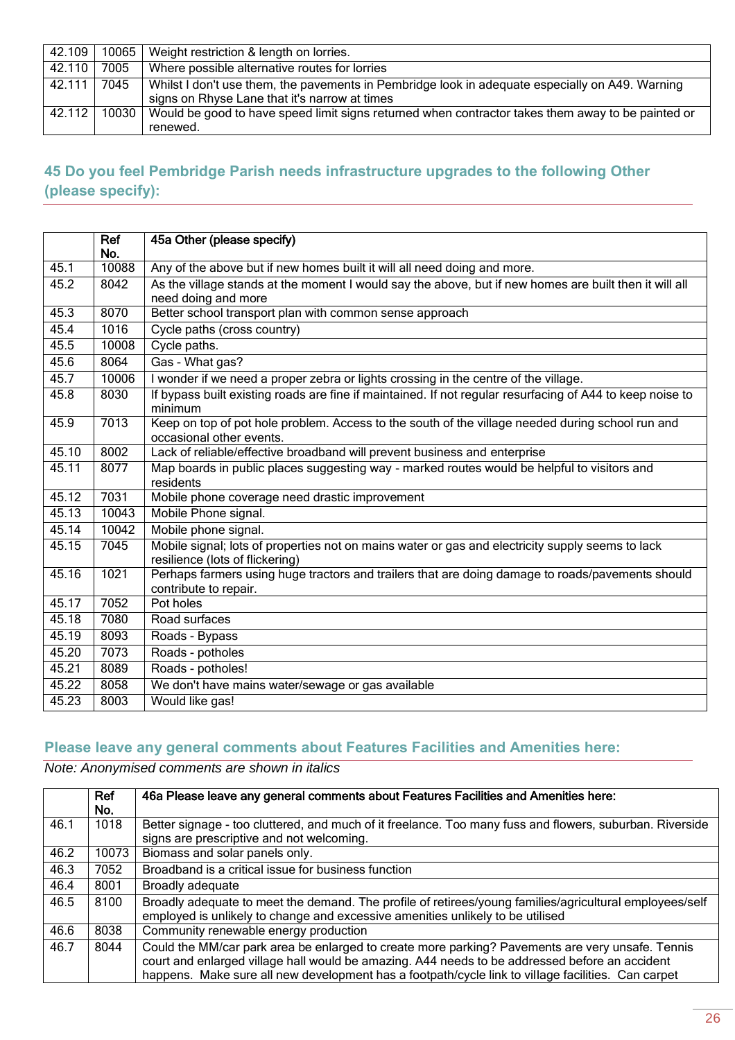| 42.109 | 10065 | Weight restriction & length on lorries.                                                           |
|--------|-------|---------------------------------------------------------------------------------------------------|
| 42.110 | 7005  | Where possible alternative routes for lorries                                                     |
| 42.111 | 7045  | Whilst I don't use them, the pavements in Pembridge look in adequate especially on A49. Warning   |
|        |       | signs on Rhyse Lane that it's narrow at times                                                     |
| 42.112 | 10030 | Would be good to have speed limit signs returned when contractor takes them away to be painted or |
|        |       | renewed.                                                                                          |

### <span id="page-25-0"></span>**45 Do you feel Pembridge Parish needs infrastructure upgrades to the following Other (please specify):**

|       | Ref<br>No. | 45a Other (please specify)                                                                                                   |
|-------|------------|------------------------------------------------------------------------------------------------------------------------------|
| 45.1  | 10088      | Any of the above but if new homes built it will all need doing and more.                                                     |
| 45.2  | 8042       | As the village stands at the moment I would say the above, but if new homes are built then it will all                       |
|       |            | need doing and more                                                                                                          |
| 45.3  | 8070       | Better school transport plan with common sense approach                                                                      |
| 45.4  | 1016       | Cycle paths (cross country)                                                                                                  |
| 45.5  | 10008      | Cycle paths.                                                                                                                 |
| 45.6  | 8064       | Gas - What gas?                                                                                                              |
| 45.7  | 10006      | I wonder if we need a proper zebra or lights crossing in the centre of the village.                                          |
| 45.8  | 8030       | If bypass built existing roads are fine if maintained. If not regular resurfacing of A44 to keep noise to<br>minimum         |
| 45.9  | 7013       | Keep on top of pot hole problem. Access to the south of the village needed during school run and<br>occasional other events. |
| 45.10 | 8002       | Lack of reliable/effective broadband will prevent business and enterprise                                                    |
| 45.11 | 8077       | Map boards in public places suggesting way - marked routes would be helpful to visitors and<br>residents                     |
| 45.12 | 7031       | Mobile phone coverage need drastic improvement                                                                               |
| 45.13 | 10043      | Mobile Phone signal.                                                                                                         |
| 45.14 | 10042      | Mobile phone signal.                                                                                                         |
| 45.15 | 7045       | Mobile signal; lots of properties not on mains water or gas and electricity supply seems to lack                             |
|       |            | resilience (lots of flickering)                                                                                              |
| 45.16 | 1021       | Perhaps farmers using huge tractors and trailers that are doing damage to roads/pavements should<br>contribute to repair.    |
| 45.17 | 7052       | Pot holes                                                                                                                    |
| 45.18 | 7080       | Road surfaces                                                                                                                |
| 45.19 | 8093       | Roads - Bypass                                                                                                               |
| 45.20 | 7073       | Roads - potholes                                                                                                             |
| 45.21 | 8089       | Roads - potholes!                                                                                                            |
| 45.22 | 8058       | We don't have mains water/sewage or gas available                                                                            |
| 45.23 | 8003       | Would like gas!                                                                                                              |

#### <span id="page-25-1"></span>**Please leave any general comments about Features Facilities and Amenities here:**

|      | Ref<br>No. | 46a Please leave any general comments about Features Facilities and Amenities here:                                                                                                                                                                                                                      |
|------|------------|----------------------------------------------------------------------------------------------------------------------------------------------------------------------------------------------------------------------------------------------------------------------------------------------------------|
| 46.1 | 1018       | Better signage - too cluttered, and much of it freelance. Too many fuss and flowers, suburban. Riverside<br>signs are prescriptive and not welcoming.                                                                                                                                                    |
| 46.2 | 10073      | Biomass and solar panels only.                                                                                                                                                                                                                                                                           |
| 46.3 | 7052       | Broadband is a critical issue for business function                                                                                                                                                                                                                                                      |
| 46.4 | 8001       | Broadly adequate                                                                                                                                                                                                                                                                                         |
| 46.5 | 8100       | Broadly adequate to meet the demand. The profile of retirees/young families/agricultural employees/self<br>employed is unlikely to change and excessive amenities unlikely to be utilised                                                                                                                |
| 46.6 | 8038       | Community renewable energy production                                                                                                                                                                                                                                                                    |
| 46.7 | 8044       | Could the MM/car park area be enlarged to create more parking? Pavements are very unsafe. Tennis<br>court and enlarged village hall would be amazing. A44 needs to be addressed before an accident<br>happens. Make sure all new development has a footpath/cycle link to village facilities. Can carpet |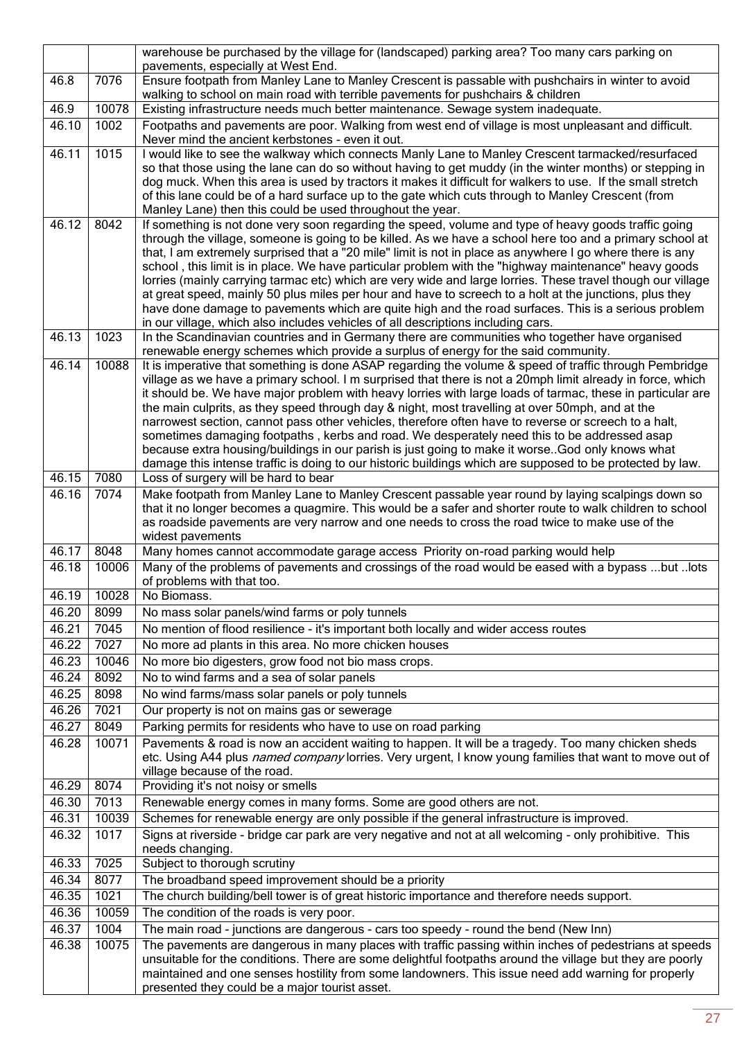|                |               | warehouse be purchased by the village for (landscaped) parking area? Too many cars parking on                                                                                                                    |
|----------------|---------------|------------------------------------------------------------------------------------------------------------------------------------------------------------------------------------------------------------------|
|                |               | pavements, especially at West End.                                                                                                                                                                               |
| 46.8           | 7076          | Ensure footpath from Manley Lane to Manley Crescent is passable with pushchairs in winter to avoid                                                                                                               |
| 46.9           | 10078         | walking to school on main road with terrible pavements for pushchairs & children<br>Existing infrastructure needs much better maintenance. Sewage system inadequate.                                             |
| 46.10          | 1002          | Footpaths and pavements are poor. Walking from west end of village is most unpleasant and difficult.                                                                                                             |
|                |               | Never mind the ancient kerbstones - even it out.                                                                                                                                                                 |
| 46.11          | 1015          | I would like to see the walkway which connects Manly Lane to Manley Crescent tarmacked/resurfaced                                                                                                                |
|                |               | so that those using the lane can do so without having to get muddy (in the winter months) or stepping in                                                                                                         |
|                |               | dog muck. When this area is used by tractors it makes it difficult for walkers to use. If the small stretch                                                                                                      |
|                |               | of this lane could be of a hard surface up to the gate which cuts through to Manley Crescent (from                                                                                                               |
| 46.12          | 8042          | Manley Lane) then this could be used throughout the year.                                                                                                                                                        |
|                |               | If something is not done very soon regarding the speed, volume and type of heavy goods traffic going<br>through the village, someone is going to be killed. As we have a school here too and a primary school at |
|                |               | that, I am extremely surprised that a "20 mile" limit is not in place as anywhere I go where there is any                                                                                                        |
|                |               | school, this limit is in place. We have particular problem with the "highway maintenance" heavy goods                                                                                                            |
|                |               | lorries (mainly carrying tarmac etc) which are very wide and large lorries. These travel though our village                                                                                                      |
|                |               | at great speed, mainly 50 plus miles per hour and have to screech to a holt at the junctions, plus they                                                                                                          |
|                |               | have done damage to pavements which are quite high and the road surfaces. This is a serious problem                                                                                                              |
| 46.13          | 1023          | in our village, which also includes vehicles of all descriptions including cars.<br>In the Scandinavian countries and in Germany there are communities who together have organised                               |
|                |               | renewable energy schemes which provide a surplus of energy for the said community.                                                                                                                               |
| 46.14          | 10088         | It is imperative that something is done ASAP regarding the volume & speed of traffic through Pembridge                                                                                                           |
|                |               | village as we have a primary school. I m surprised that there is not a 20mph limit already in force, which                                                                                                       |
|                |               | it should be. We have major problem with heavy lorries with large loads of tarmac, these in particular are                                                                                                       |
|                |               | the main culprits, as they speed through day & night, most travelling at over 50mph, and at the<br>narrowest section, cannot pass other vehicles, therefore often have to reverse or screech to a halt,          |
|                |               | sometimes damaging footpaths, kerbs and road. We desperately need this to be addressed asap                                                                                                                      |
|                |               | because extra housing/buildings in our parish is just going to make it worse. God only knows what                                                                                                                |
|                |               | damage this intense traffic is doing to our historic buildings which are supposed to be protected by law.                                                                                                        |
| 46.15          | 7080          | Loss of surgery will be hard to bear                                                                                                                                                                             |
| 46.16          | 7074          | Make footpath from Manley Lane to Manley Crescent passable year round by laying scalpings down so                                                                                                                |
|                |               | that it no longer becomes a quagmire. This would be a safer and shorter route to walk children to school<br>as roadside pavements are very narrow and one needs to cross the road twice to make use of the       |
|                |               | widest pavements                                                                                                                                                                                                 |
| 46.17          | 8048          | Many homes cannot accommodate garage access Priority on-road parking would help                                                                                                                                  |
| 46.18          | 10006         | Many of the problems of pavements and crossings of the road would be eased with a bypass but lots                                                                                                                |
|                |               | of problems with that too.                                                                                                                                                                                       |
| 46.19          | 10028         | No Biomass.                                                                                                                                                                                                      |
| 46.20          | 8099          | No mass solar panels/wind farms or poly tunnels                                                                                                                                                                  |
| 46.21          | 7045          | No mention of flood resilience - it's important both locally and wider access routes                                                                                                                             |
| 46.22          | 7027          | No more ad plants in this area. No more chicken houses                                                                                                                                                           |
| 46.23<br>46.24 | 10046<br>8092 | No more bio digesters, grow food not bio mass crops.<br>No to wind farms and a sea of solar panels                                                                                                               |
| 46.25          | 8098          | No wind farms/mass solar panels or poly tunnels                                                                                                                                                                  |
| 46.26          | 7021          | Our property is not on mains gas or sewerage                                                                                                                                                                     |
| 46.27          | 8049          | Parking permits for residents who have to use on road parking                                                                                                                                                    |
| 46.28          | 10071         | Pavements & road is now an accident waiting to happen. It will be a tragedy. Too many chicken sheds                                                                                                              |
|                |               | etc. Using A44 plus named company lorries. Very urgent, I know young families that want to move out of                                                                                                           |
|                |               | village because of the road.                                                                                                                                                                                     |
| 46.29          | 8074          | Providing it's not noisy or smells                                                                                                                                                                               |
| 46.30          | 7013          | Renewable energy comes in many forms. Some are good others are not.                                                                                                                                              |
| 46.31          | 10039         | Schemes for renewable energy are only possible if the general infrastructure is improved.                                                                                                                        |
| 46.32          | 1017          | Signs at riverside - bridge car park are very negative and not at all welcoming - only prohibitive. This                                                                                                         |
| 46.33          | 7025          | needs changing.                                                                                                                                                                                                  |
| 46.34          | 8077          | Subject to thorough scrutiny<br>The broadband speed improvement should be a priority                                                                                                                             |
| 46.35          | 1021          | The church building/bell tower is of great historic importance and therefore needs support.                                                                                                                      |
| 46.36          | 10059         | The condition of the roads is very poor.                                                                                                                                                                         |
| 46.37          | 1004          | The main road - junctions are dangerous - cars too speedy - round the bend (New Inn)                                                                                                                             |
| 46.38          | 10075         | The pavements are dangerous in many places with traffic passing within inches of pedestrians at speeds                                                                                                           |
|                |               | unsuitable for the conditions. There are some delightful footpaths around the village but they are poorly                                                                                                        |
|                |               | maintained and one senses hostility from some landowners. This issue need add warning for properly                                                                                                               |
|                |               | presented they could be a major tourist asset.                                                                                                                                                                   |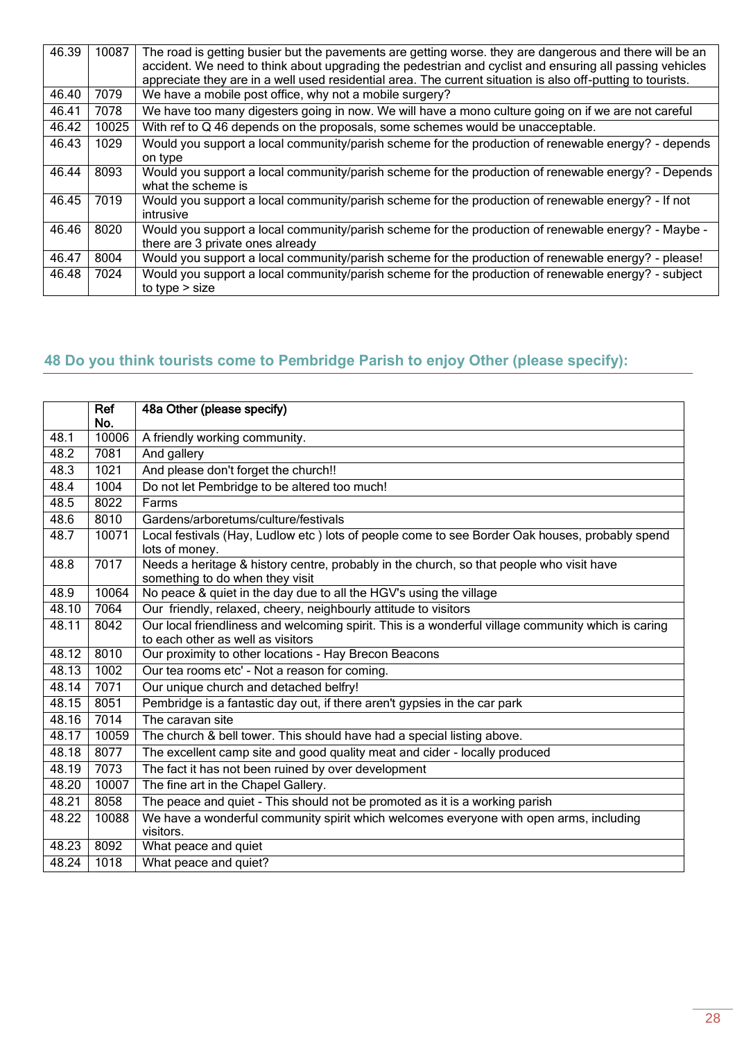| 46.39 | 10087 | The road is getting busier but the pavements are getting worse, they are dangerous and there will be an<br>accident. We need to think about upgrading the pedestrian and cyclist and ensuring all passing vehicles<br>appreciate they are in a well used residential area. The current situation is also off-putting to tourists. |
|-------|-------|-----------------------------------------------------------------------------------------------------------------------------------------------------------------------------------------------------------------------------------------------------------------------------------------------------------------------------------|
| 46.40 | 7079  | We have a mobile post office, why not a mobile surgery?                                                                                                                                                                                                                                                                           |
| 46.41 | 7078  | We have too many digesters going in now. We will have a mono culture going on if we are not careful                                                                                                                                                                                                                               |
| 46.42 | 10025 | With ref to Q 46 depends on the proposals, some schemes would be unacceptable.                                                                                                                                                                                                                                                    |
| 46.43 | 1029  | Would you support a local community/parish scheme for the production of renewable energy? - depends<br>on type                                                                                                                                                                                                                    |
| 46.44 | 8093  | Would you support a local community/parish scheme for the production of renewable energy? - Depends<br>what the scheme is                                                                                                                                                                                                         |
| 46.45 | 7019  | Would you support a local community/parish scheme for the production of renewable energy? - If not<br>intrusive                                                                                                                                                                                                                   |
| 46.46 | 8020  | Would you support a local community/parish scheme for the production of renewable energy? - Maybe -<br>there are 3 private ones already                                                                                                                                                                                           |
| 46.47 | 8004  | Would you support a local community/parish scheme for the production of renewable energy? - please!                                                                                                                                                                                                                               |
| 46.48 | 7024  | Would you support a local community/parish scheme for the production of renewable energy? - subject<br>to type $>$ size                                                                                                                                                                                                           |

## <span id="page-27-0"></span>**48 Do you think tourists come to Pembridge Parish to enjoy Other (please specify):**

|       | Ref<br>No. | 48a Other (please specify)                                                                                                  |
|-------|------------|-----------------------------------------------------------------------------------------------------------------------------|
| 48.1  | 10006      | A friendly working community.                                                                                               |
| 48.2  | 7081       | And gallery                                                                                                                 |
| 48.3  | 1021       | And please don't forget the church!!                                                                                        |
| 48.4  | 1004       | Do not let Pembridge to be altered too much!                                                                                |
| 48.5  | 8022       | Farms                                                                                                                       |
| 48.6  | 8010       | Gardens/arboretums/culture/festivals                                                                                        |
| 48.7  | 10071      | Local festivals (Hay, Ludlow etc ) lots of people come to see Border Oak houses, probably spend<br>lots of money.           |
| 48.8  | 7017       | Needs a heritage & history centre, probably in the church, so that people who visit have<br>something to do when they visit |
| 48.9  | 10064      | No peace & quiet in the day due to all the HGV's using the village                                                          |
| 48.10 | 7064       | Our friendly, relaxed, cheery, neighbourly attitude to visitors                                                             |
| 48.11 | 8042       | Our local friendliness and welcoming spirit. This is a wonderful village community which is caring                          |
|       |            | to each other as well as visitors                                                                                           |
| 48.12 | 8010       | Our proximity to other locations - Hay Brecon Beacons                                                                       |
| 48.13 | 1002       | Our tea rooms etc' - Not a reason for coming.                                                                               |
| 48.14 | 7071       | Our unique church and detached belfry!                                                                                      |
| 48.15 | 8051       | Pembridge is a fantastic day out, if there aren't gypsies in the car park                                                   |
| 48.16 | 7014       | The caravan site                                                                                                            |
| 48.17 | 10059      | The church & bell tower. This should have had a special listing above.                                                      |
| 48.18 | 8077       | The excellent camp site and good quality meat and cider - locally produced                                                  |
| 48.19 | 7073       | The fact it has not been ruined by over development                                                                         |
| 48.20 | 10007      | The fine art in the Chapel Gallery.                                                                                         |
| 48.21 | 8058       | The peace and quiet - This should not be promoted as it is a working parish                                                 |
| 48.22 | 10088      | We have a wonderful community spirit which welcomes everyone with open arms, including                                      |
|       |            | visitors.                                                                                                                   |
| 48.23 | 8092       | What peace and quiet                                                                                                        |
| 48.24 | 1018       | What peace and quiet?                                                                                                       |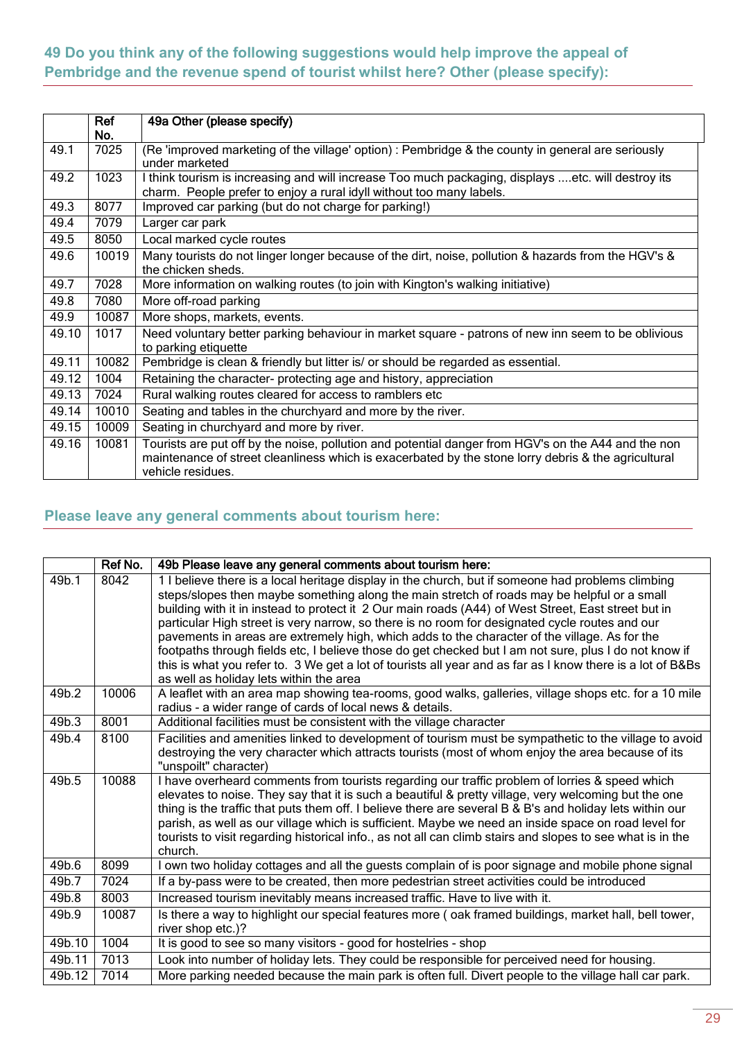### <span id="page-28-0"></span>**49 Do you think any of the following suggestions would help improve the appeal of Pembridge and the revenue spend of tourist whilst here? Other (please specify):**

|       | Ref<br>No. | 49a Other (please specify)                                                                                                                                                                                                      |
|-------|------------|---------------------------------------------------------------------------------------------------------------------------------------------------------------------------------------------------------------------------------|
| 49.1  | 7025       | (Re 'improved marketing of the village' option) : Pembridge & the county in general are seriously<br>under marketed                                                                                                             |
| 49.2  | 1023       | I think tourism is increasing and will increase Too much packaging, displays etc. will destroy its<br>charm. People prefer to enjoy a rural idyll without too many labels.                                                      |
| 49.3  | 8077       | Improved car parking (but do not charge for parking!)                                                                                                                                                                           |
| 49.4  | 7079       | Larger car park                                                                                                                                                                                                                 |
| 49.5  | 8050       | Local marked cycle routes                                                                                                                                                                                                       |
| 49.6  | 10019      | Many tourists do not linger longer because of the dirt, noise, pollution & hazards from the HGV's &<br>the chicken sheds.                                                                                                       |
| 49.7  | 7028       | More information on walking routes (to join with Kington's walking initiative)                                                                                                                                                  |
| 49.8  | 7080       | More off-road parking                                                                                                                                                                                                           |
| 49.9  | 10087      | More shops, markets, events.                                                                                                                                                                                                    |
| 49.10 | 1017       | Need voluntary better parking behaviour in market square - patrons of new inn seem to be oblivious<br>to parking etiquette                                                                                                      |
| 49.11 | 10082      | Pembridge is clean & friendly but litter is/ or should be regarded as essential.                                                                                                                                                |
| 49.12 | 1004       | Retaining the character- protecting age and history, appreciation                                                                                                                                                               |
| 49.13 | 7024       | Rural walking routes cleared for access to ramblers etc                                                                                                                                                                         |
| 49.14 | 10010      | Seating and tables in the churchyard and more by the river.                                                                                                                                                                     |
| 49.15 | 10009      | Seating in churchyard and more by river.                                                                                                                                                                                        |
| 49.16 | 10081      | Tourists are put off by the noise, pollution and potential danger from HGV's on the A44 and the non<br>maintenance of street cleanliness which is exacerbated by the stone lorry debris & the agricultural<br>vehicle residues. |

## <span id="page-28-1"></span>**Please leave any general comments about tourism here:**

|        | Ref No. | 49b Please leave any general comments about tourism here:                                                                                                                                                                                                                                                                                                                                                                                                                                                                                                                                                                                                                                                                                                                    |
|--------|---------|------------------------------------------------------------------------------------------------------------------------------------------------------------------------------------------------------------------------------------------------------------------------------------------------------------------------------------------------------------------------------------------------------------------------------------------------------------------------------------------------------------------------------------------------------------------------------------------------------------------------------------------------------------------------------------------------------------------------------------------------------------------------------|
| 49b.1  | 8042    | 1 I believe there is a local heritage display in the church, but if someone had problems climbing<br>steps/slopes then maybe something along the main stretch of roads may be helpful or a small<br>building with it in instead to protect it 2 Our main roads (A44) of West Street, East street but in<br>particular High street is very narrow, so there is no room for designated cycle routes and our<br>pavements in areas are extremely high, which adds to the character of the village. As for the<br>footpaths through fields etc, I believe those do get checked but I am not sure, plus I do not know if<br>this is what you refer to. 3 We get a lot of tourists all year and as far as I know there is a lot of B&Bs<br>as well as holiday lets within the area |
| 49b.2  | 10006   | A leaflet with an area map showing tea-rooms, good walks, galleries, village shops etc. for a 10 mile<br>radius - a wider range of cards of local news & details.                                                                                                                                                                                                                                                                                                                                                                                                                                                                                                                                                                                                            |
| 49b.3  | 8001    | Additional facilities must be consistent with the village character                                                                                                                                                                                                                                                                                                                                                                                                                                                                                                                                                                                                                                                                                                          |
| 49b.4  | 8100    | Facilities and amenities linked to development of tourism must be sympathetic to the village to avoid<br>destroying the very character which attracts tourists (most of whom enjoy the area because of its<br>"unspoilt" character)                                                                                                                                                                                                                                                                                                                                                                                                                                                                                                                                          |
| 49b.5  | 10088   | I have overheard comments from tourists regarding our traffic problem of lorries & speed which<br>elevates to noise. They say that it is such a beautiful & pretty village, very welcoming but the one<br>thing is the traffic that puts them off. I believe there are several B & B's and holiday lets within our<br>parish, as well as our village which is sufficient. Maybe we need an inside space on road level for<br>tourists to visit regarding historical info., as not all can climb stairs and slopes to see what is in the<br>church.                                                                                                                                                                                                                           |
| 49b.6  | 8099    | I own two holiday cottages and all the guests complain of is poor signage and mobile phone signal                                                                                                                                                                                                                                                                                                                                                                                                                                                                                                                                                                                                                                                                            |
| 49b.7  | 7024    | If a by-pass were to be created, then more pedestrian street activities could be introduced                                                                                                                                                                                                                                                                                                                                                                                                                                                                                                                                                                                                                                                                                  |
| 49b.8  | 8003    | Increased tourism inevitably means increased traffic. Have to live with it.                                                                                                                                                                                                                                                                                                                                                                                                                                                                                                                                                                                                                                                                                                  |
| 49b.9  | 10087   | Is there a way to highlight our special features more (oak framed buildings, market hall, bell tower,<br>river shop etc.)?                                                                                                                                                                                                                                                                                                                                                                                                                                                                                                                                                                                                                                                   |
| 49b.10 | 1004    | It is good to see so many visitors - good for hostelries - shop                                                                                                                                                                                                                                                                                                                                                                                                                                                                                                                                                                                                                                                                                                              |
| 49b.11 | 7013    | Look into number of holiday lets. They could be responsible for perceived need for housing.                                                                                                                                                                                                                                                                                                                                                                                                                                                                                                                                                                                                                                                                                  |
| 49b.12 | 7014    | More parking needed because the main park is often full. Divert people to the village hall car park.                                                                                                                                                                                                                                                                                                                                                                                                                                                                                                                                                                                                                                                                         |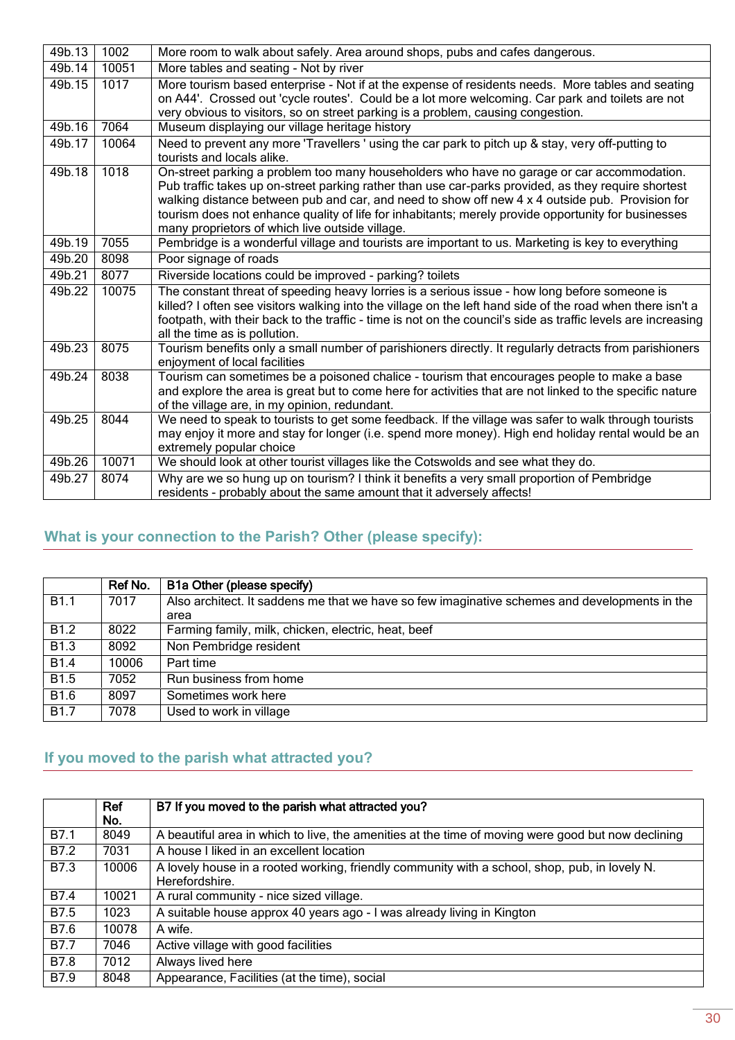| 49b.13 | 1002  | More room to walk about safely. Area around shops, pubs and cafes dangerous.                                                                                                                                                                                                                                                                                                                                                                                   |
|--------|-------|----------------------------------------------------------------------------------------------------------------------------------------------------------------------------------------------------------------------------------------------------------------------------------------------------------------------------------------------------------------------------------------------------------------------------------------------------------------|
| 49b.14 | 10051 | More tables and seating - Not by river                                                                                                                                                                                                                                                                                                                                                                                                                         |
| 49b.15 | 1017  | More tourism based enterprise - Not if at the expense of residents needs. More tables and seating<br>on A44'. Crossed out 'cycle routes'. Could be a lot more welcoming. Car park and toilets are not<br>very obvious to visitors, so on street parking is a problem, causing congestion.                                                                                                                                                                      |
| 49b.16 | 7064  | Museum displaying our village heritage history                                                                                                                                                                                                                                                                                                                                                                                                                 |
| 49b.17 | 10064 | Need to prevent any more 'Travellers' using the car park to pitch up & stay, very off-putting to<br>tourists and locals alike.                                                                                                                                                                                                                                                                                                                                 |
| 49b.18 | 1018  | On-street parking a problem too many householders who have no garage or car accommodation.<br>Pub traffic takes up on-street parking rather than use car-parks provided, as they require shortest<br>walking distance between pub and car, and need to show off new 4 x 4 outside pub. Provision for<br>tourism does not enhance quality of life for inhabitants; merely provide opportunity for businesses<br>many proprietors of which live outside village. |
| 49b.19 | 7055  | Pembridge is a wonderful village and tourists are important to us. Marketing is key to everything                                                                                                                                                                                                                                                                                                                                                              |
| 49b.20 | 8098  | Poor signage of roads                                                                                                                                                                                                                                                                                                                                                                                                                                          |
| 49b.21 | 8077  | Riverside locations could be improved - parking? toilets                                                                                                                                                                                                                                                                                                                                                                                                       |
| 49b.22 | 10075 | The constant threat of speeding heavy lorries is a serious issue - how long before someone is<br>killed? I often see visitors walking into the village on the left hand side of the road when there isn't a<br>footpath, with their back to the traffic - time is not on the council's side as traffic levels are increasing<br>all the time as is pollution.                                                                                                  |
| 49b.23 | 8075  | Tourism benefits only a small number of parishioners directly. It regularly detracts from parishioners<br>enjoyment of local facilities                                                                                                                                                                                                                                                                                                                        |
| 49b.24 | 8038  | Tourism can sometimes be a poisoned chalice - tourism that encourages people to make a base<br>and explore the area is great but to come here for activities that are not linked to the specific nature<br>of the village are, in my opinion, redundant.                                                                                                                                                                                                       |
| 49b.25 | 8044  | We need to speak to tourists to get some feedback. If the village was safer to walk through tourists<br>may enjoy it more and stay for longer (i.e. spend more money). High end holiday rental would be an<br>extremely popular choice                                                                                                                                                                                                                         |
| 49b.26 | 10071 | We should look at other tourist villages like the Cotswolds and see what they do.                                                                                                                                                                                                                                                                                                                                                                              |
| 49b.27 | 8074  | Why are we so hung up on tourism? I think it benefits a very small proportion of Pembridge<br>residents - probably about the same amount that it adversely affects!                                                                                                                                                                                                                                                                                            |

## <span id="page-29-0"></span>**What is your connection to the Parish? Other (please specify):**

|                  | Ref No. | B1a Other (please specify)                                                                    |
|------------------|---------|-----------------------------------------------------------------------------------------------|
| <b>B1.1</b>      | 7017    | Also architect. It saddens me that we have so few imaginative schemes and developments in the |
|                  |         | area                                                                                          |
| B <sub>1.2</sub> | 8022    | Farming family, milk, chicken, electric, heat, beef                                           |
| B <sub>1.3</sub> | 8092    | Non Pembridge resident                                                                        |
| <b>B1.4</b>      | 10006   | Part time                                                                                     |
| <b>B1.5</b>      | 7052    | Run business from home                                                                        |
| B <sub>1.6</sub> | 8097    | Sometimes work here                                                                           |
| <b>B1.7</b>      | 7078    | Used to work in village                                                                       |

## <span id="page-29-1"></span>**If you moved to the parish what attracted you?**

|      | Ref<br>No. | B7 If you moved to the parish what attracted you?                                                               |
|------|------------|-----------------------------------------------------------------------------------------------------------------|
| B7.1 | 8049       | A beautiful area in which to live, the amenities at the time of moving were good but now declining              |
| B7.2 | 7031       | A house I liked in an excellent location                                                                        |
| B7.3 | 10006      | A lovely house in a rooted working, friendly community with a school, shop, pub, in lovely N.<br>Herefordshire. |
| B7.4 | 10021      | A rural community - nice sized village.                                                                         |
| B7.5 | 1023       | A suitable house approx 40 years ago - I was already living in Kington                                          |
| B7.6 | 10078      | A wife.                                                                                                         |
| B7.7 | 7046       | Active village with good facilities                                                                             |
| B7.8 | 7012       | Always lived here                                                                                               |
| B7.9 | 8048       | Appearance, Facilities (at the time), social                                                                    |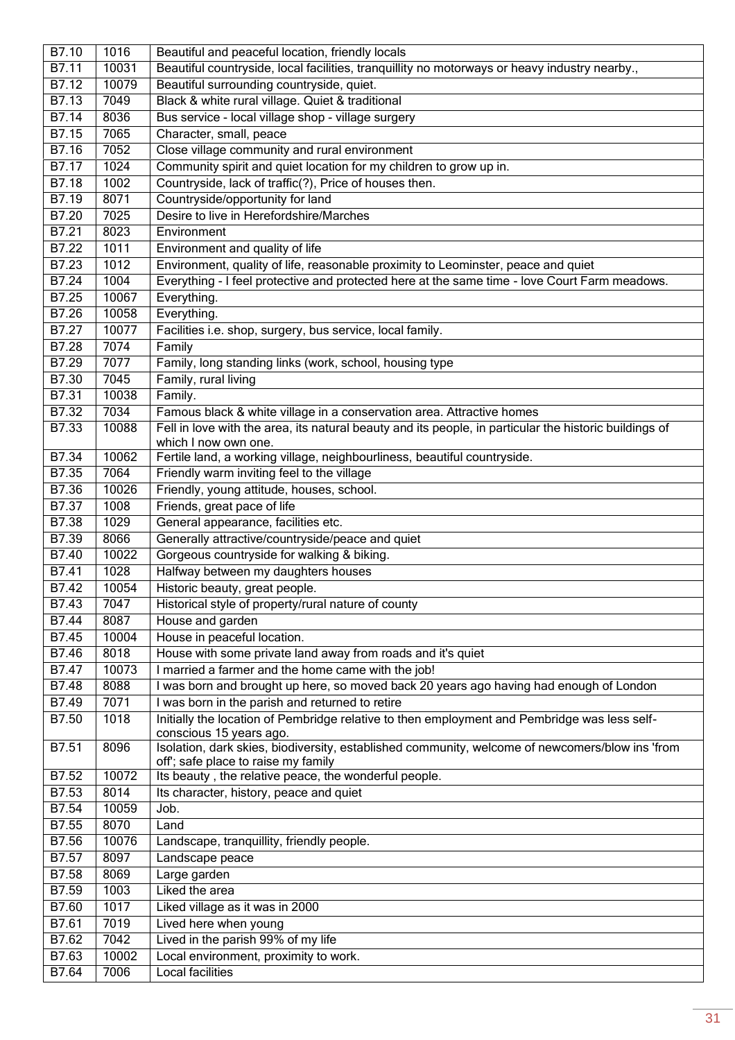| B7.10              | 1016  | Beautiful and peaceful location, friendly locals                                                                               |
|--------------------|-------|--------------------------------------------------------------------------------------------------------------------------------|
| B7.11              | 10031 | Beautiful countryside, local facilities, tranquillity no motorways or heavy industry nearby.,                                  |
| B7.12              | 10079 | Beautiful surrounding countryside, quiet.                                                                                      |
| $\overline{B7.13}$ | 7049  | Black & white rural village. Quiet & traditional                                                                               |
| B7.14              | 8036  | Bus service - local village shop - village surgery                                                                             |
| B7.15              | 7065  | Character, small, peace                                                                                                        |
| B7.16              | 7052  | Close village community and rural environment                                                                                  |
| B7.17              | 1024  | Community spirit and quiet location for my children to grow up in.                                                             |
| B7.18              | 1002  | Countryside, lack of traffic(?), Price of houses then.                                                                         |
| B7.19              | 8071  | Countryside/opportunity for land                                                                                               |
| B7.20              | 7025  | Desire to live in Herefordshire/Marches                                                                                        |
| B7.21              | 8023  | Environment                                                                                                                    |
| B7.22              | 1011  | Environment and quality of life                                                                                                |
| B7.23              | 1012  | Environment, quality of life, reasonable proximity to Leominster, peace and quiet                                              |
| B7.24              | 1004  | Everything - I feel protective and protected here at the same time - love Court Farm meadows.                                  |
| B7.25              | 10067 | Everything.                                                                                                                    |
| B7.26              | 10058 | Everything.                                                                                                                    |
| B7.27              | 10077 | Facilities i.e. shop, surgery, bus service, local family.                                                                      |
| B7.28              | 7074  | Family                                                                                                                         |
| B7.29              | 7077  | Family, long standing links (work, school, housing type                                                                        |
| B7.30              | 7045  | Family, rural living                                                                                                           |
| B7.31              | 10038 | Family.                                                                                                                        |
| B7.32              | 7034  | Famous black & white village in a conservation area. Attractive homes                                                          |
| B7.33              | 10088 | Fell in love with the area, its natural beauty and its people, in particular the historic buildings of<br>which I now own one. |
| B7.34              | 10062 | Fertile land, a working village, neighbourliness, beautiful countryside.                                                       |
| B7.35              | 7064  | Friendly warm inviting feel to the village                                                                                     |
| B7.36              | 10026 | Friendly, young attitude, houses, school.                                                                                      |
| B7.37              | 1008  | Friends, great pace of life                                                                                                    |
| <b>B7.38</b>       | 1029  | General appearance, facilities etc.                                                                                            |
| B7.39              | 8066  | Generally attractive/countryside/peace and quiet                                                                               |
| B7.40              | 10022 | Gorgeous countryside for walking & biking.                                                                                     |
| B7.41              | 1028  | Halfway between my daughters houses                                                                                            |
| <b>B7.42</b>       | 10054 | Historic beauty, great people.                                                                                                 |
| B7.43              | 7047  | Historical style of property/rural nature of county                                                                            |
| B7.44              | 8087  | House and garden                                                                                                               |
| B7.45              | 10004 | House in peaceful location.                                                                                                    |
| B7.46              | 8018  | House with some private land away from roads and it's quiet                                                                    |
| B7.47              | 10073 | I married a farmer and the home came with the job!                                                                             |
| <b>B7.48</b>       | 8088  | I was born and brought up here, so moved back 20 years ago having had enough of London                                         |
| B7.49              | 7071  | I was born in the parish and returned to retire                                                                                |
| B7.50              | 1018  | Initially the location of Pembridge relative to then employment and Pembridge was less self-                                   |
| B7.51              | 8096  | conscious 15 years ago.<br>Isolation, dark skies, biodiversity, established community, welcome of newcomers/blow ins 'from     |
|                    |       | off; safe place to raise my family                                                                                             |
| B7.52              | 10072 | Its beauty, the relative peace, the wonderful people.                                                                          |
| B7.53              | 8014  | Its character, history, peace and quiet                                                                                        |
| B7.54              | 10059 | Job.                                                                                                                           |
| B7.55              | 8070  | Land                                                                                                                           |
| B7.56              | 10076 | Landscape, tranquillity, friendly people.                                                                                      |
| B7.57              | 8097  | Landscape peace                                                                                                                |
| B7.58              | 8069  | Large garden                                                                                                                   |
| B7.59              | 1003  | Liked the area                                                                                                                 |
| B7.60              | 1017  | Liked village as it was in 2000                                                                                                |
| B7.61              | 7019  | Lived here when young                                                                                                          |
| B7.62              | 7042  | Lived in the parish 99% of my life                                                                                             |
| B7.63              | 10002 | Local environment, proximity to work.                                                                                          |
| B7.64              | 7006  | <b>Local facilities</b>                                                                                                        |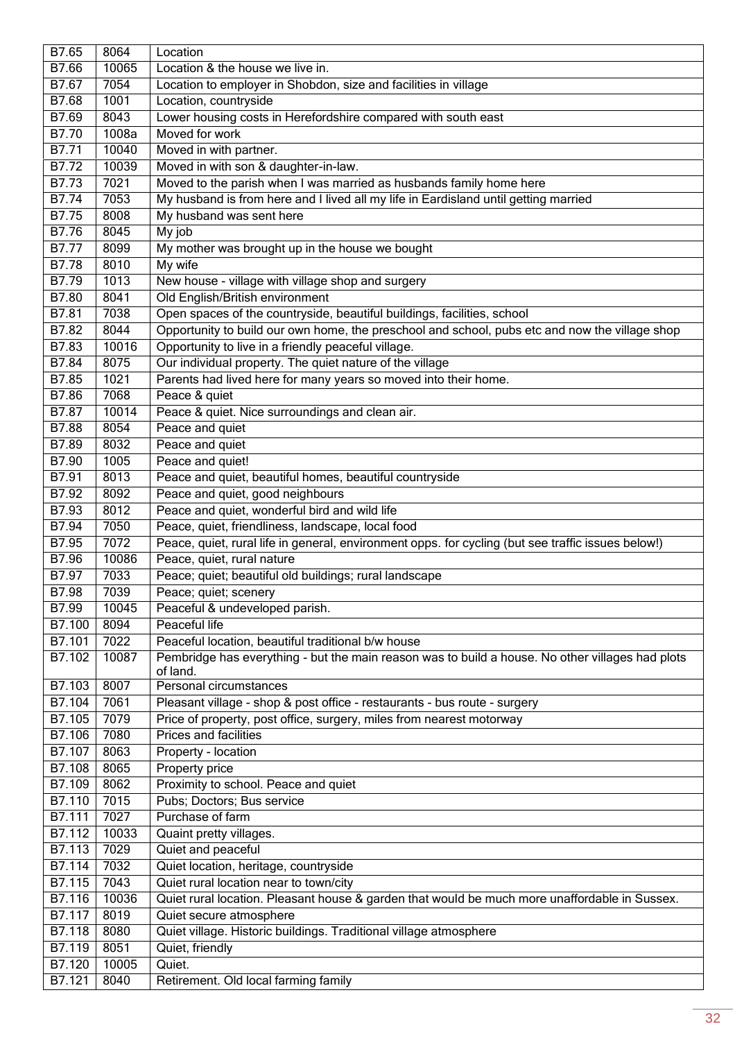| B7.65         | 8064  | Location                                                                                                     |
|---------------|-------|--------------------------------------------------------------------------------------------------------------|
| B7.66         | 10065 | Location & the house we live in.                                                                             |
| B7.67         | 7054  | Location to employer in Shobdon, size and facilities in village                                              |
| B7.68         | 1001  | Location, countryside                                                                                        |
| B7.69         | 8043  | Lower housing costs in Herefordshire compared with south east                                                |
| B7.70         | 1008a | Moved for work                                                                                               |
| B7.71         | 10040 | Moved in with partner.                                                                                       |
| <b>B7.72</b>  | 10039 | Moved in with son & daughter-in-law.                                                                         |
| B7.73         | 7021  | Moved to the parish when I was married as husbands family home here                                          |
| B7.74         | 7053  | My husband is from here and I lived all my life in Eardisland until getting married                          |
| <b>B7.75</b>  | 8008  | My husband was sent here                                                                                     |
| B7.76         | 8045  | My job                                                                                                       |
| <b>B7.77</b>  | 8099  | My mother was brought up in the house we bought                                                              |
| B7.78         | 8010  | My wife                                                                                                      |
| B7.79         | 1013  | New house - village with village shop and surgery                                                            |
| B7.80         | 8041  | Old English/British environment                                                                              |
| B7.81         | 7038  | Open spaces of the countryside, beautiful buildings, facilities, school                                      |
| <b>B7.82</b>  | 8044  | Opportunity to build our own home, the preschool and school, pubs etc and now the village shop               |
| B7.83         | 10016 | Opportunity to live in a friendly peaceful village.                                                          |
| B7.84         | 8075  | Our individual property. The quiet nature of the village                                                     |
| B7.85         | 1021  | Parents had lived here for many years so moved into their home.                                              |
| <b>B7.86</b>  | 7068  | Peace & quiet                                                                                                |
| <b>B7.87</b>  | 10014 | Peace & quiet. Nice surroundings and clean air.                                                              |
| <b>B7.88</b>  | 8054  | Peace and quiet                                                                                              |
| B7.89         | 8032  | Peace and quiet                                                                                              |
| B7.90         | 1005  | Peace and quiet!                                                                                             |
| B7.91         | 8013  | Peace and quiet, beautiful homes, beautiful countryside                                                      |
| B7.92         | 8092  | Peace and quiet, good neighbours                                                                             |
| B7.93         | 8012  | Peace and quiet, wonderful bird and wild life                                                                |
| B7.94         | 7050  | Peace, quiet, friendliness, landscape, local food                                                            |
| B7.95         | 7072  | Peace, quiet, rural life in general, environment opps. for cycling (but see traffic issues below!)           |
| B7.96         | 10086 | Peace, quiet, rural nature                                                                                   |
| B7.97         | 7033  | Peace; quiet; beautiful old buildings; rural landscape                                                       |
| B7.98         | 7039  | Peace; quiet; scenery                                                                                        |
| B7.99         | 10045 | Peaceful & undeveloped parish.                                                                               |
| B7.100        | 8094  | Peaceful life                                                                                                |
| B7.101        | 7022  | Peaceful location, beautiful traditional b/w house                                                           |
| B7.102        | 10087 | Pembridge has everything - but the main reason was to build a house. No other villages had plots<br>of land. |
| B7.103        | 8007  | Personal circumstances                                                                                       |
| B7.104        | 7061  | Pleasant village - shop & post office - restaurants - bus route - surgery                                    |
| B7.105        | 7079  | Price of property, post office, surgery, miles from nearest motorway                                         |
| B7.106        | 7080  | <b>Prices and facilities</b>                                                                                 |
| B7.107        | 8063  | Property - location                                                                                          |
| B7.108        | 8065  | Property price                                                                                               |
| B7.109        | 8062  | Proximity to school. Peace and quiet                                                                         |
| B7.110        | 7015  | Pubs; Doctors; Bus service                                                                                   |
| B7.111        | 7027  | Purchase of farm                                                                                             |
| B7.112        | 10033 | Quaint pretty villages.                                                                                      |
| B7.113        | 7029  | Quiet and peaceful                                                                                           |
| <b>B7.114</b> | 7032  | Quiet location, heritage, countryside                                                                        |
| B7.115        | 7043  | Quiet rural location near to town/city                                                                       |
| B7.116        | 10036 | Quiet rural location. Pleasant house & garden that would be much more unaffordable in Sussex.                |
| B7.117        | 8019  | Quiet secure atmosphere                                                                                      |
| B7.118        | 8080  | Quiet village. Historic buildings. Traditional village atmosphere                                            |
| B7.119        | 8051  | Quiet, friendly                                                                                              |
| B7.120        | 10005 | Quiet.                                                                                                       |
| B7.121        | 8040  | Retirement. Old local farming family                                                                         |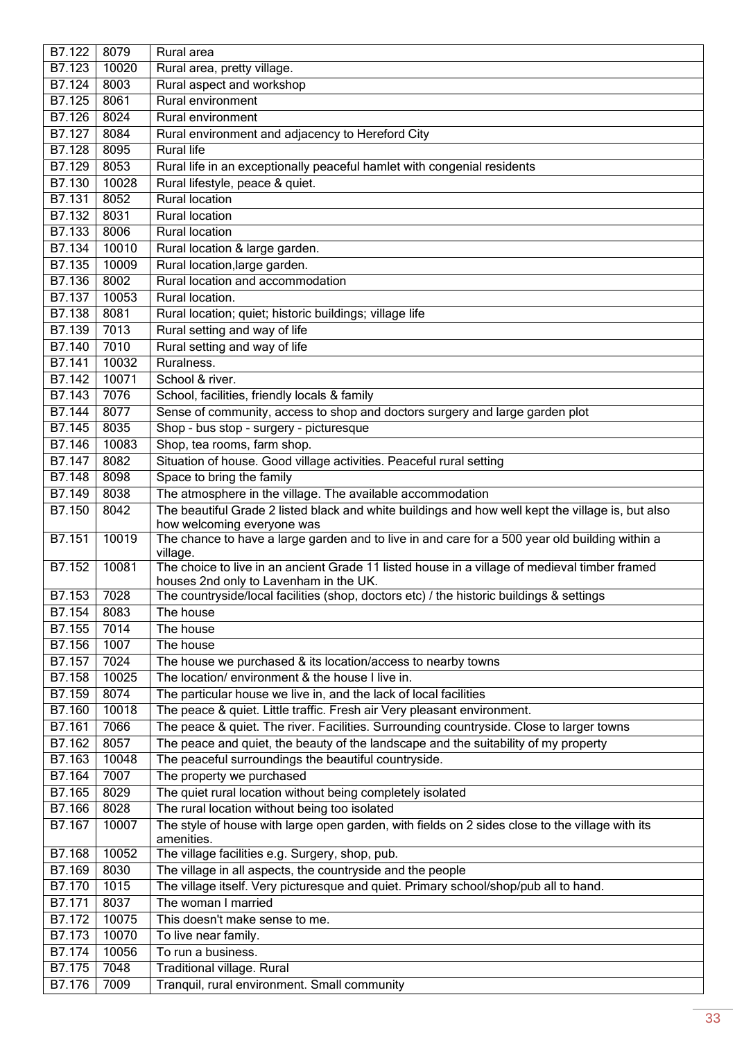| B7.122              | 8079          | Rural area                                                                                                                                                          |
|---------------------|---------------|---------------------------------------------------------------------------------------------------------------------------------------------------------------------|
| B7.123              | 10020         | Rural area, pretty village.                                                                                                                                         |
| B7.124              | 8003          | Rural aspect and workshop                                                                                                                                           |
| B7.125              | 8061          | Rural environment                                                                                                                                                   |
| B7.126              | 8024          | <b>Rural environment</b>                                                                                                                                            |
| B7.127              | 8084          | Rural environment and adjacency to Hereford City                                                                                                                    |
| B7.128              | 8095          | <b>Rural life</b>                                                                                                                                                   |
| <b>B7.129</b>       | 8053          | Rural life in an exceptionally peaceful hamlet with congenial residents                                                                                             |
| B7.130              | 10028         | Rural lifestyle, peace & quiet.                                                                                                                                     |
| B7.131              | 8052          | <b>Rural location</b>                                                                                                                                               |
| B7.132              | 8031          | <b>Rural location</b>                                                                                                                                               |
| B7.133              | 8006          | Rural location                                                                                                                                                      |
| B7.134              | 10010         | Rural location & large garden.                                                                                                                                      |
| B7.135              | 10009         | Rural location, large garden.                                                                                                                                       |
| B7.136              | 8002          | Rural location and accommodation                                                                                                                                    |
| B7.137              | 10053         | Rural location.                                                                                                                                                     |
| B7.138              | 8081          | Rural location; quiet; historic buildings; village life                                                                                                             |
| B7.139              | 7013          | Rural setting and way of life                                                                                                                                       |
| B7.140              | 7010          | Rural setting and way of life                                                                                                                                       |
| B7.141              | 10032         | Ruralness.                                                                                                                                                          |
| B7.142              | 10071         | School & river.                                                                                                                                                     |
| $\overline{B7.143}$ | 7076          | School, facilities, friendly locals & family                                                                                                                        |
| B7.144              | 8077          | Sense of community, access to shop and doctors surgery and large garden plot                                                                                        |
| B7.145              | 8035          | Shop - bus stop - surgery - picturesque                                                                                                                             |
| B7.146              | 10083         | Shop, tea rooms, farm shop.                                                                                                                                         |
| B7.147              | 8082          | Situation of house. Good village activities. Peaceful rural setting                                                                                                 |
| B7.148              | 8098          | Space to bring the family                                                                                                                                           |
| B7.149              | 8038          | The atmosphere in the village. The available accommodation                                                                                                          |
| B7.150              | 8042          | The beautiful Grade 2 listed black and white buildings and how well kept the village is, but also                                                                   |
|                     |               | how welcoming everyone was                                                                                                                                          |
| B7.151              | 10019         | The chance to have a large garden and to live in and care for a 500 year old building within a<br>village.                                                          |
| B7.152              | 10081         | The choice to live in an ancient Grade 11 listed house in a village of medieval timber framed                                                                       |
|                     |               | houses 2nd only to Lavenham in the UK.                                                                                                                              |
| B7.153              | 7028          | The countryside/local facilities (shop, doctors etc) / the historic buildings & settings                                                                            |
| B7.154              | 8083          | The house                                                                                                                                                           |
| B7.155              | 7014          | The house                                                                                                                                                           |
| B7.156              | 1007          | The house                                                                                                                                                           |
| B7.157              | 7024          | The house we purchased & its location/access to nearby towns<br>The location/ environment & the house I live in.                                                    |
| <b>B7.158</b>       | 10025         |                                                                                                                                                                     |
| B7.159              | 8074          | The particular house we live in, and the lack of local facilities                                                                                                   |
| B7.160<br>B7.161    | 10018<br>7066 | The peace & quiet. Little traffic. Fresh air Very pleasant environment.<br>The peace & quiet. The river. Facilities. Surrounding countryside. Close to larger towns |
| B7.162              | 8057          | The peace and quiet, the beauty of the landscape and the suitability of my property                                                                                 |
| B7.163              | 10048         | The peaceful surroundings the beautiful countryside.                                                                                                                |
| B7.164              | 7007          | The property we purchased                                                                                                                                           |
| B7.165              | 8029          |                                                                                                                                                                     |
| B7.166              | 8028          | The quiet rural location without being completely isolated<br>The rural location without being too isolated                                                         |
| B7.167              | 10007         | The style of house with large open garden, with fields on 2 sides close to the village with its                                                                     |
|                     |               | amenities.                                                                                                                                                          |
| B7.168              | 10052         | The village facilities e.g. Surgery, shop, pub.                                                                                                                     |
| B7.169              | 8030          | The village in all aspects, the countryside and the people                                                                                                          |
| B7.170              | 1015          | The village itself. Very picturesque and quiet. Primary school/shop/pub all to hand.                                                                                |
| B7.171              | 8037          | The woman I married                                                                                                                                                 |
| B7.172              | 10075         | This doesn't make sense to me.                                                                                                                                      |
| B7.173              | 10070         | To live near family.                                                                                                                                                |
| B7.174              | 10056         | To run a business.                                                                                                                                                  |
| B7.175              | 7048          | Traditional village. Rural                                                                                                                                          |
| B7.176              | 7009          | Tranquil, rural environment. Small community                                                                                                                        |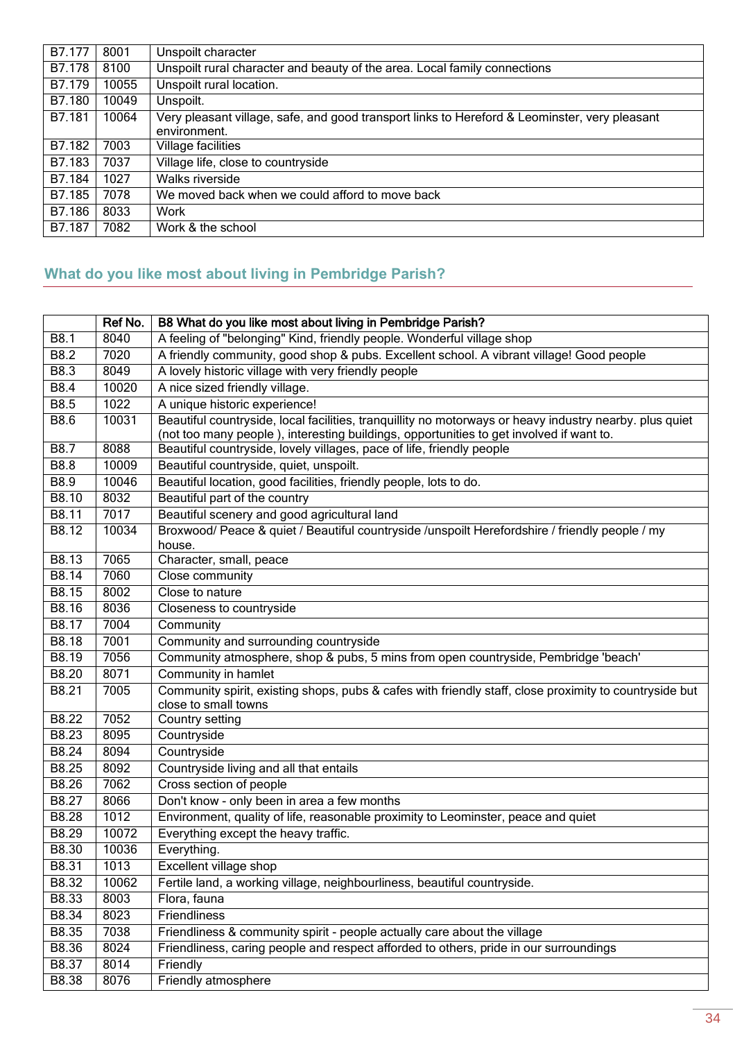| B7.177 | 8001  | Unspoilt character                                                                                            |
|--------|-------|---------------------------------------------------------------------------------------------------------------|
| B7.178 | 8100  | Unspoilt rural character and beauty of the area. Local family connections                                     |
| B7.179 | 10055 | Unspoilt rural location.                                                                                      |
| B7.180 | 10049 | Unspoilt.                                                                                                     |
| B7.181 | 10064 | Very pleasant village, safe, and good transport links to Hereford & Leominster, very pleasant<br>environment. |
|        |       |                                                                                                               |
| B7.182 | 7003  | Village facilities                                                                                            |
| B7.183 | 7037  | Village life, close to countryside                                                                            |
| B7.184 | 1027  | Walks riverside                                                                                               |
| B7.185 | 7078  | We moved back when we could afford to move back                                                               |
| B7.186 | 8033  | Work                                                                                                          |
| B7.187 | 7082  | Work & the school                                                                                             |

## <span id="page-33-0"></span>**What do you like most about living in Pembridge Parish?**

|              | Ref No. | B8 What do you like most about living in Pembridge Parish?                                               |
|--------------|---------|----------------------------------------------------------------------------------------------------------|
| B8.1         | 8040    | A feeling of "belonging" Kind, friendly people. Wonderful village shop                                   |
| B8.2         | 7020    | A friendly community, good shop & pubs. Excellent school. A vibrant village! Good people                 |
| B8.3         | 8049    | A lovely historic village with very friendly people                                                      |
| B8.4         | 10020   | A nice sized friendly village.                                                                           |
| B8.5         | 1022    | A unique historic experience!                                                                            |
| <b>B8.6</b>  | 10031   | Beautiful countryside, local facilities, tranquillity no motorways or heavy industry nearby. plus quiet  |
|              |         | (not too many people), interesting buildings, opportunities to get involved if want to.                  |
| <b>B8.7</b>  | 8088    | Beautiful countryside, lovely villages, pace of life, friendly people                                    |
| B8.8         | 10009   | Beautiful countryside, quiet, unspoilt.                                                                  |
| B8.9         | 10046   | Beautiful location, good facilities, friendly people, lots to do.                                        |
| B8.10        | 8032    | Beautiful part of the country                                                                            |
| B8.11        | 7017    | Beautiful scenery and good agricultural land                                                             |
| B8.12        | 10034   | Broxwood/ Peace & quiet / Beautiful countryside /unspoilt Herefordshire / friendly people / my<br>house. |
| B8.13        | 7065    | Character, small, peace                                                                                  |
| B8.14        | 7060    | Close community                                                                                          |
| <b>B8.15</b> | 8002    | Close to nature                                                                                          |
| <b>B8.16</b> | 8036    | Closeness to countryside                                                                                 |
| B8.17        | 7004    | Community                                                                                                |
| B8.18        | 7001    | Community and surrounding countryside                                                                    |
| B8.19        | 7056    | Community atmosphere, shop & pubs, 5 mins from open countryside, Pembridge 'beach'                       |
| B8.20        | 8071    | Community in hamlet                                                                                      |
| B8.21        | 7005    | Community spirit, existing shops, pubs & cafes with friendly staff, close proximity to countryside but   |
|              |         | close to small towns                                                                                     |
| B8.22        | 7052    | Country setting                                                                                          |
| B8.23        | 8095    | Countryside                                                                                              |
| B8.24        | 8094    | Countryside                                                                                              |
| <b>B8.25</b> | 8092    | Countryside living and all that entails                                                                  |
| <b>B8.26</b> | 7062    | Cross section of people                                                                                  |
| B8.27        | 8066    | Don't know - only been in area a few months                                                              |
| B8.28        | 1012    | Environment, quality of life, reasonable proximity to Leominster, peace and quiet                        |
| B8.29        | 10072   | Everything except the heavy traffic.                                                                     |
| B8.30        | 10036   | Everything.                                                                                              |
| B8.31        | 1013    | Excellent village shop                                                                                   |
| B8.32        | 10062   | Fertile land, a working village, neighbourliness, beautiful countryside.                                 |
| B8.33        | 8003    | Flora, fauna                                                                                             |
| B8.34        | 8023    | Friendliness                                                                                             |
| B8.35        | 7038    | Friendliness & community spirit - people actually care about the village                                 |
| B8.36        | 8024    | Friendliness, caring people and respect afforded to others, pride in our surroundings                    |
| B8.37        | 8014    | Friendly                                                                                                 |
| B8.38        | 8076    | Friendly atmosphere                                                                                      |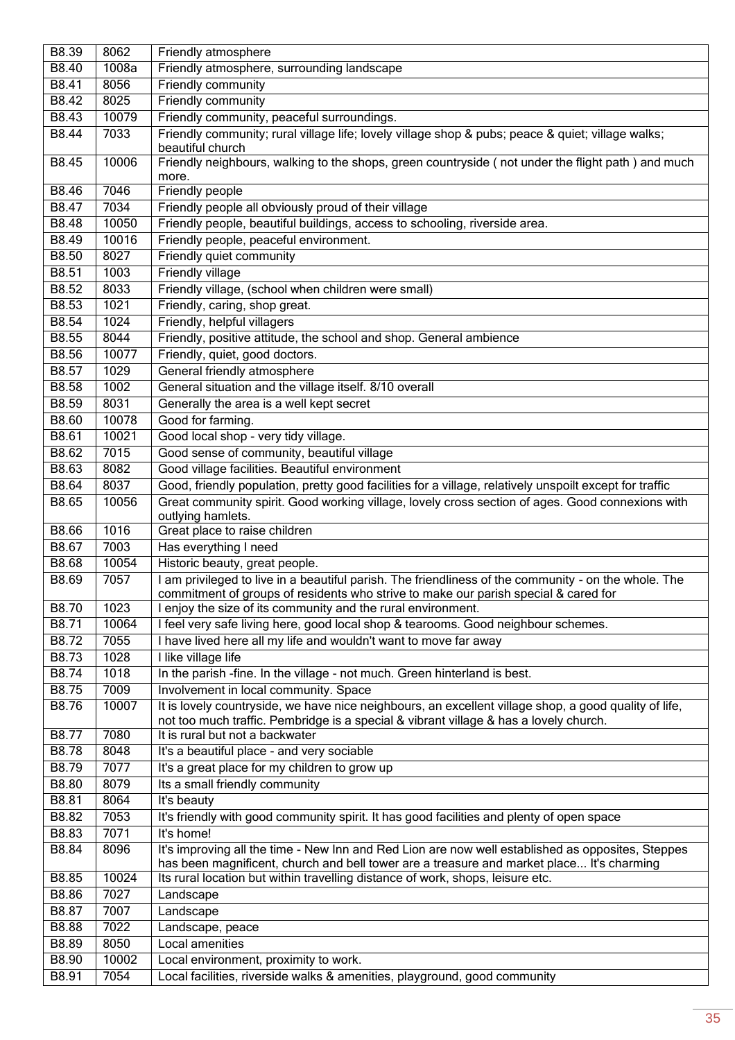| B8.39        | 8062  | Friendly atmosphere                                                                                                                                                                            |
|--------------|-------|------------------------------------------------------------------------------------------------------------------------------------------------------------------------------------------------|
| B8.40        | 1008a | Friendly atmosphere, surrounding landscape                                                                                                                                                     |
| <b>B8.41</b> | 8056  | <b>Friendly community</b>                                                                                                                                                                      |
| B8.42        | 8025  | Friendly community                                                                                                                                                                             |
| B8.43        | 10079 | Friendly community, peaceful surroundings.                                                                                                                                                     |
| B8.44        | 7033  | Friendly community; rural village life; lovely village shop & pubs; peace & quiet; village walks;<br>beautiful church                                                                          |
| B8.45        | 10006 | Friendly neighbours, walking to the shops, green countryside (not under the flight path) and much<br>more.                                                                                     |
| B8.46        | 7046  | Friendly people                                                                                                                                                                                |
| B8.47        | 7034  | Friendly people all obviously proud of their village                                                                                                                                           |
| B8.48        | 10050 | Friendly people, beautiful buildings, access to schooling, riverside area.                                                                                                                     |
| B8.49        | 10016 | Friendly people, peaceful environment.                                                                                                                                                         |
| B8.50        | 8027  | Friendly quiet community                                                                                                                                                                       |
| B8.51        | 1003  | <b>Friendly village</b>                                                                                                                                                                        |
| B8.52        | 8033  | Friendly village, (school when children were small)                                                                                                                                            |
| B8.53        | 1021  | Friendly, caring, shop great.                                                                                                                                                                  |
| B8.54        | 1024  | Friendly, helpful villagers                                                                                                                                                                    |
| B8.55        | 8044  | Friendly, positive attitude, the school and shop. General ambience                                                                                                                             |
| B8.56        | 10077 | Friendly, quiet, good doctors.                                                                                                                                                                 |
| B8.57        | 1029  | General friendly atmosphere                                                                                                                                                                    |
| B8.58        | 1002  | General situation and the village itself. 8/10 overall                                                                                                                                         |
| B8.59        | 8031  | Generally the area is a well kept secret                                                                                                                                                       |
| B8.60        | 10078 | Good for farming.                                                                                                                                                                              |
| B8.61        | 10021 | Good local shop - very tidy village.                                                                                                                                                           |
| B8.62        | 7015  | Good sense of community, beautiful village                                                                                                                                                     |
| B8.63        | 8082  | Good village facilities. Beautiful environment                                                                                                                                                 |
|              |       |                                                                                                                                                                                                |
| B8.64        | 8037  | Good, friendly population, pretty good facilities for a village, relatively unspoilt except for traffic                                                                                        |
| B8.65        | 10056 | Great community spirit. Good working village, lovely cross section of ages. Good connexions with<br>outlying hamlets.                                                                          |
| B8.66        | 1016  | Great place to raise children                                                                                                                                                                  |
| B8.67        | 7003  | Has everything I need                                                                                                                                                                          |
| B8.68        | 10054 | Historic beauty, great people.                                                                                                                                                                 |
| B8.69        | 7057  | I am privileged to live in a beautiful parish. The friendliness of the community - on the whole. The<br>commitment of groups of residents who strive to make our parish special & cared for    |
| B8.70        | 1023  | I enjoy the size of its community and the rural environment.                                                                                                                                   |
| B8.71        | 10064 | I feel very safe living here, good local shop & tearooms. Good neighbour schemes.                                                                                                              |
| B8.72        | 7055  | I have lived here all my life and wouldn't want to move far away                                                                                                                               |
| B8.73        | 1028  | I like village life                                                                                                                                                                            |
| B8.74        | 1018  | In the parish -fine. In the village - not much. Green hinterland is best.                                                                                                                      |
| B8.75        | 7009  | Involvement in local community. Space                                                                                                                                                          |
| B8.76        | 10007 | It is lovely countryside, we have nice neighbours, an excellent village shop, a good quality of life,<br>not too much traffic. Pembridge is a special & vibrant village & has a lovely church. |
| B8.77        | 7080  | It is rural but not a backwater                                                                                                                                                                |
| B8.78        | 8048  | It's a beautiful place - and very sociable                                                                                                                                                     |
| B8.79        | 7077  | It's a great place for my children to grow up                                                                                                                                                  |
| B8.80        | 8079  | Its a small friendly community                                                                                                                                                                 |
| B8.81        | 8064  | It's beauty                                                                                                                                                                                    |
| <b>B8.82</b> | 7053  | It's friendly with good community spirit. It has good facilities and plenty of open space                                                                                                      |
| B8.83        | 7071  | It's home!                                                                                                                                                                                     |
| B8.84        | 8096  | It's improving all the time - New Inn and Red Lion are now well established as opposites, Steppes<br>has been magnificent, church and bell tower are a treasure and market place It's charming |
| B8.85        | 10024 | Its rural location but within travelling distance of work, shops, leisure etc.                                                                                                                 |
| B8.86        | 7027  | Landscape                                                                                                                                                                                      |
| B8.87        | 7007  | Landscape                                                                                                                                                                                      |
| B8.88        | 7022  | Landscape, peace                                                                                                                                                                               |
| B8.89        | 8050  | Local amenities                                                                                                                                                                                |
| B8.90        | 10002 | Local environment, proximity to work.                                                                                                                                                          |
| B8.91        | 7054  | Local facilities, riverside walks & amenities, playground, good community                                                                                                                      |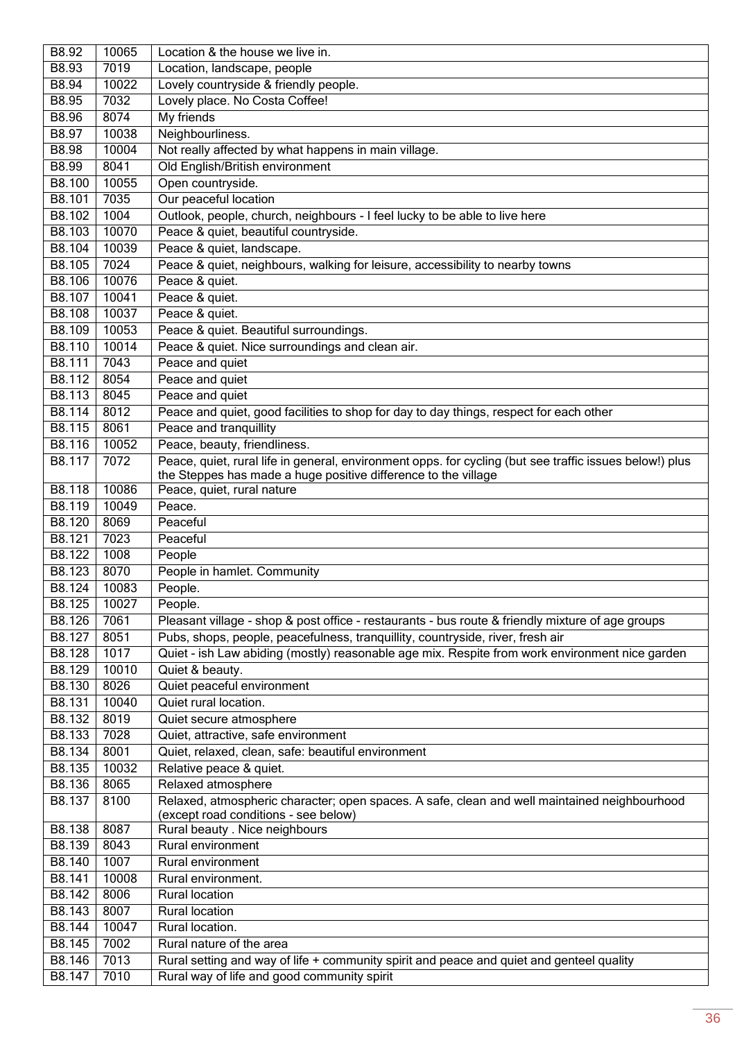| B8.92        | 10065 | Location & the house we live in.                                                                        |
|--------------|-------|---------------------------------------------------------------------------------------------------------|
| B8.93        | 7019  | Location, landscape, people                                                                             |
| B8.94        | 10022 | Lovely countryside & friendly people.                                                                   |
| <b>B8.95</b> | 7032  | Lovely place. No Costa Coffee!                                                                          |
| B8.96        | 8074  | My friends                                                                                              |
| B8.97        | 10038 | Neighbourliness.                                                                                        |
| B8.98        | 10004 | Not really affected by what happens in main village.                                                    |
| B8.99        | 8041  | Old English/British environment                                                                         |
| B8.100       | 10055 | Open countryside.                                                                                       |
| B8.101       | 7035  | Our peaceful location                                                                                   |
| B8.102       | 1004  | Outlook, people, church, neighbours - I feel lucky to be able to live here                              |
| B8.103       | 10070 | Peace & quiet, beautiful countryside.                                                                   |
| B8.104       | 10039 | Peace & quiet, landscape.                                                                               |
| B8.105       | 7024  | Peace & quiet, neighbours, walking for leisure, accessibility to nearby towns                           |
| B8.106       | 10076 | Peace & quiet.                                                                                          |
| B8.107       | 10041 | Peace & quiet.                                                                                          |
| B8.108       | 10037 | Peace & quiet.                                                                                          |
| B8.109       | 10053 | Peace & quiet. Beautiful surroundings.                                                                  |
| B8.110       | 10014 | Peace & quiet. Nice surroundings and clean air.                                                         |
| B8.111       | 7043  | Peace and quiet                                                                                         |
| B8.112       | 8054  | Peace and quiet                                                                                         |
| B8.113       | 8045  | Peace and quiet                                                                                         |
| B8.114       | 8012  | Peace and quiet, good facilities to shop for day to day things, respect for each other                  |
| B8.115       | 8061  | Peace and tranquillity                                                                                  |
| B8.116       | 10052 | Peace, beauty, friendliness.                                                                            |
| B8.117       | 7072  | Peace, quiet, rural life in general, environment opps. for cycling (but see traffic issues below!) plus |
|              |       | the Steppes has made a huge positive difference to the village                                          |
| B8.118       | 10086 | Peace, quiet, rural nature                                                                              |
| B8.119       | 10049 | Peace.                                                                                                  |
|              |       |                                                                                                         |
| B8.120       | 8069  | Peaceful                                                                                                |
| B8.121       | 7023  | Peaceful                                                                                                |
| B8.122       | 1008  | People                                                                                                  |
| B8.123       | 8070  | People in hamlet. Community                                                                             |
| B8.124       | 10083 | People.                                                                                                 |
| B8.125       | 10027 | People.                                                                                                 |
| B8.126       | 7061  | Pleasant village - shop & post office - restaurants - bus route & friendly mixture of age groups        |
| B8.127       | 8051  | Pubs, shops, people, peacefulness, tranquillity, countryside, river, fresh air                          |
| B8.128       | 1017  | Quiet - ish Law abiding (mostly) reasonable age mix. Respite from work environment nice garden          |
| B8.129       | 10010 | Quiet & beauty.                                                                                         |
| B8.130       | 8026  | Quiet peaceful environment                                                                              |
| B8.131       | 10040 | Quiet rural location.                                                                                   |
| B8.132       | 8019  | Quiet secure atmosphere                                                                                 |
| B8.133       | 7028  | Quiet, attractive, safe environment                                                                     |
| B8.134       | 8001  | Quiet, relaxed, clean, safe: beautiful environment                                                      |
| B8.135       | 10032 | Relative peace & quiet.                                                                                 |
| B8.136       | 8065  | Relaxed atmosphere                                                                                      |
| B8.137       | 8100  | Relaxed, atmospheric character; open spaces. A safe, clean and well maintained neighbourhood            |
| B8.138       | 8087  | (except road conditions - see below)<br>Rural beauty . Nice neighbours                                  |
| B8.139       | 8043  | Rural environment                                                                                       |
| B8.140       | 1007  | Rural environment                                                                                       |
| B8.141       | 10008 | Rural environment.                                                                                      |
| B8.142       | 8006  | Rural location                                                                                          |
| B8.143       | 8007  | <b>Rural location</b>                                                                                   |
| B8.144       | 10047 | Rural location.                                                                                         |
| B8.145       | 7002  | Rural nature of the area                                                                                |
| B8.146       | 7013  | Rural setting and way of life + community spirit and peace and quiet and genteel quality                |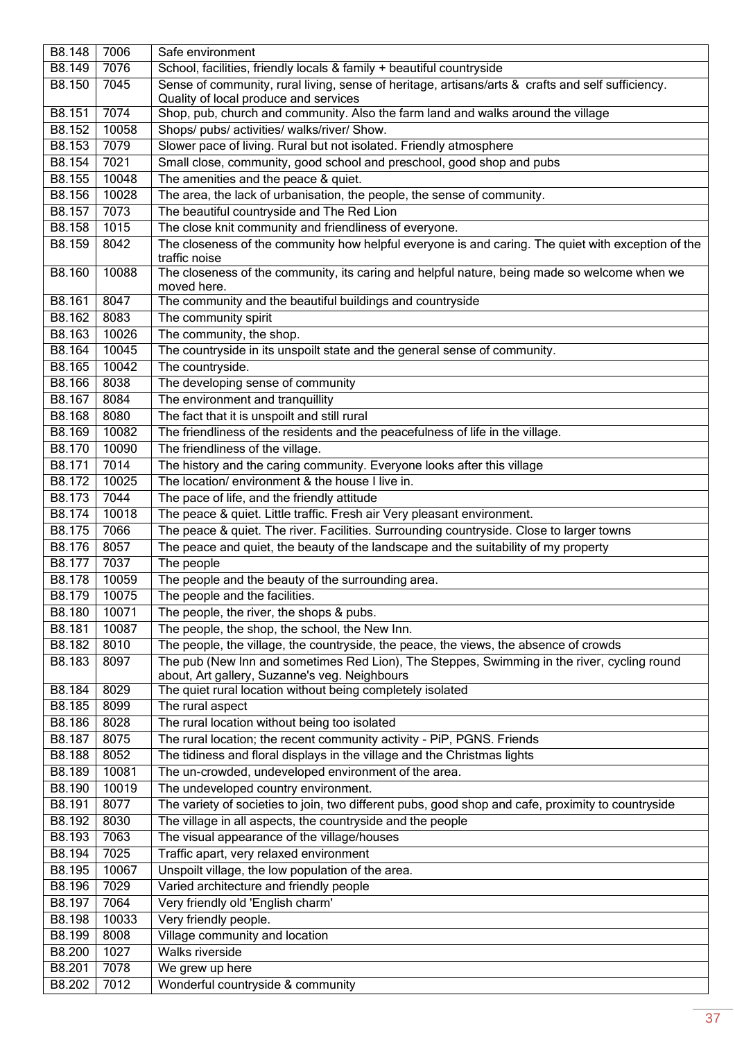| B8.148 | 7006  | Safe environment                                                                                                    |
|--------|-------|---------------------------------------------------------------------------------------------------------------------|
| B8.149 | 7076  | School, facilities, friendly locals & family + beautiful countryside                                                |
| B8.150 | 7045  | Sense of community, rural living, sense of heritage, artisans/arts & crafts and self sufficiency.                   |
|        |       | Quality of local produce and services                                                                               |
| B8.151 | 7074  | Shop, pub, church and community. Also the farm land and walks around the village                                    |
| B8.152 | 10058 | Shops/ pubs/ activities/ walks/river/ Show.                                                                         |
| B8.153 | 7079  | Slower pace of living. Rural but not isolated. Friendly atmosphere                                                  |
| B8.154 | 7021  | Small close, community, good school and preschool, good shop and pubs                                               |
| B8.155 | 10048 | The amenities and the peace & quiet.                                                                                |
| B8.156 | 10028 | The area, the lack of urbanisation, the people, the sense of community.                                             |
| B8.157 | 7073  |                                                                                                                     |
|        |       | The beautiful countryside and The Red Lion                                                                          |
| B8.158 | 1015  | The close knit community and friendliness of everyone.                                                              |
| B8.159 | 8042  | The closeness of the community how helpful everyone is and caring. The quiet with exception of the<br>traffic noise |
| B8.160 | 10088 | The closeness of the community, its caring and helpful nature, being made so welcome when we<br>moved here.         |
| B8.161 | 8047  | The community and the beautiful buildings and countryside                                                           |
| B8.162 | 8083  | The community spirit                                                                                                |
| B8.163 | 10026 | The community, the shop.                                                                                            |
| B8.164 | 10045 | The countryside in its unspoilt state and the general sense of community.                                           |
| B8.165 | 10042 | The countryside.                                                                                                    |
| B8.166 | 8038  | The developing sense of community                                                                                   |
| B8.167 | 8084  | The environment and tranquillity                                                                                    |
|        |       |                                                                                                                     |
| B8.168 | 8080  | The fact that it is unspoilt and still rural                                                                        |
| B8.169 | 10082 | The friendliness of the residents and the peacefulness of life in the village.                                      |
| B8.170 | 10090 | The friendliness of the village.                                                                                    |
| B8.171 | 7014  | The history and the caring community. Everyone looks after this village                                             |
| B8.172 | 10025 | The location/ environment & the house I live in.                                                                    |
| B8.173 | 7044  | The pace of life, and the friendly attitude                                                                         |
| B8.174 | 10018 | The peace & quiet. Little traffic. Fresh air Very pleasant environment.                                             |
| B8.175 | 7066  | The peace & quiet. The river. Facilities. Surrounding countryside. Close to larger towns                            |
| B8.176 | 8057  | The peace and quiet, the beauty of the landscape and the suitability of my property                                 |
| B8.177 | 7037  | The people                                                                                                          |
| B8.178 | 10059 | The people and the beauty of the surrounding area.                                                                  |
| B8.179 | 10075 | The people and the facilities.                                                                                      |
| B8.180 | 10071 | The people, the river, the shops & pubs.                                                                            |
| B8.181 | 10087 | The people, the shop, the school, the New Inn.                                                                      |
| B8.182 | 8010  | The people, the village, the countryside, the peace, the views, the absence of crowds                               |
| B8.183 | 8097  | The pub (New Inn and sometimes Red Lion), The Steppes, Swimming in the river, cycling round                         |
|        |       | about, Art gallery, Suzanne's veg. Neighbours                                                                       |
| B8.184 | 8029  | The quiet rural location without being completely isolated                                                          |
| B8.185 | 8099  | The rural aspect                                                                                                    |
| B8.186 | 8028  | The rural location without being too isolated                                                                       |
| B8.187 | 8075  | The rural location; the recent community activity - PiP, PGNS. Friends                                              |
| B8.188 | 8052  | The tidiness and floral displays in the village and the Christmas lights                                            |
| B8.189 | 10081 | The un-crowded, undeveloped environment of the area.                                                                |
| B8.190 | 10019 | The undeveloped country environment.                                                                                |
| B8.191 | 8077  | The variety of societies to join, two different pubs, good shop and cafe, proximity to countryside                  |
| B8.192 | 8030  | The village in all aspects, the countryside and the people                                                          |
| B8.193 | 7063  | The visual appearance of the village/houses                                                                         |
| B8.194 | 7025  |                                                                                                                     |
|        |       | Traffic apart, very relaxed environment                                                                             |
| B8.195 | 10067 | Unspoilt village, the low population of the area.                                                                   |
| B8.196 | 7029  | Varied architecture and friendly people                                                                             |
| B8.197 | 7064  | Very friendly old 'English charm'                                                                                   |
| B8.198 | 10033 | Very friendly people.                                                                                               |
| B8.199 | 8008  | Village community and location                                                                                      |
| B8.200 | 1027  | <b>Walks riverside</b>                                                                                              |
| B8.201 | 7078  | We grew up here                                                                                                     |
| B8.202 | 7012  | Wonderful countryside & community                                                                                   |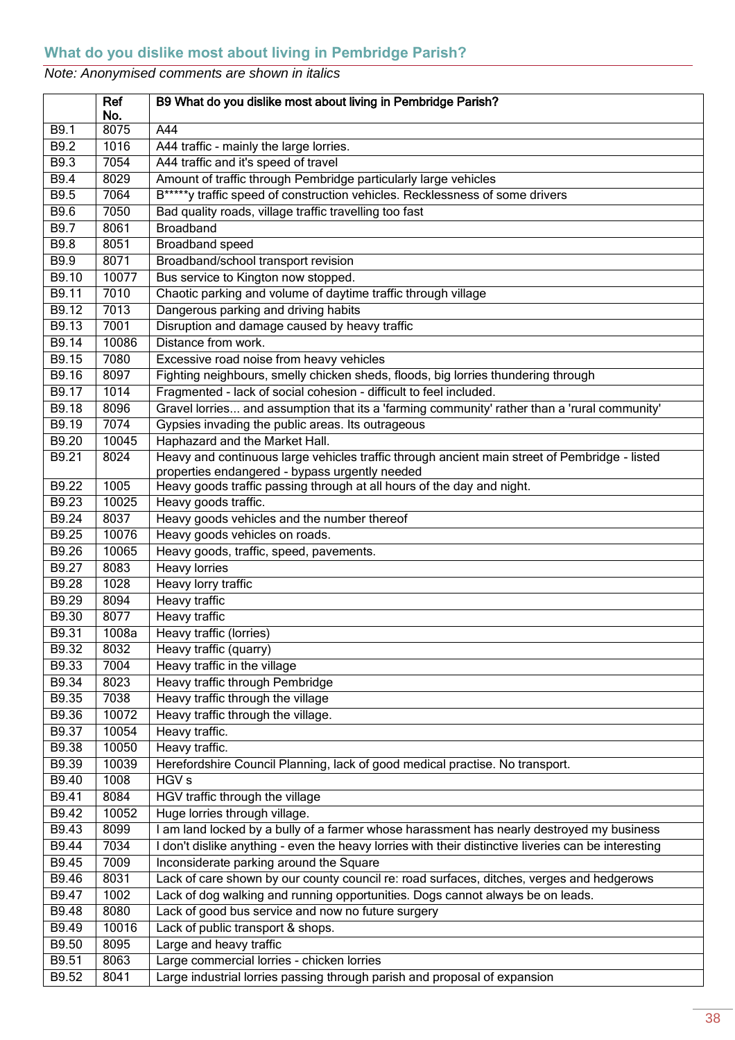<span id="page-37-0"></span>

| 8075<br>A44<br>B9.1<br>B9.2<br>1016<br>A44 traffic - mainly the large lorries.<br>B9.3<br>7054<br>A44 traffic and it's speed of travel<br>B9.4<br>8029<br>Amount of traffic through Pembridge particularly large vehicles<br>B*****y traffic speed of construction vehicles. Recklessness of some drivers<br>B9.5<br>7064<br>Bad quality roads, village traffic travelling too fast<br><b>B9.6</b><br>7050<br>B9.7<br>8061<br><b>Broadband</b><br>B9.8<br>8051<br>Broadband speed<br>B9.9<br>8071<br>Broadband/school transport revision<br>B9.10<br>10077<br>Bus service to Kington now stopped.<br>7010<br>Chaotic parking and volume of daytime traffic through village<br>B9.11<br>7013<br>Dangerous parking and driving habits<br>B9.12<br>B9.13<br>7001<br>Disruption and damage caused by heavy traffic<br>Distance from work.<br>10086<br>B9.14<br>7080<br>B9.15<br>Excessive road noise from heavy vehicles<br>B9.16<br>8097<br>Fighting neighbours, smelly chicken sheds, floods, big lorries thundering through<br>Fragmented - lack of social cohesion - difficult to feel included.<br>B9.17<br>1014<br>B9.18<br>Gravel lorries and assumption that its a 'farming community' rather than a 'rural community'<br>8096<br>7074<br>Gypsies invading the public areas. Its outrageous<br>B9.19<br>10045<br>Haphazard and the Market Hall.<br>B9.20<br>8024<br>Heavy and continuous large vehicles traffic through ancient main street of Pembridge - listed<br>B9.21<br>properties endangered - bypass urgently needed<br>1005<br>Heavy goods traffic passing through at all hours of the day and night.<br>B9.22<br>B9.23<br>10025<br>Heavy goods traffic.<br>B9.24<br>8037<br>Heavy goods vehicles and the number thereof<br>B9.25<br>10076<br>Heavy goods vehicles on roads.<br>10065<br>Heavy goods, traffic, speed, pavements.<br>B9.26<br>B9.27<br>8083<br><b>Heavy lorries</b><br>1028<br>B9.28<br>Heavy lorry traffic<br>B9.29<br>Heavy traffic<br>8094<br>8077<br>B9.30<br>Heavy traffic<br>B9.31<br>1008a<br>Heavy traffic (lorries)<br>B9.32<br>8032<br>Heavy traffic (quarry)<br>Heavy traffic in the village<br>7004<br>B9.33<br>B9.34<br>8023<br>Heavy traffic through Pembridge<br>Heavy traffic through the village<br>B9.35<br>7038<br>B9.36<br>10072<br>Heavy traffic through the village.<br>B9.37<br>10054<br>Heavy traffic.<br>B9.38<br>10050<br>Heavy traffic.<br>B9.39<br>10039<br>Herefordshire Council Planning, lack of good medical practise. No transport.<br>1008<br>B9.40<br>HGV <sub>s</sub><br>8084<br>B9.41<br>HGV traffic through the village<br>10052<br>B9.42<br>Huge lorries through village.<br>B9.43<br>I am land locked by a bully of a farmer whose harassment has nearly destroyed my business<br>8099<br>B9.44<br>7034<br>I don't dislike anything - even the heavy lorries with their distinctive liveries can be interesting<br>Inconsiderate parking around the Square<br>B9.45<br>7009<br>8031<br>B9.46<br>Lack of care shown by our county council re: road surfaces, ditches, verges and hedgerows<br>1002<br>Lack of dog walking and running opportunities. Dogs cannot always be on leads.<br>B9.47<br>8080<br>Lack of good bus service and now no future surgery<br>B9.48 |       | Ref<br>No. | B9 What do you dislike most about living in Pembridge Parish? |
|-----------------------------------------------------------------------------------------------------------------------------------------------------------------------------------------------------------------------------------------------------------------------------------------------------------------------------------------------------------------------------------------------------------------------------------------------------------------------------------------------------------------------------------------------------------------------------------------------------------------------------------------------------------------------------------------------------------------------------------------------------------------------------------------------------------------------------------------------------------------------------------------------------------------------------------------------------------------------------------------------------------------------------------------------------------------------------------------------------------------------------------------------------------------------------------------------------------------------------------------------------------------------------------------------------------------------------------------------------------------------------------------------------------------------------------------------------------------------------------------------------------------------------------------------------------------------------------------------------------------------------------------------------------------------------------------------------------------------------------------------------------------------------------------------------------------------------------------------------------------------------------------------------------------------------------------------------------------------------------------------------------------------------------------------------------------------------------------------------------------------------------------------------------------------------------------------------------------------------------------------------------------------------------------------------------------------------------------------------------------------------------------------------------------------------------------------------------------------------------------------------------------------------------------------------------------------------------------------------------------------------------------------------------------------------------------------------------------------------------------------------------------------------------------------------------------------------------------------------------------------------------------------------------------------------------------------------------------------------------------------------------------------------------------------------------------------------------------------------------------------------------------------------------------------------------------------------------------------------------------|-------|------------|---------------------------------------------------------------|
|                                                                                                                                                                                                                                                                                                                                                                                                                                                                                                                                                                                                                                                                                                                                                                                                                                                                                                                                                                                                                                                                                                                                                                                                                                                                                                                                                                                                                                                                                                                                                                                                                                                                                                                                                                                                                                                                                                                                                                                                                                                                                                                                                                                                                                                                                                                                                                                                                                                                                                                                                                                                                                                                                                                                                                                                                                                                                                                                                                                                                                                                                                                                                                                                                                         |       |            |                                                               |
|                                                                                                                                                                                                                                                                                                                                                                                                                                                                                                                                                                                                                                                                                                                                                                                                                                                                                                                                                                                                                                                                                                                                                                                                                                                                                                                                                                                                                                                                                                                                                                                                                                                                                                                                                                                                                                                                                                                                                                                                                                                                                                                                                                                                                                                                                                                                                                                                                                                                                                                                                                                                                                                                                                                                                                                                                                                                                                                                                                                                                                                                                                                                                                                                                                         |       |            |                                                               |
|                                                                                                                                                                                                                                                                                                                                                                                                                                                                                                                                                                                                                                                                                                                                                                                                                                                                                                                                                                                                                                                                                                                                                                                                                                                                                                                                                                                                                                                                                                                                                                                                                                                                                                                                                                                                                                                                                                                                                                                                                                                                                                                                                                                                                                                                                                                                                                                                                                                                                                                                                                                                                                                                                                                                                                                                                                                                                                                                                                                                                                                                                                                                                                                                                                         |       |            |                                                               |
|                                                                                                                                                                                                                                                                                                                                                                                                                                                                                                                                                                                                                                                                                                                                                                                                                                                                                                                                                                                                                                                                                                                                                                                                                                                                                                                                                                                                                                                                                                                                                                                                                                                                                                                                                                                                                                                                                                                                                                                                                                                                                                                                                                                                                                                                                                                                                                                                                                                                                                                                                                                                                                                                                                                                                                                                                                                                                                                                                                                                                                                                                                                                                                                                                                         |       |            |                                                               |
|                                                                                                                                                                                                                                                                                                                                                                                                                                                                                                                                                                                                                                                                                                                                                                                                                                                                                                                                                                                                                                                                                                                                                                                                                                                                                                                                                                                                                                                                                                                                                                                                                                                                                                                                                                                                                                                                                                                                                                                                                                                                                                                                                                                                                                                                                                                                                                                                                                                                                                                                                                                                                                                                                                                                                                                                                                                                                                                                                                                                                                                                                                                                                                                                                                         |       |            |                                                               |
|                                                                                                                                                                                                                                                                                                                                                                                                                                                                                                                                                                                                                                                                                                                                                                                                                                                                                                                                                                                                                                                                                                                                                                                                                                                                                                                                                                                                                                                                                                                                                                                                                                                                                                                                                                                                                                                                                                                                                                                                                                                                                                                                                                                                                                                                                                                                                                                                                                                                                                                                                                                                                                                                                                                                                                                                                                                                                                                                                                                                                                                                                                                                                                                                                                         |       |            |                                                               |
|                                                                                                                                                                                                                                                                                                                                                                                                                                                                                                                                                                                                                                                                                                                                                                                                                                                                                                                                                                                                                                                                                                                                                                                                                                                                                                                                                                                                                                                                                                                                                                                                                                                                                                                                                                                                                                                                                                                                                                                                                                                                                                                                                                                                                                                                                                                                                                                                                                                                                                                                                                                                                                                                                                                                                                                                                                                                                                                                                                                                                                                                                                                                                                                                                                         |       |            |                                                               |
|                                                                                                                                                                                                                                                                                                                                                                                                                                                                                                                                                                                                                                                                                                                                                                                                                                                                                                                                                                                                                                                                                                                                                                                                                                                                                                                                                                                                                                                                                                                                                                                                                                                                                                                                                                                                                                                                                                                                                                                                                                                                                                                                                                                                                                                                                                                                                                                                                                                                                                                                                                                                                                                                                                                                                                                                                                                                                                                                                                                                                                                                                                                                                                                                                                         |       |            |                                                               |
|                                                                                                                                                                                                                                                                                                                                                                                                                                                                                                                                                                                                                                                                                                                                                                                                                                                                                                                                                                                                                                                                                                                                                                                                                                                                                                                                                                                                                                                                                                                                                                                                                                                                                                                                                                                                                                                                                                                                                                                                                                                                                                                                                                                                                                                                                                                                                                                                                                                                                                                                                                                                                                                                                                                                                                                                                                                                                                                                                                                                                                                                                                                                                                                                                                         |       |            |                                                               |
|                                                                                                                                                                                                                                                                                                                                                                                                                                                                                                                                                                                                                                                                                                                                                                                                                                                                                                                                                                                                                                                                                                                                                                                                                                                                                                                                                                                                                                                                                                                                                                                                                                                                                                                                                                                                                                                                                                                                                                                                                                                                                                                                                                                                                                                                                                                                                                                                                                                                                                                                                                                                                                                                                                                                                                                                                                                                                                                                                                                                                                                                                                                                                                                                                                         |       |            |                                                               |
|                                                                                                                                                                                                                                                                                                                                                                                                                                                                                                                                                                                                                                                                                                                                                                                                                                                                                                                                                                                                                                                                                                                                                                                                                                                                                                                                                                                                                                                                                                                                                                                                                                                                                                                                                                                                                                                                                                                                                                                                                                                                                                                                                                                                                                                                                                                                                                                                                                                                                                                                                                                                                                                                                                                                                                                                                                                                                                                                                                                                                                                                                                                                                                                                                                         |       |            |                                                               |
|                                                                                                                                                                                                                                                                                                                                                                                                                                                                                                                                                                                                                                                                                                                                                                                                                                                                                                                                                                                                                                                                                                                                                                                                                                                                                                                                                                                                                                                                                                                                                                                                                                                                                                                                                                                                                                                                                                                                                                                                                                                                                                                                                                                                                                                                                                                                                                                                                                                                                                                                                                                                                                                                                                                                                                                                                                                                                                                                                                                                                                                                                                                                                                                                                                         |       |            |                                                               |
|                                                                                                                                                                                                                                                                                                                                                                                                                                                                                                                                                                                                                                                                                                                                                                                                                                                                                                                                                                                                                                                                                                                                                                                                                                                                                                                                                                                                                                                                                                                                                                                                                                                                                                                                                                                                                                                                                                                                                                                                                                                                                                                                                                                                                                                                                                                                                                                                                                                                                                                                                                                                                                                                                                                                                                                                                                                                                                                                                                                                                                                                                                                                                                                                                                         |       |            |                                                               |
|                                                                                                                                                                                                                                                                                                                                                                                                                                                                                                                                                                                                                                                                                                                                                                                                                                                                                                                                                                                                                                                                                                                                                                                                                                                                                                                                                                                                                                                                                                                                                                                                                                                                                                                                                                                                                                                                                                                                                                                                                                                                                                                                                                                                                                                                                                                                                                                                                                                                                                                                                                                                                                                                                                                                                                                                                                                                                                                                                                                                                                                                                                                                                                                                                                         |       |            |                                                               |
|                                                                                                                                                                                                                                                                                                                                                                                                                                                                                                                                                                                                                                                                                                                                                                                                                                                                                                                                                                                                                                                                                                                                                                                                                                                                                                                                                                                                                                                                                                                                                                                                                                                                                                                                                                                                                                                                                                                                                                                                                                                                                                                                                                                                                                                                                                                                                                                                                                                                                                                                                                                                                                                                                                                                                                                                                                                                                                                                                                                                                                                                                                                                                                                                                                         |       |            |                                                               |
|                                                                                                                                                                                                                                                                                                                                                                                                                                                                                                                                                                                                                                                                                                                                                                                                                                                                                                                                                                                                                                                                                                                                                                                                                                                                                                                                                                                                                                                                                                                                                                                                                                                                                                                                                                                                                                                                                                                                                                                                                                                                                                                                                                                                                                                                                                                                                                                                                                                                                                                                                                                                                                                                                                                                                                                                                                                                                                                                                                                                                                                                                                                                                                                                                                         |       |            |                                                               |
|                                                                                                                                                                                                                                                                                                                                                                                                                                                                                                                                                                                                                                                                                                                                                                                                                                                                                                                                                                                                                                                                                                                                                                                                                                                                                                                                                                                                                                                                                                                                                                                                                                                                                                                                                                                                                                                                                                                                                                                                                                                                                                                                                                                                                                                                                                                                                                                                                                                                                                                                                                                                                                                                                                                                                                                                                                                                                                                                                                                                                                                                                                                                                                                                                                         |       |            |                                                               |
|                                                                                                                                                                                                                                                                                                                                                                                                                                                                                                                                                                                                                                                                                                                                                                                                                                                                                                                                                                                                                                                                                                                                                                                                                                                                                                                                                                                                                                                                                                                                                                                                                                                                                                                                                                                                                                                                                                                                                                                                                                                                                                                                                                                                                                                                                                                                                                                                                                                                                                                                                                                                                                                                                                                                                                                                                                                                                                                                                                                                                                                                                                                                                                                                                                         |       |            |                                                               |
|                                                                                                                                                                                                                                                                                                                                                                                                                                                                                                                                                                                                                                                                                                                                                                                                                                                                                                                                                                                                                                                                                                                                                                                                                                                                                                                                                                                                                                                                                                                                                                                                                                                                                                                                                                                                                                                                                                                                                                                                                                                                                                                                                                                                                                                                                                                                                                                                                                                                                                                                                                                                                                                                                                                                                                                                                                                                                                                                                                                                                                                                                                                                                                                                                                         |       |            |                                                               |
|                                                                                                                                                                                                                                                                                                                                                                                                                                                                                                                                                                                                                                                                                                                                                                                                                                                                                                                                                                                                                                                                                                                                                                                                                                                                                                                                                                                                                                                                                                                                                                                                                                                                                                                                                                                                                                                                                                                                                                                                                                                                                                                                                                                                                                                                                                                                                                                                                                                                                                                                                                                                                                                                                                                                                                                                                                                                                                                                                                                                                                                                                                                                                                                                                                         |       |            |                                                               |
|                                                                                                                                                                                                                                                                                                                                                                                                                                                                                                                                                                                                                                                                                                                                                                                                                                                                                                                                                                                                                                                                                                                                                                                                                                                                                                                                                                                                                                                                                                                                                                                                                                                                                                                                                                                                                                                                                                                                                                                                                                                                                                                                                                                                                                                                                                                                                                                                                                                                                                                                                                                                                                                                                                                                                                                                                                                                                                                                                                                                                                                                                                                                                                                                                                         |       |            |                                                               |
|                                                                                                                                                                                                                                                                                                                                                                                                                                                                                                                                                                                                                                                                                                                                                                                                                                                                                                                                                                                                                                                                                                                                                                                                                                                                                                                                                                                                                                                                                                                                                                                                                                                                                                                                                                                                                                                                                                                                                                                                                                                                                                                                                                                                                                                                                                                                                                                                                                                                                                                                                                                                                                                                                                                                                                                                                                                                                                                                                                                                                                                                                                                                                                                                                                         |       |            |                                                               |
|                                                                                                                                                                                                                                                                                                                                                                                                                                                                                                                                                                                                                                                                                                                                                                                                                                                                                                                                                                                                                                                                                                                                                                                                                                                                                                                                                                                                                                                                                                                                                                                                                                                                                                                                                                                                                                                                                                                                                                                                                                                                                                                                                                                                                                                                                                                                                                                                                                                                                                                                                                                                                                                                                                                                                                                                                                                                                                                                                                                                                                                                                                                                                                                                                                         |       |            |                                                               |
|                                                                                                                                                                                                                                                                                                                                                                                                                                                                                                                                                                                                                                                                                                                                                                                                                                                                                                                                                                                                                                                                                                                                                                                                                                                                                                                                                                                                                                                                                                                                                                                                                                                                                                                                                                                                                                                                                                                                                                                                                                                                                                                                                                                                                                                                                                                                                                                                                                                                                                                                                                                                                                                                                                                                                                                                                                                                                                                                                                                                                                                                                                                                                                                                                                         |       |            |                                                               |
|                                                                                                                                                                                                                                                                                                                                                                                                                                                                                                                                                                                                                                                                                                                                                                                                                                                                                                                                                                                                                                                                                                                                                                                                                                                                                                                                                                                                                                                                                                                                                                                                                                                                                                                                                                                                                                                                                                                                                                                                                                                                                                                                                                                                                                                                                                                                                                                                                                                                                                                                                                                                                                                                                                                                                                                                                                                                                                                                                                                                                                                                                                                                                                                                                                         |       |            |                                                               |
|                                                                                                                                                                                                                                                                                                                                                                                                                                                                                                                                                                                                                                                                                                                                                                                                                                                                                                                                                                                                                                                                                                                                                                                                                                                                                                                                                                                                                                                                                                                                                                                                                                                                                                                                                                                                                                                                                                                                                                                                                                                                                                                                                                                                                                                                                                                                                                                                                                                                                                                                                                                                                                                                                                                                                                                                                                                                                                                                                                                                                                                                                                                                                                                                                                         |       |            |                                                               |
|                                                                                                                                                                                                                                                                                                                                                                                                                                                                                                                                                                                                                                                                                                                                                                                                                                                                                                                                                                                                                                                                                                                                                                                                                                                                                                                                                                                                                                                                                                                                                                                                                                                                                                                                                                                                                                                                                                                                                                                                                                                                                                                                                                                                                                                                                                                                                                                                                                                                                                                                                                                                                                                                                                                                                                                                                                                                                                                                                                                                                                                                                                                                                                                                                                         |       |            |                                                               |
|                                                                                                                                                                                                                                                                                                                                                                                                                                                                                                                                                                                                                                                                                                                                                                                                                                                                                                                                                                                                                                                                                                                                                                                                                                                                                                                                                                                                                                                                                                                                                                                                                                                                                                                                                                                                                                                                                                                                                                                                                                                                                                                                                                                                                                                                                                                                                                                                                                                                                                                                                                                                                                                                                                                                                                                                                                                                                                                                                                                                                                                                                                                                                                                                                                         |       |            |                                                               |
|                                                                                                                                                                                                                                                                                                                                                                                                                                                                                                                                                                                                                                                                                                                                                                                                                                                                                                                                                                                                                                                                                                                                                                                                                                                                                                                                                                                                                                                                                                                                                                                                                                                                                                                                                                                                                                                                                                                                                                                                                                                                                                                                                                                                                                                                                                                                                                                                                                                                                                                                                                                                                                                                                                                                                                                                                                                                                                                                                                                                                                                                                                                                                                                                                                         |       |            |                                                               |
|                                                                                                                                                                                                                                                                                                                                                                                                                                                                                                                                                                                                                                                                                                                                                                                                                                                                                                                                                                                                                                                                                                                                                                                                                                                                                                                                                                                                                                                                                                                                                                                                                                                                                                                                                                                                                                                                                                                                                                                                                                                                                                                                                                                                                                                                                                                                                                                                                                                                                                                                                                                                                                                                                                                                                                                                                                                                                                                                                                                                                                                                                                                                                                                                                                         |       |            |                                                               |
|                                                                                                                                                                                                                                                                                                                                                                                                                                                                                                                                                                                                                                                                                                                                                                                                                                                                                                                                                                                                                                                                                                                                                                                                                                                                                                                                                                                                                                                                                                                                                                                                                                                                                                                                                                                                                                                                                                                                                                                                                                                                                                                                                                                                                                                                                                                                                                                                                                                                                                                                                                                                                                                                                                                                                                                                                                                                                                                                                                                                                                                                                                                                                                                                                                         |       |            |                                                               |
|                                                                                                                                                                                                                                                                                                                                                                                                                                                                                                                                                                                                                                                                                                                                                                                                                                                                                                                                                                                                                                                                                                                                                                                                                                                                                                                                                                                                                                                                                                                                                                                                                                                                                                                                                                                                                                                                                                                                                                                                                                                                                                                                                                                                                                                                                                                                                                                                                                                                                                                                                                                                                                                                                                                                                                                                                                                                                                                                                                                                                                                                                                                                                                                                                                         |       |            |                                                               |
|                                                                                                                                                                                                                                                                                                                                                                                                                                                                                                                                                                                                                                                                                                                                                                                                                                                                                                                                                                                                                                                                                                                                                                                                                                                                                                                                                                                                                                                                                                                                                                                                                                                                                                                                                                                                                                                                                                                                                                                                                                                                                                                                                                                                                                                                                                                                                                                                                                                                                                                                                                                                                                                                                                                                                                                                                                                                                                                                                                                                                                                                                                                                                                                                                                         |       |            |                                                               |
|                                                                                                                                                                                                                                                                                                                                                                                                                                                                                                                                                                                                                                                                                                                                                                                                                                                                                                                                                                                                                                                                                                                                                                                                                                                                                                                                                                                                                                                                                                                                                                                                                                                                                                                                                                                                                                                                                                                                                                                                                                                                                                                                                                                                                                                                                                                                                                                                                                                                                                                                                                                                                                                                                                                                                                                                                                                                                                                                                                                                                                                                                                                                                                                                                                         |       |            |                                                               |
|                                                                                                                                                                                                                                                                                                                                                                                                                                                                                                                                                                                                                                                                                                                                                                                                                                                                                                                                                                                                                                                                                                                                                                                                                                                                                                                                                                                                                                                                                                                                                                                                                                                                                                                                                                                                                                                                                                                                                                                                                                                                                                                                                                                                                                                                                                                                                                                                                                                                                                                                                                                                                                                                                                                                                                                                                                                                                                                                                                                                                                                                                                                                                                                                                                         |       |            |                                                               |
|                                                                                                                                                                                                                                                                                                                                                                                                                                                                                                                                                                                                                                                                                                                                                                                                                                                                                                                                                                                                                                                                                                                                                                                                                                                                                                                                                                                                                                                                                                                                                                                                                                                                                                                                                                                                                                                                                                                                                                                                                                                                                                                                                                                                                                                                                                                                                                                                                                                                                                                                                                                                                                                                                                                                                                                                                                                                                                                                                                                                                                                                                                                                                                                                                                         |       |            |                                                               |
|                                                                                                                                                                                                                                                                                                                                                                                                                                                                                                                                                                                                                                                                                                                                                                                                                                                                                                                                                                                                                                                                                                                                                                                                                                                                                                                                                                                                                                                                                                                                                                                                                                                                                                                                                                                                                                                                                                                                                                                                                                                                                                                                                                                                                                                                                                                                                                                                                                                                                                                                                                                                                                                                                                                                                                                                                                                                                                                                                                                                                                                                                                                                                                                                                                         |       |            |                                                               |
|                                                                                                                                                                                                                                                                                                                                                                                                                                                                                                                                                                                                                                                                                                                                                                                                                                                                                                                                                                                                                                                                                                                                                                                                                                                                                                                                                                                                                                                                                                                                                                                                                                                                                                                                                                                                                                                                                                                                                                                                                                                                                                                                                                                                                                                                                                                                                                                                                                                                                                                                                                                                                                                                                                                                                                                                                                                                                                                                                                                                                                                                                                                                                                                                                                         |       |            |                                                               |
|                                                                                                                                                                                                                                                                                                                                                                                                                                                                                                                                                                                                                                                                                                                                                                                                                                                                                                                                                                                                                                                                                                                                                                                                                                                                                                                                                                                                                                                                                                                                                                                                                                                                                                                                                                                                                                                                                                                                                                                                                                                                                                                                                                                                                                                                                                                                                                                                                                                                                                                                                                                                                                                                                                                                                                                                                                                                                                                                                                                                                                                                                                                                                                                                                                         |       |            |                                                               |
|                                                                                                                                                                                                                                                                                                                                                                                                                                                                                                                                                                                                                                                                                                                                                                                                                                                                                                                                                                                                                                                                                                                                                                                                                                                                                                                                                                                                                                                                                                                                                                                                                                                                                                                                                                                                                                                                                                                                                                                                                                                                                                                                                                                                                                                                                                                                                                                                                                                                                                                                                                                                                                                                                                                                                                                                                                                                                                                                                                                                                                                                                                                                                                                                                                         |       |            |                                                               |
|                                                                                                                                                                                                                                                                                                                                                                                                                                                                                                                                                                                                                                                                                                                                                                                                                                                                                                                                                                                                                                                                                                                                                                                                                                                                                                                                                                                                                                                                                                                                                                                                                                                                                                                                                                                                                                                                                                                                                                                                                                                                                                                                                                                                                                                                                                                                                                                                                                                                                                                                                                                                                                                                                                                                                                                                                                                                                                                                                                                                                                                                                                                                                                                                                                         |       |            |                                                               |
|                                                                                                                                                                                                                                                                                                                                                                                                                                                                                                                                                                                                                                                                                                                                                                                                                                                                                                                                                                                                                                                                                                                                                                                                                                                                                                                                                                                                                                                                                                                                                                                                                                                                                                                                                                                                                                                                                                                                                                                                                                                                                                                                                                                                                                                                                                                                                                                                                                                                                                                                                                                                                                                                                                                                                                                                                                                                                                                                                                                                                                                                                                                                                                                                                                         |       |            |                                                               |
|                                                                                                                                                                                                                                                                                                                                                                                                                                                                                                                                                                                                                                                                                                                                                                                                                                                                                                                                                                                                                                                                                                                                                                                                                                                                                                                                                                                                                                                                                                                                                                                                                                                                                                                                                                                                                                                                                                                                                                                                                                                                                                                                                                                                                                                                                                                                                                                                                                                                                                                                                                                                                                                                                                                                                                                                                                                                                                                                                                                                                                                                                                                                                                                                                                         |       |            |                                                               |
|                                                                                                                                                                                                                                                                                                                                                                                                                                                                                                                                                                                                                                                                                                                                                                                                                                                                                                                                                                                                                                                                                                                                                                                                                                                                                                                                                                                                                                                                                                                                                                                                                                                                                                                                                                                                                                                                                                                                                                                                                                                                                                                                                                                                                                                                                                                                                                                                                                                                                                                                                                                                                                                                                                                                                                                                                                                                                                                                                                                                                                                                                                                                                                                                                                         |       |            |                                                               |
|                                                                                                                                                                                                                                                                                                                                                                                                                                                                                                                                                                                                                                                                                                                                                                                                                                                                                                                                                                                                                                                                                                                                                                                                                                                                                                                                                                                                                                                                                                                                                                                                                                                                                                                                                                                                                                                                                                                                                                                                                                                                                                                                                                                                                                                                                                                                                                                                                                                                                                                                                                                                                                                                                                                                                                                                                                                                                                                                                                                                                                                                                                                                                                                                                                         |       |            |                                                               |
|                                                                                                                                                                                                                                                                                                                                                                                                                                                                                                                                                                                                                                                                                                                                                                                                                                                                                                                                                                                                                                                                                                                                                                                                                                                                                                                                                                                                                                                                                                                                                                                                                                                                                                                                                                                                                                                                                                                                                                                                                                                                                                                                                                                                                                                                                                                                                                                                                                                                                                                                                                                                                                                                                                                                                                                                                                                                                                                                                                                                                                                                                                                                                                                                                                         |       |            |                                                               |
|                                                                                                                                                                                                                                                                                                                                                                                                                                                                                                                                                                                                                                                                                                                                                                                                                                                                                                                                                                                                                                                                                                                                                                                                                                                                                                                                                                                                                                                                                                                                                                                                                                                                                                                                                                                                                                                                                                                                                                                                                                                                                                                                                                                                                                                                                                                                                                                                                                                                                                                                                                                                                                                                                                                                                                                                                                                                                                                                                                                                                                                                                                                                                                                                                                         |       |            |                                                               |
|                                                                                                                                                                                                                                                                                                                                                                                                                                                                                                                                                                                                                                                                                                                                                                                                                                                                                                                                                                                                                                                                                                                                                                                                                                                                                                                                                                                                                                                                                                                                                                                                                                                                                                                                                                                                                                                                                                                                                                                                                                                                                                                                                                                                                                                                                                                                                                                                                                                                                                                                                                                                                                                                                                                                                                                                                                                                                                                                                                                                                                                                                                                                                                                                                                         |       |            |                                                               |
|                                                                                                                                                                                                                                                                                                                                                                                                                                                                                                                                                                                                                                                                                                                                                                                                                                                                                                                                                                                                                                                                                                                                                                                                                                                                                                                                                                                                                                                                                                                                                                                                                                                                                                                                                                                                                                                                                                                                                                                                                                                                                                                                                                                                                                                                                                                                                                                                                                                                                                                                                                                                                                                                                                                                                                                                                                                                                                                                                                                                                                                                                                                                                                                                                                         | B9.49 | 10016      | Lack of public transport & shops.                             |
| 8095<br>Large and heavy traffic<br>B9.50                                                                                                                                                                                                                                                                                                                                                                                                                                                                                                                                                                                                                                                                                                                                                                                                                                                                                                                                                                                                                                                                                                                                                                                                                                                                                                                                                                                                                                                                                                                                                                                                                                                                                                                                                                                                                                                                                                                                                                                                                                                                                                                                                                                                                                                                                                                                                                                                                                                                                                                                                                                                                                                                                                                                                                                                                                                                                                                                                                                                                                                                                                                                                                                                |       |            |                                                               |
| B9.51<br>8063<br>Large commercial lorries - chicken lorries                                                                                                                                                                                                                                                                                                                                                                                                                                                                                                                                                                                                                                                                                                                                                                                                                                                                                                                                                                                                                                                                                                                                                                                                                                                                                                                                                                                                                                                                                                                                                                                                                                                                                                                                                                                                                                                                                                                                                                                                                                                                                                                                                                                                                                                                                                                                                                                                                                                                                                                                                                                                                                                                                                                                                                                                                                                                                                                                                                                                                                                                                                                                                                             |       |            |                                                               |
| Large industrial lorries passing through parish and proposal of expansion<br>B9.52<br>8041                                                                                                                                                                                                                                                                                                                                                                                                                                                                                                                                                                                                                                                                                                                                                                                                                                                                                                                                                                                                                                                                                                                                                                                                                                                                                                                                                                                                                                                                                                                                                                                                                                                                                                                                                                                                                                                                                                                                                                                                                                                                                                                                                                                                                                                                                                                                                                                                                                                                                                                                                                                                                                                                                                                                                                                                                                                                                                                                                                                                                                                                                                                                              |       |            |                                                               |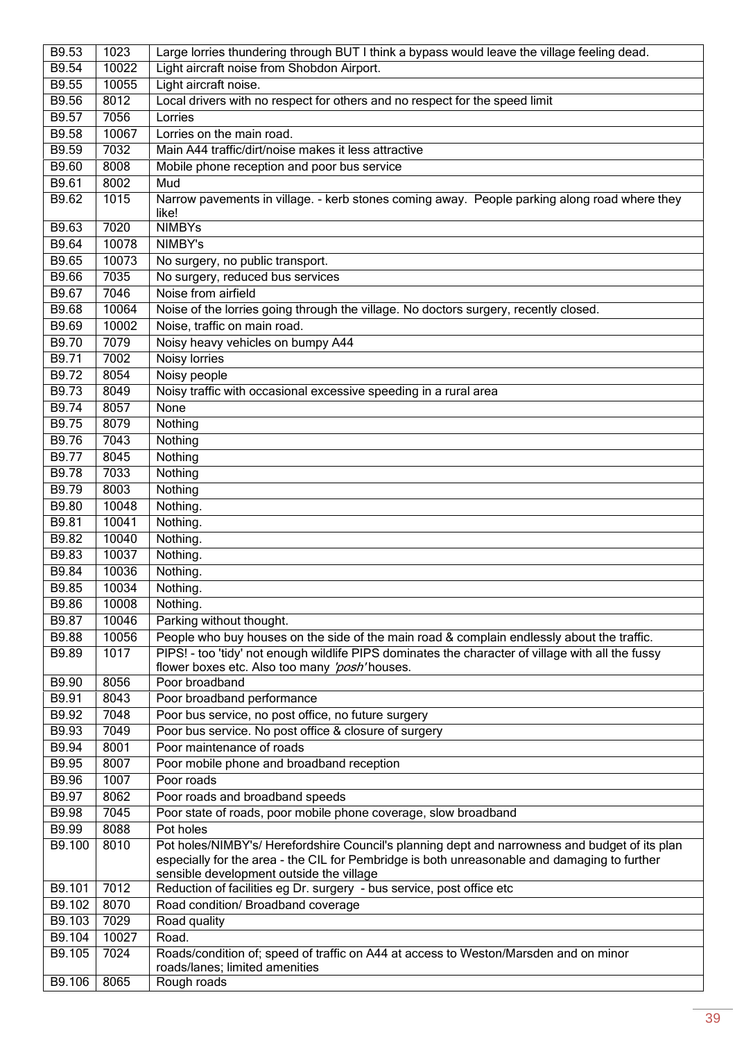| B9.53        | 1023  | Large lorries thundering through BUT I think a bypass would leave the village feeling dead.       |
|--------------|-------|---------------------------------------------------------------------------------------------------|
| B9.54        | 10022 | Light aircraft noise from Shobdon Airport.                                                        |
| B9.55        | 10055 | Light aircraft noise.                                                                             |
| B9.56        | 8012  | Local drivers with no respect for others and no respect for the speed limit                       |
| B9.57        | 7056  | Lorries                                                                                           |
| <b>B9.58</b> | 10067 | Lorries on the main road.                                                                         |
| B9.59        | 7032  | Main A44 traffic/dirt/noise makes it less attractive                                              |
| B9.60        | 8008  | Mobile phone reception and poor bus service                                                       |
| B9.61        | 8002  | Mud                                                                                               |
| B9.62        | 1015  | Narrow pavements in village. - kerb stones coming away. People parking along road where they      |
|              |       | like!                                                                                             |
| B9.63        | 7020  | <b>NIMBYs</b>                                                                                     |
| B9.64        | 10078 | NIMBY's                                                                                           |
| B9.65        | 10073 | No surgery, no public transport.                                                                  |
| <b>B9.66</b> | 7035  | No surgery, reduced bus services                                                                  |
| B9.67        | 7046  | Noise from airfield                                                                               |
| B9.68        | 10064 | Noise of the lorries going through the village. No doctors surgery, recently closed.              |
| B9.69        | 10002 | Noise, traffic on main road.                                                                      |
| B9.70        | 7079  | Noisy heavy vehicles on bumpy A44                                                                 |
| B9.71        | 7002  | Noisy lorries                                                                                     |
| B9.72        | 8054  | Noisy people                                                                                      |
| B9.73        | 8049  | Noisy traffic with occasional excessive speeding in a rural area                                  |
| B9.74        | 8057  | None                                                                                              |
| B9.75        | 8079  | Nothing                                                                                           |
| B9.76        | 7043  | Nothing                                                                                           |
| B9.77        | 8045  | Nothing                                                                                           |
| <b>B9.78</b> | 7033  | Nothing                                                                                           |
| B9.79        | 8003  | Nothing                                                                                           |
| B9.80        | 10048 | Nothing.                                                                                          |
| B9.81        | 10041 | Nothing.                                                                                          |
| B9.82        | 10040 | Nothing.                                                                                          |
| B9.83        | 10037 | Nothing.                                                                                          |
| B9.84        | 10036 | Nothing.                                                                                          |
| B9.85        | 10034 | Nothing.                                                                                          |
| <b>B9.86</b> | 10008 | Nothing.                                                                                          |
| B9.87        | 10046 | Parking without thought.                                                                          |
| B9.88        | 10056 | People who buy houses on the side of the main road & complain endlessly about the traffic.        |
| B9.89        | 1017  | PIPS! - too 'tidy' not enough wildlife PIPS dominates the character of village with all the fussy |
|              |       | flower boxes etc. Also too many 'posh' houses.                                                    |
| B9.90        | 8056  | Poor broadband                                                                                    |
| B9.91        | 8043  | Poor broadband performance                                                                        |
| B9.92        | 7048  | Poor bus service, no post office, no future surgery                                               |
| B9.93        | 7049  | Poor bus service. No post office & closure of surgery                                             |
| B9.94        | 8001  | Poor maintenance of roads                                                                         |
| B9.95        | 8007  | Poor mobile phone and broadband reception                                                         |
| B9.96        | 1007  | Poor roads                                                                                        |
| B9.97        | 8062  | Poor roads and broadband speeds                                                                   |
| B9.98        | 7045  | Poor state of roads, poor mobile phone coverage, slow broadband                                   |
| B9.99        | 8088  | Pot holes                                                                                         |
| B9.100       | 8010  | Pot holes/NIMBY's/ Herefordshire Council's planning dept and narrowness and budget of its plan    |
|              |       | especially for the area - the CIL for Pembridge is both unreasonable and damaging to further      |
|              |       | sensible development outside the village                                                          |
| B9.101       | 7012  | Reduction of facilities eg Dr. surgery - bus service, post office etc                             |
| B9.102       | 8070  | Road condition/ Broadband coverage                                                                |
| B9.103       | 7029  | Road quality                                                                                      |
| B9.104       | 10027 | Road.                                                                                             |
| B9.105       | 7024  | Roads/condition of; speed of traffic on A44 at access to Weston/Marsden and on minor              |
|              |       | roads/lanes; limited amenities                                                                    |
| B9.106       | 8065  | Rough roads                                                                                       |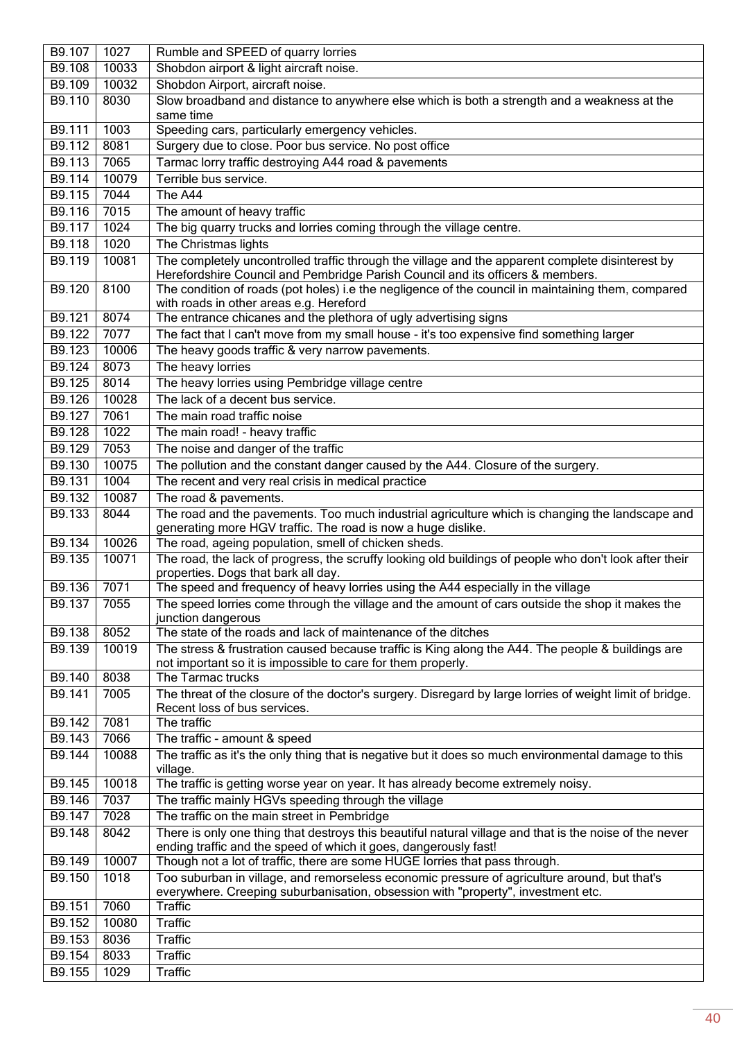| B9.107 | 1027          | Rumble and SPEED of quarry lorries                                                                                                                                                 |
|--------|---------------|------------------------------------------------------------------------------------------------------------------------------------------------------------------------------------|
| B9.108 | 10033         | Shobdon airport & light aircraft noise.                                                                                                                                            |
| B9.109 | 10032         | Shobdon Airport, aircraft noise.                                                                                                                                                   |
| B9.110 | 8030          | Slow broadband and distance to anywhere else which is both a strength and a weakness at the                                                                                        |
|        |               | same time                                                                                                                                                                          |
| B9.111 | 1003          | Speeding cars, particularly emergency vehicles.                                                                                                                                    |
| B9.112 | 8081          | Surgery due to close. Poor bus service. No post office                                                                                                                             |
| B9.113 | 7065          | Tarmac lorry traffic destroying A44 road & pavements                                                                                                                               |
| B9.114 | 10079         | Terrible bus service.                                                                                                                                                              |
| B9.115 | 7044          | The A44                                                                                                                                                                            |
| B9.116 | 7015          | The amount of heavy traffic                                                                                                                                                        |
| B9.117 | 1024          | The big quarry trucks and lorries coming through the village centre.                                                                                                               |
| B9.118 | 1020          | The Christmas lights                                                                                                                                                               |
| B9.119 | 10081         | The completely uncontrolled traffic through the village and the apparent complete disinterest by<br>Herefordshire Council and Pembridge Parish Council and its officers & members. |
| B9.120 | 8100          | The condition of roads (pot holes) i.e the negligence of the council in maintaining them, compared                                                                                 |
| B9.121 | 8074          | with roads in other areas e.g. Hereford<br>The entrance chicanes and the plethora of ugly advertising signs                                                                        |
| B9.122 | 7077          |                                                                                                                                                                                    |
|        |               | The fact that I can't move from my small house - it's too expensive find something larger                                                                                          |
| B9.123 | 10006<br>8073 | The heavy goods traffic & very narrow pavements.<br>The heavy lorries                                                                                                              |
| B9.124 |               |                                                                                                                                                                                    |
| B9.125 | 8014          | The heavy lorries using Pembridge village centre                                                                                                                                   |
| B9.126 | 10028         | The lack of a decent bus service.                                                                                                                                                  |
| B9.127 | 7061          | The main road traffic noise                                                                                                                                                        |
| B9.128 | 1022          | The main road! - heavy traffic                                                                                                                                                     |
| B9.129 | 7053          | The noise and danger of the traffic                                                                                                                                                |
| B9.130 | 10075         | The pollution and the constant danger caused by the A44. Closure of the surgery.                                                                                                   |
| B9.131 | 1004          | The recent and very real crisis in medical practice                                                                                                                                |
| B9.132 | 10087         | The road & pavements.                                                                                                                                                              |
| B9.133 | 8044          | The road and the pavements. Too much industrial agriculture which is changing the landscape and<br>generating more HGV traffic. The road is now a huge dislike.                    |
| B9.134 | 10026         | The road, ageing population, smell of chicken sheds.                                                                                                                               |
| B9.135 | 10071         | The road, the lack of progress, the scruffy looking old buildings of people who don't look after their<br>properties. Dogs that bark all day.                                      |
| B9.136 | 7071          | The speed and frequency of heavy lorries using the A44 especially in the village                                                                                                   |
| B9.137 | 7055          | The speed lorries come through the village and the amount of cars outside the shop it makes the<br>junction dangerous                                                              |
| B9.138 | 8052          | The state of the roads and lack of maintenance of the ditches                                                                                                                      |
| B9.139 | 10019         | The stress & frustration caused because traffic is King along the A44. The people & buildings are                                                                                  |
|        |               | not important so it is impossible to care for them properly.                                                                                                                       |
| B9.140 | 8038          | The Tarmac trucks                                                                                                                                                                  |
| B9.141 | 7005          | The threat of the closure of the doctor's surgery. Disregard by large lorries of weight limit of bridge.<br>Recent loss of bus services.                                           |
| B9.142 | 7081          | The traffic                                                                                                                                                                        |
| B9.143 | 7066          | The traffic - amount & speed                                                                                                                                                       |
| B9.144 | 10088         | The traffic as it's the only thing that is negative but it does so much environmental damage to this<br>village.                                                                   |
| B9.145 | 10018         | The traffic is getting worse year on year. It has already become extremely noisy.                                                                                                  |
| B9.146 | 7037          | The traffic mainly HGVs speeding through the village                                                                                                                               |
| B9.147 | 7028          | The traffic on the main street in Pembridge                                                                                                                                        |
| B9.148 | 8042          | There is only one thing that destroys this beautiful natural village and that is the noise of the never                                                                            |
| B9.149 | 10007         | ending traffic and the speed of which it goes, dangerously fast!<br>Though not a lot of traffic, there are some HUGE lorries that pass through.                                    |
| B9.150 | 1018          |                                                                                                                                                                                    |
|        |               | Too suburban in village, and remorseless economic pressure of agriculture around, but that's<br>everywhere. Creeping suburbanisation, obsession with "property", investment etc.   |
| B9.151 | 7060          | <b>Traffic</b>                                                                                                                                                                     |
| B9.152 | 10080         | <b>Traffic</b>                                                                                                                                                                     |
| B9.153 | 8036          | <b>Traffic</b>                                                                                                                                                                     |
| B9.154 | 8033          | <b>Traffic</b>                                                                                                                                                                     |
| B9.155 | 1029          | Traffic                                                                                                                                                                            |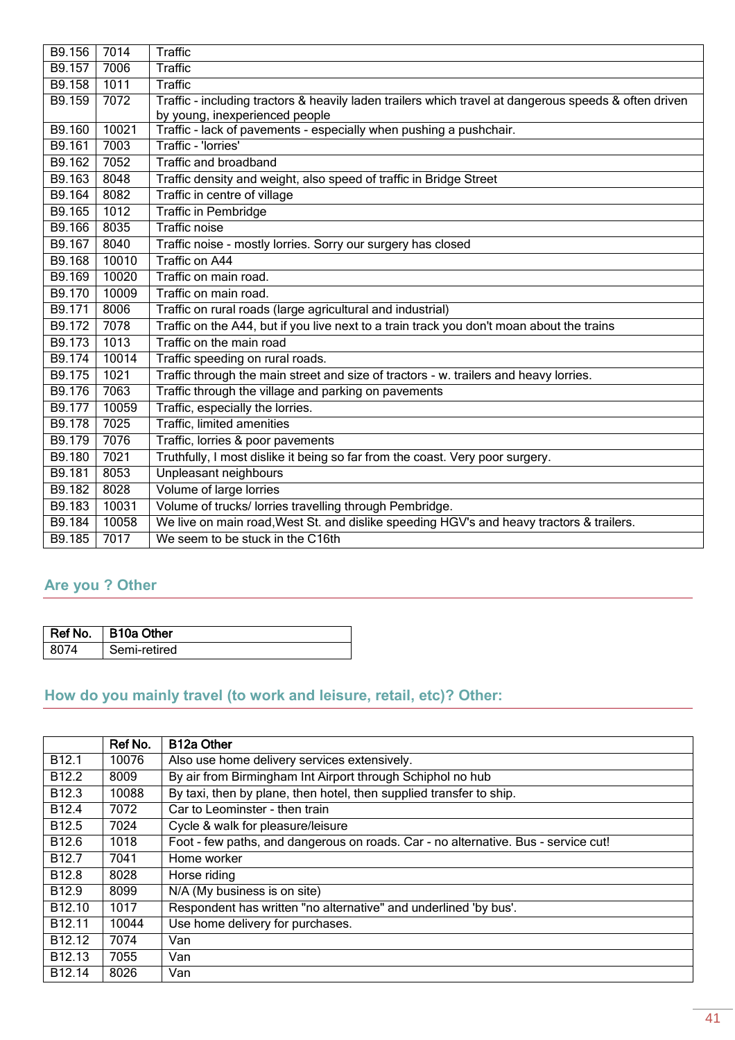| B9.156 | 7014  | <b>Traffic</b>                                                                                        |
|--------|-------|-------------------------------------------------------------------------------------------------------|
| B9.157 | 7006  | Traffic                                                                                               |
| B9.158 | 1011  | Traffic                                                                                               |
| B9.159 | 7072  | Traffic - including tractors & heavily laden trailers which travel at dangerous speeds & often driven |
|        |       | by young, inexperienced people                                                                        |
| B9.160 | 10021 | Traffic - lack of pavements - especially when pushing a pushchair.                                    |
| B9.161 | 7003  | Traffic - 'Iorries'                                                                                   |
| B9.162 | 7052  | Traffic and broadband                                                                                 |
| B9.163 | 8048  | Traffic density and weight, also speed of traffic in Bridge Street                                    |
| B9.164 | 8082  | Traffic in centre of village                                                                          |
| B9.165 | 1012  | <b>Traffic in Pembridge</b>                                                                           |
| B9.166 | 8035  | <b>Traffic noise</b>                                                                                  |
| B9.167 | 8040  | Traffic noise - mostly lorries. Sorry our surgery has closed                                          |
| B9.168 | 10010 | <b>Traffic on A44</b>                                                                                 |
| B9.169 | 10020 | Traffic on main road.                                                                                 |
| B9.170 | 10009 | Traffic on main road.                                                                                 |
| B9.171 | 8006  | Traffic on rural roads (large agricultural and industrial)                                            |
| B9.172 | 7078  | Traffic on the A44, but if you live next to a train track you don't moan about the trains             |
| B9.173 | 1013  | Traffic on the main road                                                                              |
| B9.174 | 10014 | Traffic speeding on rural roads.                                                                      |
| B9.175 | 1021  | Traffic through the main street and size of tractors - w. trailers and heavy lorries.                 |
| B9.176 | 7063  | Traffic through the village and parking on pavements                                                  |
| B9.177 | 10059 | Traffic, especially the lorries.                                                                      |
| B9.178 | 7025  | Traffic, limited amenities                                                                            |
| B9.179 | 7076  | Traffic, lorries & poor pavements                                                                     |
| B9.180 | 7021  | Truthfully, I most dislike it being so far from the coast. Very poor surgery.                         |
| B9.181 | 8053  | Unpleasant neighbours                                                                                 |
| B9.182 | 8028  | Volume of large lorries                                                                               |
| B9.183 | 10031 | Volume of trucks/ lorries travelling through Pembridge.                                               |
| B9.184 | 10058 | We live on main road, West St. and dislike speeding HGV's and heavy tractors & trailers.              |
| B9.185 | 7017  | We seem to be stuck in the C16th                                                                      |

## <span id="page-40-0"></span>**Are you ? Other**

|      | Ref No. B10a Other |
|------|--------------------|
| 8074 | Semi-retired       |

## <span id="page-40-1"></span>**How do you mainly travel (to work and leisure, retail, etc)? Other:**

|                    | Ref No. | <b>B12a Other</b>                                                                  |
|--------------------|---------|------------------------------------------------------------------------------------|
| B <sub>12.1</sub>  | 10076   | Also use home delivery services extensively.                                       |
| B <sub>12.2</sub>  | 8009    | By air from Birmingham Int Airport through Schiphol no hub                         |
| B12.3              | 10088   | By taxi, then by plane, then hotel, then supplied transfer to ship.                |
| B <sub>12.4</sub>  | 7072    | Car to Leominster - then train                                                     |
| B <sub>12.5</sub>  | 7024    | Cycle & walk for pleasure/leisure                                                  |
| B <sub>12.6</sub>  | 1018    | Foot - few paths, and dangerous on roads. Car - no alternative. Bus - service cut! |
| B <sub>12.7</sub>  | 7041    | Home worker                                                                        |
| B <sub>12.8</sub>  | 8028    | Horse riding                                                                       |
| B <sub>12.9</sub>  | 8099    | N/A (My business is on site)                                                       |
| B <sub>12.10</sub> | 1017    | Respondent has written "no alternative" and underlined 'by bus'.                   |
| B <sub>12.11</sub> | 10044   | Use home delivery for purchases.                                                   |
| B <sub>12.12</sub> | 7074    | Van                                                                                |
| B <sub>12.13</sub> | 7055    | Van                                                                                |
| B <sub>12.14</sub> | 8026    | Van                                                                                |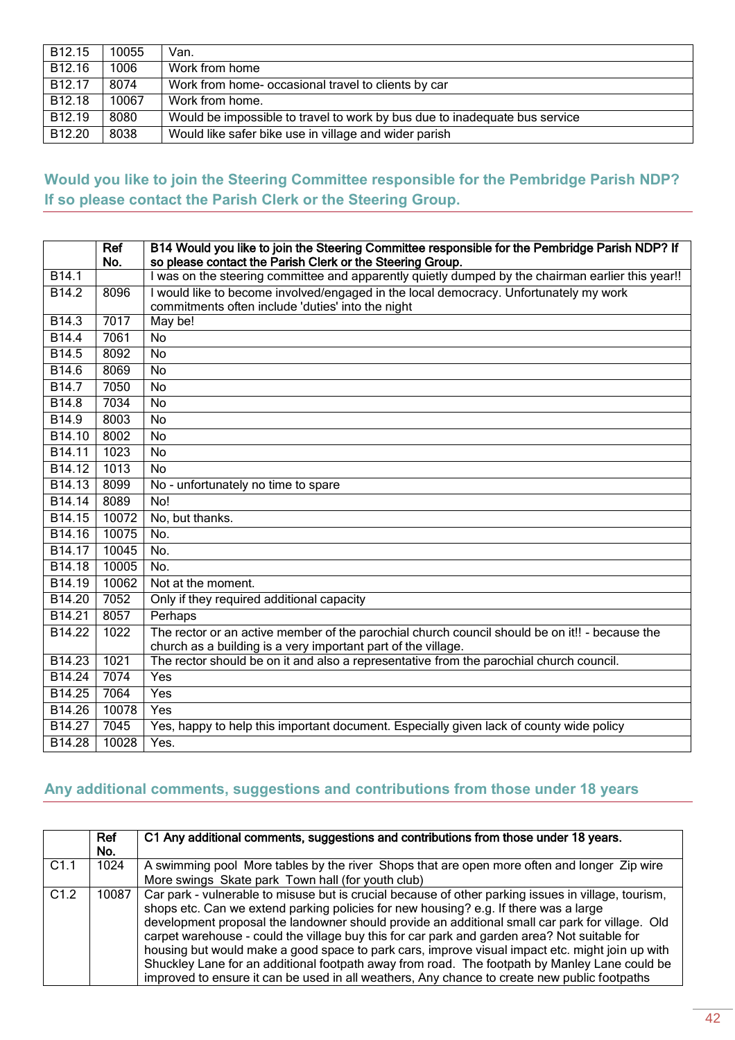| B <sub>12.15</sub> | 10055 | Van.                                                                       |
|--------------------|-------|----------------------------------------------------------------------------|
| B12.16             | 1006  | Work from home                                                             |
| B <sub>12.17</sub> | 8074  | Work from home- occasional travel to clients by car                        |
| B <sub>12.18</sub> | 10067 | Work from home.                                                            |
| B <sub>12.19</sub> | 8080  | Would be impossible to travel to work by bus due to inadequate bus service |
| B12.20             | 8038  | Would like safer bike use in village and wider parish                      |

### <span id="page-41-0"></span>**Would you like to join the Steering Committee responsible for the Pembridge Parish NDP? If so please contact the Parish Clerk or the Steering Group.**

|                    | Ref<br>No. | B14 Would you like to join the Steering Committee responsible for the Pembridge Parish NDP? If<br>so please contact the Parish Clerk or the Steering Group. |
|--------------------|------------|-------------------------------------------------------------------------------------------------------------------------------------------------------------|
| B14.1              |            | I was on the steering committee and apparently quietly dumped by the chairman earlier this year!!                                                           |
| B <sub>14.2</sub>  | 8096       | I would like to become involved/engaged in the local democracy. Unfortunately my work                                                                       |
|                    |            | commitments often include 'duties' into the night                                                                                                           |
| B14.3              | 7017       | May be!                                                                                                                                                     |
| B <sub>14.4</sub>  | 7061       | <b>No</b>                                                                                                                                                   |
| B <sub>14.5</sub>  | 8092       | <b>No</b>                                                                                                                                                   |
| B14.6              | 8069       | <b>No</b>                                                                                                                                                   |
| $\overline{B14.7}$ | 7050       | <b>No</b>                                                                                                                                                   |
| B14.8              | 7034       | No                                                                                                                                                          |
| B14.9              | 8003       | No                                                                                                                                                          |
| B <sub>14.10</sub> | 8002       | <b>No</b>                                                                                                                                                   |
| B14.11             | 1023       | <b>No</b>                                                                                                                                                   |
| B <sub>14.12</sub> | 1013       | <b>No</b>                                                                                                                                                   |
| B14.13             | 8099       | No - unfortunately no time to spare                                                                                                                         |
| B14.14             | 8089       | N <sub>0</sub>                                                                                                                                              |
| B14.15             | 10072      | No, but thanks.                                                                                                                                             |
| B14.16             | 10075      | No.                                                                                                                                                         |
| B14.17             | 10045      | No.                                                                                                                                                         |
| B14.18             | 10005      | No.                                                                                                                                                         |
| B14.19             | 10062      | Not at the moment.                                                                                                                                          |
| B <sub>14.20</sub> | 7052       | Only if they required additional capacity                                                                                                                   |
| B <sub>14.21</sub> | 8057       | Perhaps                                                                                                                                                     |
| B14.22             | 1022       | The rector or an active member of the parochial church council should be on it!! - because the                                                              |
|                    |            | church as a building is a very important part of the village.                                                                                               |
| B14.23             | 1021       | The rector should be on it and also a representative from the parochial church council.                                                                     |
| B14.24             | 7074       | Yes                                                                                                                                                         |
| B14.25             | 7064       | Yes                                                                                                                                                         |
| B14.26             | 10078      | Yes                                                                                                                                                         |
| B14.27             | 7045       | Yes, happy to help this important document. Especially given lack of county wide policy                                                                     |
| B14.28             | 10028      | Yes.                                                                                                                                                        |

## <span id="page-41-1"></span>**Any additional comments, suggestions and contributions from those under 18 years**

|      | <b>Ref</b><br>No. | C1 Any additional comments, suggestions and contributions from those under 18 years.                                                                                                                                                                                                                                                                                                                                                                                                                                                                                                                                                                                                               |
|------|-------------------|----------------------------------------------------------------------------------------------------------------------------------------------------------------------------------------------------------------------------------------------------------------------------------------------------------------------------------------------------------------------------------------------------------------------------------------------------------------------------------------------------------------------------------------------------------------------------------------------------------------------------------------------------------------------------------------------------|
| C1.1 | 1024              | A swimming pool More tables by the river Shops that are open more often and longer Zip wire<br>More swings Skate park Town hall (for youth club)                                                                                                                                                                                                                                                                                                                                                                                                                                                                                                                                                   |
| C1.2 | 10087             | Car park - vulnerable to misuse but is crucial because of other parking issues in village, tourism,<br>shops etc. Can we extend parking policies for new housing? e.g. If there was a large<br>development proposal the landowner should provide an additional small car park for village. Old<br>carpet warehouse - could the village buy this for car park and garden area? Not suitable for<br>housing but would make a good space to park cars, improve visual impact etc. might join up with<br>Shuckley Lane for an additional footpath away from road. The footpath by Manley Lane could be<br>improved to ensure it can be used in all weathers, Any chance to create new public footpaths |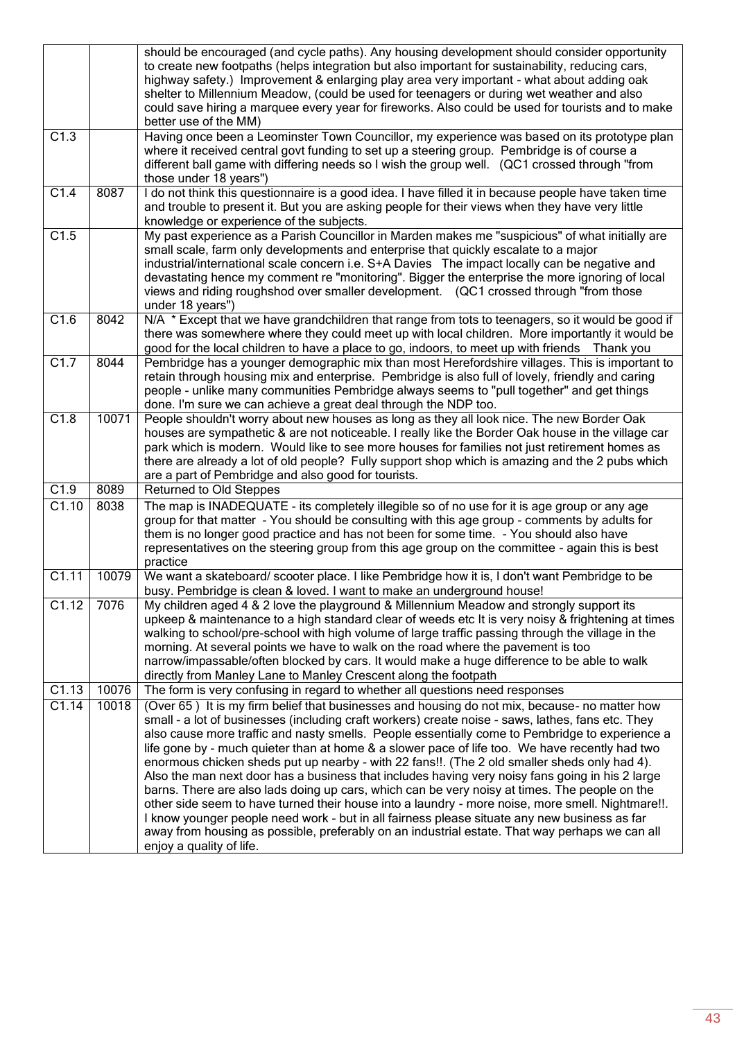|       |       | should be encouraged (and cycle paths). Any housing development should consider opportunity<br>to create new footpaths (helps integration but also important for sustainability, reducing cars,<br>highway safety.) Improvement & enlarging play area very important - what about adding oak<br>shelter to Millennium Meadow, (could be used for teenagers or during wet weather and also<br>could save hiring a marquee every year for fireworks. Also could be used for tourists and to make<br>better use of the MM)                                                                                                                                                                                                                                                                                                                                                                                                                                                                                                                      |
|-------|-------|----------------------------------------------------------------------------------------------------------------------------------------------------------------------------------------------------------------------------------------------------------------------------------------------------------------------------------------------------------------------------------------------------------------------------------------------------------------------------------------------------------------------------------------------------------------------------------------------------------------------------------------------------------------------------------------------------------------------------------------------------------------------------------------------------------------------------------------------------------------------------------------------------------------------------------------------------------------------------------------------------------------------------------------------|
| C1.3  |       | Having once been a Leominster Town Councillor, my experience was based on its prototype plan<br>where it received central govt funding to set up a steering group. Pembridge is of course a<br>different ball game with differing needs so I wish the group well. (QC1 crossed through "from<br>those under 18 years")                                                                                                                                                                                                                                                                                                                                                                                                                                                                                                                                                                                                                                                                                                                       |
| C1.4  | 8087  | I do not think this questionnaire is a good idea. I have filled it in because people have taken time<br>and trouble to present it. But you are asking people for their views when they have very little<br>knowledge or experience of the subjects.                                                                                                                                                                                                                                                                                                                                                                                                                                                                                                                                                                                                                                                                                                                                                                                          |
| C1.5  |       | My past experience as a Parish Councillor in Marden makes me "suspicious" of what initially are<br>small scale, farm only developments and enterprise that quickly escalate to a major<br>industrial/international scale concern i.e. S+A Davies The impact locally can be negative and<br>devastating hence my comment re "monitoring". Bigger the enterprise the more ignoring of local<br>views and riding roughshod over smaller development. (QC1 crossed through "from those<br>under 18 years")                                                                                                                                                                                                                                                                                                                                                                                                                                                                                                                                       |
| C1.6  | 8042  | N/A * Except that we have grandchildren that range from tots to teenagers, so it would be good if<br>there was somewhere where they could meet up with local children. More importantly it would be<br>good for the local children to have a place to go, indoors, to meet up with friends Thank you                                                                                                                                                                                                                                                                                                                                                                                                                                                                                                                                                                                                                                                                                                                                         |
| C1.7  | 8044  | Pembridge has a younger demographic mix than most Herefordshire villages. This is important to<br>retain through housing mix and enterprise. Pembridge is also full of lovely, friendly and caring<br>people - unlike many communities Pembridge always seems to "pull together" and get things<br>done. I'm sure we can achieve a great deal through the NDP too.                                                                                                                                                                                                                                                                                                                                                                                                                                                                                                                                                                                                                                                                           |
| C1.8  | 10071 | People shouldn't worry about new houses as long as they all look nice. The new Border Oak<br>houses are sympathetic & are not noticeable. I really like the Border Oak house in the village car<br>park which is modern. Would like to see more houses for families not just retirement homes as<br>there are already a lot of old people? Fully support shop which is amazing and the 2 pubs which<br>are a part of Pembridge and also good for tourists.                                                                                                                                                                                                                                                                                                                                                                                                                                                                                                                                                                                   |
| C1.9  | 8089  | <b>Returned to Old Steppes</b>                                                                                                                                                                                                                                                                                                                                                                                                                                                                                                                                                                                                                                                                                                                                                                                                                                                                                                                                                                                                               |
| C1.10 | 8038  | The map is INADEQUATE - its completely illegible so of no use for it is age group or any age<br>group for that matter - You should be consulting with this age group - comments by adults for<br>them is no longer good practice and has not been for some time. - You should also have<br>representatives on the steering group from this age group on the committee - again this is best<br>practice                                                                                                                                                                                                                                                                                                                                                                                                                                                                                                                                                                                                                                       |
| C1.11 | 10079 | We want a skateboard/ scooter place. I like Pembridge how it is, I don't want Pembridge to be<br>busy. Pembridge is clean & loved. I want to make an underground house!                                                                                                                                                                                                                                                                                                                                                                                                                                                                                                                                                                                                                                                                                                                                                                                                                                                                      |
| C1.12 | 7076  | My children aged 4 & 2 love the playground & Millennium Meadow and strongly support its<br>upkeep & maintenance to a high standard clear of weeds etc It is very noisy & frightening at times<br>walking to school/pre-school with high volume of large traffic passing through the village in the<br>morning. At several points we have to walk on the road where the pavement is too<br>narrow/impassable/often blocked by cars. It would make a huge difference to be able to walk<br>directly from Manley Lane to Manley Crescent along the footpath                                                                                                                                                                                                                                                                                                                                                                                                                                                                                     |
| C1.13 | 10076 | The form is very confusing in regard to whether all questions need responses                                                                                                                                                                                                                                                                                                                                                                                                                                                                                                                                                                                                                                                                                                                                                                                                                                                                                                                                                                 |
| C1.14 | 10018 | (Over 65) It is my firm belief that businesses and housing do not mix, because- no matter how<br>small - a lot of businesses (including craft workers) create noise - saws, lathes, fans etc. They<br>also cause more traffic and nasty smells. People essentially come to Pembridge to experience a<br>life gone by - much quieter than at home & a slower pace of life too. We have recently had two<br>enormous chicken sheds put up nearby - with 22 fans!!. (The 2 old smaller sheds only had 4).<br>Also the man next door has a business that includes having very noisy fans going in his 2 large<br>barns. There are also lads doing up cars, which can be very noisy at times. The people on the<br>other side seem to have turned their house into a laundry - more noise, more smell. Nightmare!!.<br>I know younger people need work - but in all fairness please situate any new business as far<br>away from housing as possible, preferably on an industrial estate. That way perhaps we can all<br>enjoy a quality of life. |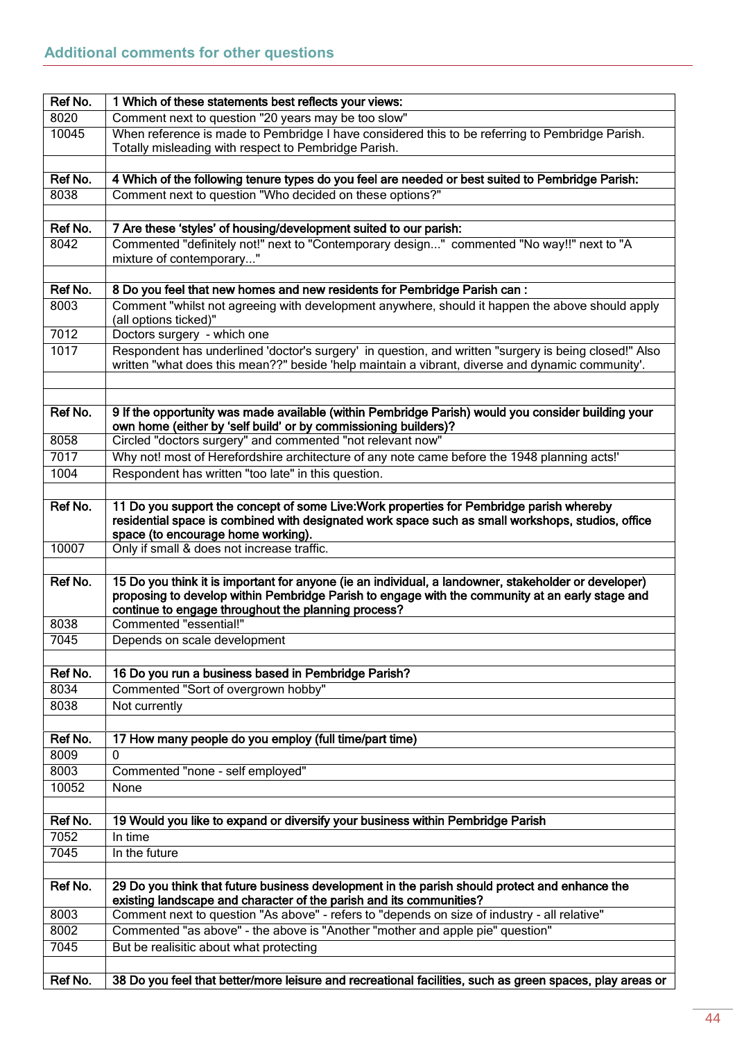<span id="page-43-0"></span>

| Ref No. | 1 Which of these statements best reflects your views:                                                                                                                                                     |
|---------|-----------------------------------------------------------------------------------------------------------------------------------------------------------------------------------------------------------|
| 8020    | Comment next to question "20 years may be too slow"                                                                                                                                                       |
| 10045   | When reference is made to Pembridge I have considered this to be referring to Pembridge Parish.                                                                                                           |
|         | Totally misleading with respect to Pembridge Parish.                                                                                                                                                      |
|         |                                                                                                                                                                                                           |
| Ref No. | 4 Which of the following tenure types do you feel are needed or best suited to Pembridge Parish:                                                                                                          |
| 8038    | Comment next to question "Who decided on these options?"                                                                                                                                                  |
|         |                                                                                                                                                                                                           |
| Ref No. | 7 Are these 'styles' of housing/development suited to our parish:                                                                                                                                         |
| 8042    | Commented "definitely not!" next to "Contemporary design" commented "No way!!" next to "A                                                                                                                 |
|         | mixture of contemporary"                                                                                                                                                                                  |
|         |                                                                                                                                                                                                           |
| Ref No. | 8 Do you feel that new homes and new residents for Pembridge Parish can:                                                                                                                                  |
| 8003    | Comment "whilst not agreeing with development anywhere, should it happen the above should apply                                                                                                           |
|         | (all options ticked)"                                                                                                                                                                                     |
| 7012    | Doctors surgery - which one                                                                                                                                                                               |
| 1017    | Respondent has underlined 'doctor's surgery' in question, and written "surgery is being closed!" Also<br>written "what does this mean??" beside 'help maintain a vibrant, diverse and dynamic community'. |
|         |                                                                                                                                                                                                           |
|         |                                                                                                                                                                                                           |
| Ref No. | 9 If the opportunity was made available (within Pembridge Parish) would you consider building your                                                                                                        |
|         | own home (either by 'self build' or by commissioning builders)?                                                                                                                                           |
| 8058    | Circled "doctors surgery" and commented "not relevant now"                                                                                                                                                |
| 7017    | Why not! most of Herefordshire architecture of any note came before the 1948 planning acts!'                                                                                                              |
| 1004    | Respondent has written "too late" in this question.                                                                                                                                                       |
|         |                                                                                                                                                                                                           |
| Ref No. | 11 Do you support the concept of some Live: Work properties for Pembridge parish whereby                                                                                                                  |
|         | residential space is combined with designated work space such as small workshops, studios, office                                                                                                         |
|         | space (to encourage home working).                                                                                                                                                                        |
| 10007   | Only if small & does not increase traffic.                                                                                                                                                                |
|         |                                                                                                                                                                                                           |
| Ref No. | 15 Do you think it is important for anyone (ie an individual, a landowner, stakeholder or developer)                                                                                                      |
|         | proposing to develop within Pembridge Parish to engage with the community at an early stage and                                                                                                           |
|         | continue to engage throughout the planning process?                                                                                                                                                       |
| 8038    | Commented "essential!"                                                                                                                                                                                    |
| 7045    | Depends on scale development                                                                                                                                                                              |
|         |                                                                                                                                                                                                           |
| Ref No. | 16 Do you run a business based in Pembridge Parish?                                                                                                                                                       |
| 8034    | Commented "Sort of overgrown hobby"                                                                                                                                                                       |
| 8038    | Not currently                                                                                                                                                                                             |
|         |                                                                                                                                                                                                           |
| Ref No. | 17 How many people do you employ (full time/part time)                                                                                                                                                    |
| 8009    | 0                                                                                                                                                                                                         |
| 8003    | Commented "none - self employed"                                                                                                                                                                          |
| 10052   | None                                                                                                                                                                                                      |
|         |                                                                                                                                                                                                           |
| Ref No. | 19 Would you like to expand or diversify your business within Pembridge Parish                                                                                                                            |
| 7052    | In time                                                                                                                                                                                                   |
| 7045    | In the future                                                                                                                                                                                             |
|         |                                                                                                                                                                                                           |
| Ref No. | 29 Do you think that future business development in the parish should protect and enhance the                                                                                                             |
|         | existing landscape and character of the parish and its communities?                                                                                                                                       |
| 8003    | Comment next to question "As above" - refers to "depends on size of industry - all relative"                                                                                                              |
| 8002    | Commented "as above" - the above is "Another "mother and apple pie" question"                                                                                                                             |
| 7045    | But be realisitic about what protecting                                                                                                                                                                   |
|         |                                                                                                                                                                                                           |
| Ref No. | 38 Do you feel that better/more leisure and recreational facilities, such as green spaces, play areas or                                                                                                  |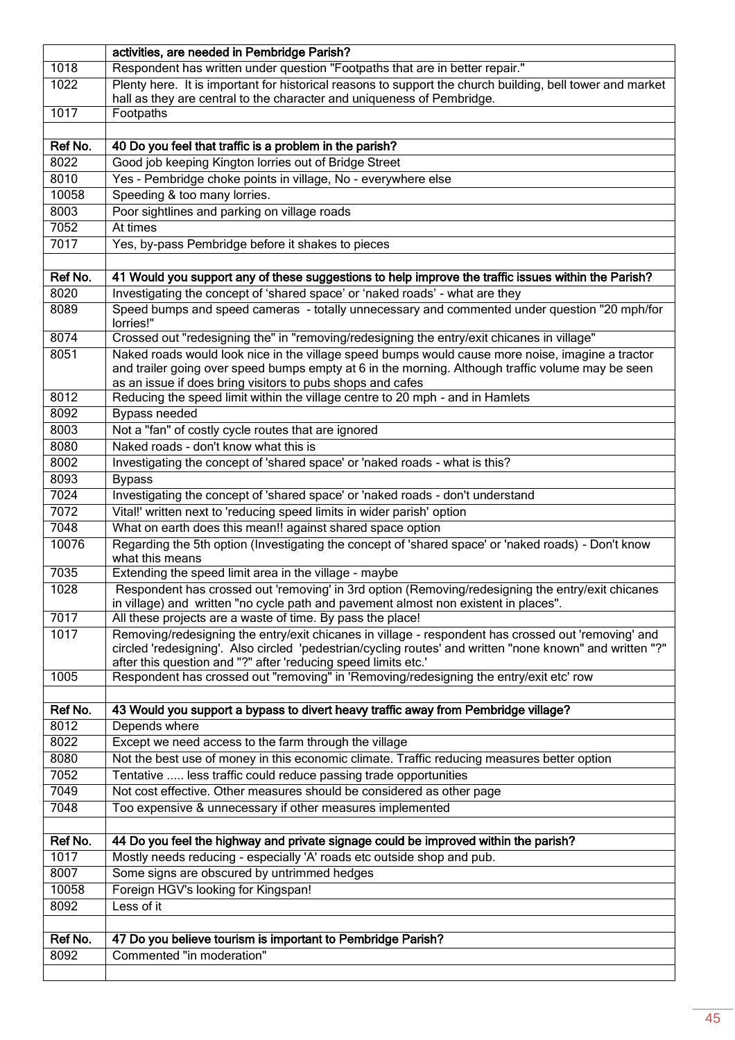|                 | activities, are needed in Pembridge Parish?                                                                                                                                                                                                                         |
|-----------------|---------------------------------------------------------------------------------------------------------------------------------------------------------------------------------------------------------------------------------------------------------------------|
| 1018            | Respondent has written under question "Footpaths that are in better repair."                                                                                                                                                                                        |
| 1022            | Plenty here. It is important for historical reasons to support the church building, bell tower and market                                                                                                                                                           |
|                 | hall as they are central to the character and uniqueness of Pembridge.                                                                                                                                                                                              |
| 1017            | Footpaths                                                                                                                                                                                                                                                           |
| Ref No.         | 40 Do you feel that traffic is a problem in the parish?                                                                                                                                                                                                             |
| 8022            | Good job keeping Kington lorries out of Bridge Street                                                                                                                                                                                                               |
| 8010            | Yes - Pembridge choke points in village, No - everywhere else                                                                                                                                                                                                       |
| 10058           | Speeding & too many lorries.                                                                                                                                                                                                                                        |
| 8003            | Poor sightlines and parking on village roads                                                                                                                                                                                                                        |
| 7052            | At times                                                                                                                                                                                                                                                            |
| 7017            | Yes, by-pass Pembridge before it shakes to pieces                                                                                                                                                                                                                   |
|                 |                                                                                                                                                                                                                                                                     |
| Ref No.         | 41 Would you support any of these suggestions to help improve the traffic issues within the Parish?                                                                                                                                                                 |
| 8020            | Investigating the concept of 'shared space' or 'naked roads' - what are they                                                                                                                                                                                        |
| 8089            | Speed bumps and speed cameras - totally unnecessary and commented under question "20 mph/for<br>lorries!"                                                                                                                                                           |
| 8074            | Crossed out "redesigning the" in "removing/redesigning the entry/exit chicanes in village"                                                                                                                                                                          |
| 8051            | Naked roads would look nice in the village speed bumps would cause more noise, imagine a tractor<br>and trailer going over speed bumps empty at 6 in the morning. Although traffic volume may be seen<br>as an issue if does bring visitors to pubs shops and cafes |
| 8012            | Reducing the speed limit within the village centre to 20 mph - and in Hamlets                                                                                                                                                                                       |
| 8092            | Bypass needed                                                                                                                                                                                                                                                       |
| 8003            | Not a "fan" of costly cycle routes that are ignored                                                                                                                                                                                                                 |
| 8080            | Naked roads - don't know what this is                                                                                                                                                                                                                               |
| 8002            | Investigating the concept of 'shared space' or 'naked roads - what is this?                                                                                                                                                                                         |
| 8093            | <b>Bypass</b>                                                                                                                                                                                                                                                       |
| 7024            | Investigating the concept of 'shared space' or 'naked roads - don't understand                                                                                                                                                                                      |
| 7072<br>7048    | Vital!' written next to 'reducing speed limits in wider parish' option<br>What on earth does this mean!! against shared space option                                                                                                                                |
| 10076           | Regarding the 5th option (Investigating the concept of 'shared space' or 'naked roads) - Don't know                                                                                                                                                                 |
|                 | what this means                                                                                                                                                                                                                                                     |
| 7035            | Extending the speed limit area in the village - maybe                                                                                                                                                                                                               |
| 1028            | Respondent has crossed out 'removing' in 3rd option (Removing/redesigning the entry/exit chicanes                                                                                                                                                                   |
| 7017            | in village) and written "no cycle path and pavement almost non existent in places".                                                                                                                                                                                 |
| 1017            | All these projects are a waste of time. By pass the place!<br>Removing/redesigning the entry/exit chicanes in village - respondent has crossed out 'removing' and                                                                                                   |
|                 | circled 'redesigning'. Also circled 'pedestrian/cycling routes' and written "none known" and written "?"<br>after this question and "?" after 'reducing speed limits etc.'                                                                                          |
| 1005            | Respondent has crossed out "removing" in 'Removing/redesigning the entry/exit etc' row                                                                                                                                                                              |
|                 |                                                                                                                                                                                                                                                                     |
| Ref No.<br>8012 | 43 Would you support a bypass to divert heavy traffic away from Pembridge village?                                                                                                                                                                                  |
| 8022            | Depends where<br>Except we need access to the farm through the village                                                                                                                                                                                              |
| 8080            | Not the best use of money in this economic climate. Traffic reducing measures better option                                                                                                                                                                         |
| 7052            | Tentative  less traffic could reduce passing trade opportunities                                                                                                                                                                                                    |
| 7049            | Not cost effective. Other measures should be considered as other page                                                                                                                                                                                               |
| 7048            | Too expensive & unnecessary if other measures implemented                                                                                                                                                                                                           |
|                 |                                                                                                                                                                                                                                                                     |
| Ref No.         | 44 Do you feel the highway and private signage could be improved within the parish?                                                                                                                                                                                 |
| 1017            | Mostly needs reducing - especially 'A' roads etc outside shop and pub.                                                                                                                                                                                              |
| 8007            | Some signs are obscured by untrimmed hedges                                                                                                                                                                                                                         |
| 10058           | Foreign HGV's looking for Kingspan!                                                                                                                                                                                                                                 |
| 8092            | Less of it                                                                                                                                                                                                                                                          |
|                 |                                                                                                                                                                                                                                                                     |
| Ref No.         | 47 Do you believe tourism is important to Pembridge Parish?                                                                                                                                                                                                         |
| 8092            | Commented "in moderation"                                                                                                                                                                                                                                           |